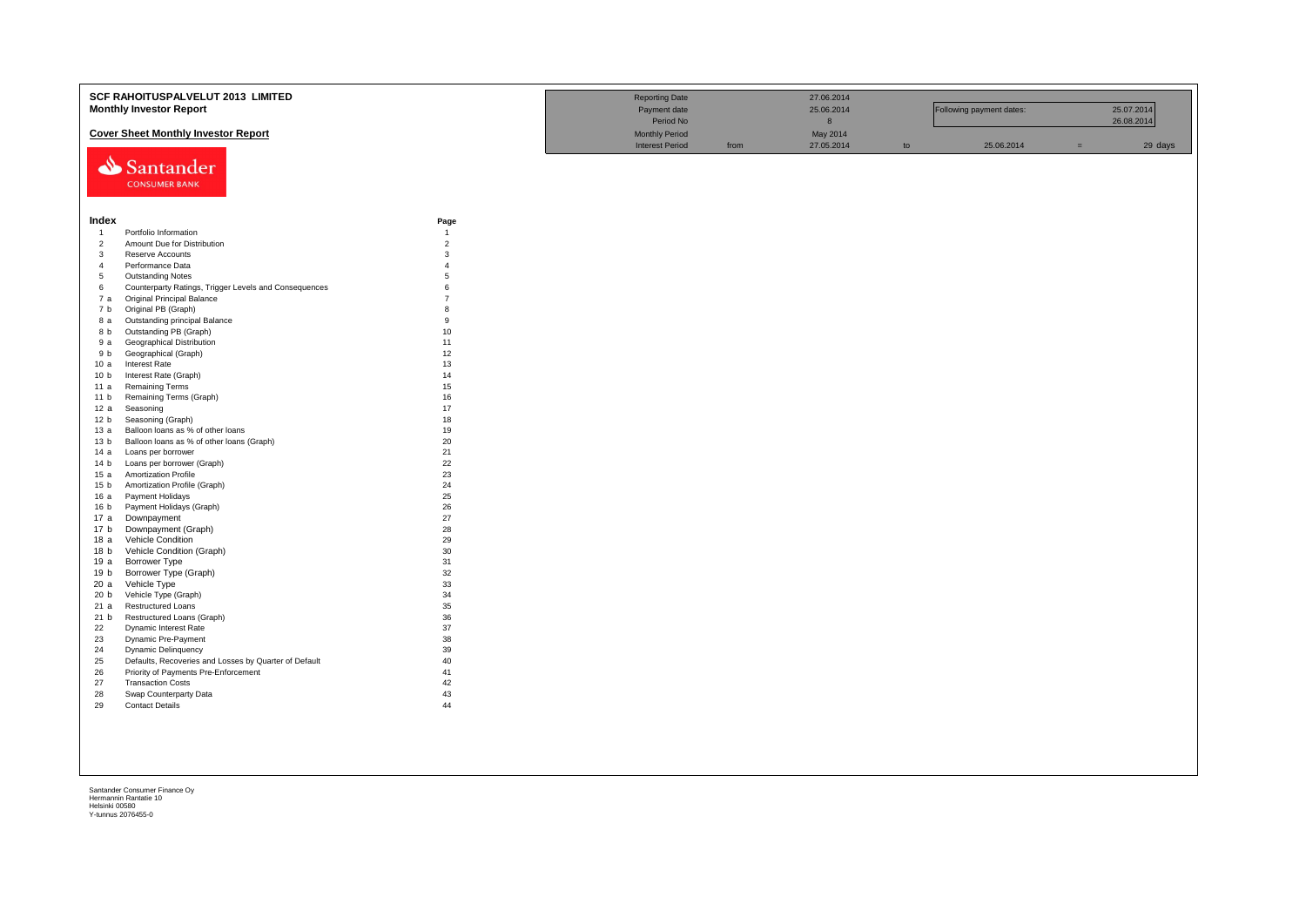|                        | SCF RAHOITUSPALVELUT 2013 LIMITED                                                   |                | <b>Reporting Date</b>  |      | 27.06.2014 |    |                          |     |            |
|------------------------|-------------------------------------------------------------------------------------|----------------|------------------------|------|------------|----|--------------------------|-----|------------|
|                        | <b>Monthly Investor Report</b>                                                      |                | Payment date           |      | 25.06.2014 |    | Following payment dates: |     | 25.07.2014 |
|                        |                                                                                     |                |                        |      |            |    |                          |     |            |
|                        |                                                                                     |                | Period No              |      | $\bf 8$    |    |                          |     | 26.08.2014 |
|                        | <b>Cover Sheet Monthly Investor Report</b>                                          |                | <b>Monthly Period</b>  |      | May 2014   |    |                          |     |            |
|                        |                                                                                     |                | <b>Interest Period</b> | from | 27.05.2014 | to | 25.06.2014               | $=$ | 29 days    |
|                        | Santander                                                                           |                |                        |      |            |    |                          |     |            |
|                        |                                                                                     |                |                        |      |            |    |                          |     |            |
|                        | <b>CONSUMER BANK</b>                                                                |                |                        |      |            |    |                          |     |            |
|                        |                                                                                     |                |                        |      |            |    |                          |     |            |
|                        |                                                                                     |                |                        |      |            |    |                          |     |            |
| Index                  |                                                                                     | Page           |                        |      |            |    |                          |     |            |
| $\overline{1}$         | Portfolio Information                                                               | $\overline{1}$ |                        |      |            |    |                          |     |            |
| $\overline{2}$         | Amount Due for Distribution                                                         | $\overline{2}$ |                        |      |            |    |                          |     |            |
| $\mathbf{3}$           | Reserve Accounts                                                                    | 3              |                        |      |            |    |                          |     |            |
| $\overline{4}$         | Performance Data                                                                    | $\overline{A}$ |                        |      |            |    |                          |     |            |
| 5                      | <b>Outstanding Notes</b>                                                            | $\overline{5}$ |                        |      |            |    |                          |     |            |
| 6                      | Counterparty Ratings, Trigger Levels and Consequences                               | 6              |                        |      |            |    |                          |     |            |
| 7a                     | Original Principal Balance                                                          | $\overline{7}$ |                        |      |            |    |                          |     |            |
| 7 b                    | Original PB (Graph)                                                                 | 8              |                        |      |            |    |                          |     |            |
| 8 a                    | Outstanding principal Balance                                                       | 9              |                        |      |            |    |                          |     |            |
| 8 b                    | Outstanding PB (Graph)                                                              | 10             |                        |      |            |    |                          |     |            |
| 9 a                    | <b>Geographical Distribution</b>                                                    | 11             |                        |      |            |    |                          |     |            |
| 9 b                    | Geographical (Graph)                                                                | 12             |                        |      |            |    |                          |     |            |
| 10a                    | <b>Interest Rate</b>                                                                | 13             |                        |      |            |    |                          |     |            |
| 10 <sub>b</sub>        | Interest Rate (Graph)                                                               | 14             |                        |      |            |    |                          |     |            |
| 11 a                   | <b>Remaining Terms</b>                                                              | 15             |                        |      |            |    |                          |     |            |
| 11 <sub>b</sub><br>12a | Remaining Terms (Graph)                                                             | 16<br>17       |                        |      |            |    |                          |     |            |
| 12 <sub>b</sub>        | Seasoning<br>Seasoning (Graph)                                                      | 18             |                        |      |            |    |                          |     |            |
| 13 а                   | Balloon loans as % of other loans                                                   | 19             |                        |      |            |    |                          |     |            |
| 13 <sub>b</sub>        | Balloon loans as % of other loans (Graph)                                           | 20             |                        |      |            |    |                          |     |            |
| 14 a                   | Loans per borrower                                                                  | 21             |                        |      |            |    |                          |     |            |
| 14 <sub>b</sub>        | Loans per borrower (Graph)                                                          | 22             |                        |      |            |    |                          |     |            |
| 15a                    | <b>Amortization Profile</b>                                                         | 23             |                        |      |            |    |                          |     |            |
| 15 <sub>b</sub>        | Amortization Profile (Graph)                                                        | 24             |                        |      |            |    |                          |     |            |
| 16 a                   | Payment Holidays                                                                    | 25             |                        |      |            |    |                          |     |            |
| 16 <sub>b</sub>        | Payment Holidays (Graph)                                                            | 26             |                        |      |            |    |                          |     |            |
| 17 a                   | Downpayment                                                                         | 27             |                        |      |            |    |                          |     |            |
| 17 b                   | Downpayment (Graph)                                                                 | 28             |                        |      |            |    |                          |     |            |
| 18a                    | Vehicle Condition                                                                   | 29             |                        |      |            |    |                          |     |            |
| 18 <sub>b</sub>        | Vehicle Condition (Graph)                                                           | 30             |                        |      |            |    |                          |     |            |
| 19 a                   | Borrower Type                                                                       | 31             |                        |      |            |    |                          |     |            |
| 19 b                   | Borrower Type (Graph)                                                               | 32             |                        |      |            |    |                          |     |            |
| 20a                    | Vehicle Type                                                                        | 33             |                        |      |            |    |                          |     |            |
| 20 <sub>b</sub>        | Vehicle Type (Graph)                                                                | 34             |                        |      |            |    |                          |     |            |
| 21a                    | <b>Restructured Loans</b>                                                           | 35             |                        |      |            |    |                          |     |            |
| 21 b                   | Restructured Loans (Graph)                                                          | 36             |                        |      |            |    |                          |     |            |
| 22                     | Dynamic Interest Rate                                                               | 37             |                        |      |            |    |                          |     |            |
| 23                     | Dynamic Pre-Payment                                                                 | 38<br>39       |                        |      |            |    |                          |     |            |
| 24<br>25               | <b>Dynamic Delinquency</b><br>Defaults, Recoveries and Losses by Quarter of Default | 40             |                        |      |            |    |                          |     |            |
| 26                     | Priority of Payments Pre-Enforcement                                                | 41             |                        |      |            |    |                          |     |            |
| 27                     | <b>Transaction Costs</b>                                                            | 42             |                        |      |            |    |                          |     |            |
| 28                     | Swap Counterparty Data                                                              | 43             |                        |      |            |    |                          |     |            |
| 29                     | <b>Contact Details</b>                                                              | 44             |                        |      |            |    |                          |     |            |
|                        |                                                                                     |                |                        |      |            |    |                          |     |            |
|                        |                                                                                     |                |                        |      |            |    |                          |     |            |
|                        |                                                                                     |                |                        |      |            |    |                          |     |            |
|                        |                                                                                     |                |                        |      |            |    |                          |     |            |
|                        |                                                                                     |                |                        |      |            |    |                          |     |            |
|                        |                                                                                     |                |                        |      |            |    |                          |     |            |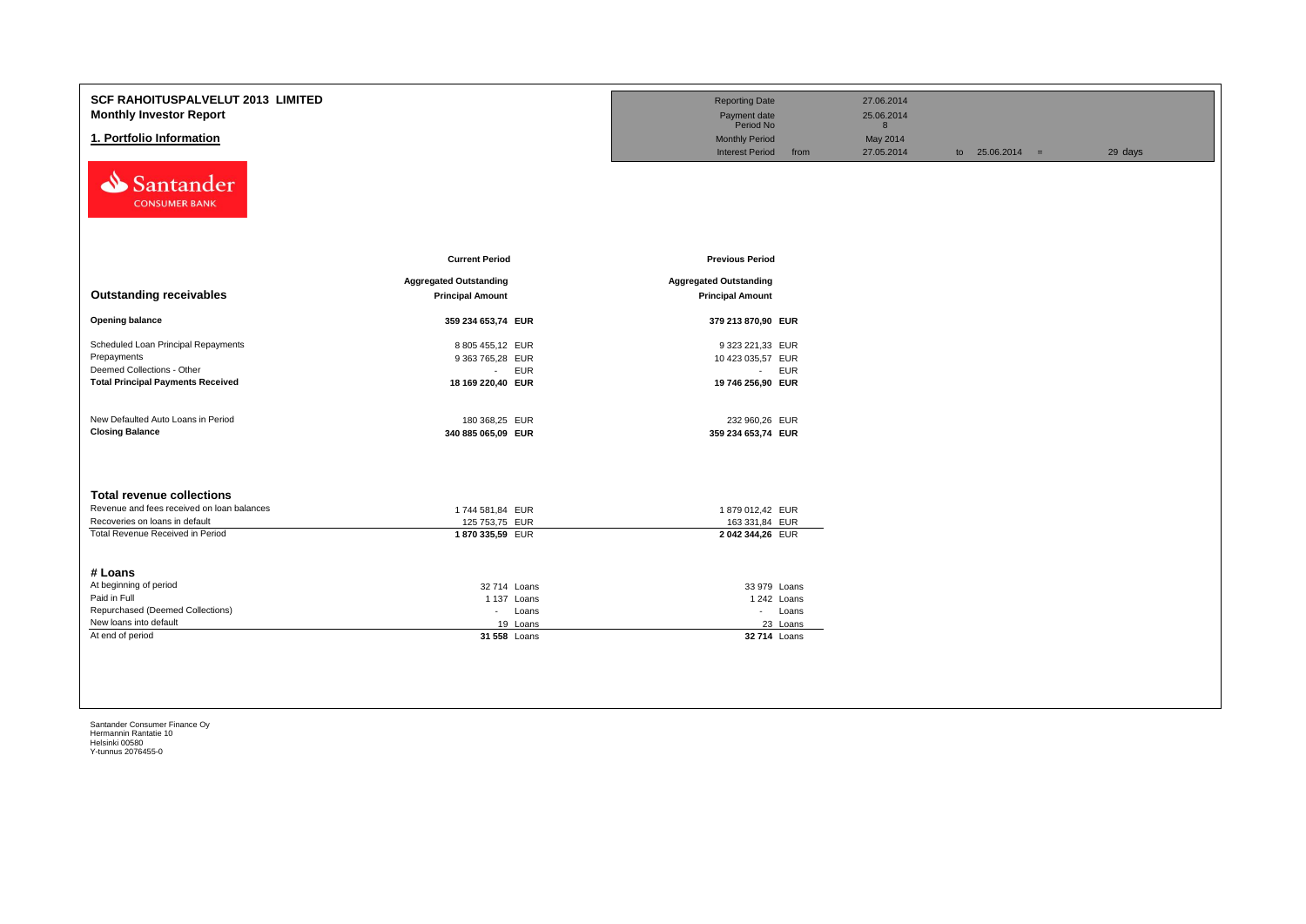| <b>SCF RAHOITUSPALVELUT 2013 LIMITED</b><br><b>Monthly Investor Report</b><br>1. Portfolio Information<br>Santander<br><b>CONSUMER BANK</b>          |                                                                                | <b>Reporting Date</b><br>Payment date<br>Period No<br><b>Monthly Period</b><br><b>Interest Period</b><br>from | 27.06.2014<br>25.06.2014<br>8<br>May 2014<br>27.05.2014 | to $25.06.2014 =$ | 29 days |
|------------------------------------------------------------------------------------------------------------------------------------------------------|--------------------------------------------------------------------------------|---------------------------------------------------------------------------------------------------------------|---------------------------------------------------------|-------------------|---------|
|                                                                                                                                                      | <b>Current Period</b>                                                          | <b>Previous Period</b>                                                                                        |                                                         |                   |         |
| <b>Outstanding receivables</b>                                                                                                                       | <b>Aggregated Outstanding</b><br><b>Principal Amount</b>                       | <b>Aggregated Outstanding</b><br><b>Principal Amount</b>                                                      |                                                         |                   |         |
| <b>Opening balance</b>                                                                                                                               | 359 234 653,74 EUR                                                             | 379 213 870,90 EUR                                                                                            |                                                         |                   |         |
| Scheduled Loan Principal Repayments<br>Prepayments<br>Deemed Collections - Other<br><b>Total Principal Payments Received</b>                         | 8 805 455,12 EUR<br>9 363 765,28 EUR<br>- EUR<br>18 169 220,40 EUR             | 9 323 221,33 EUR<br>10 423 035,57 EUR<br>- EUR<br>19 746 256,90 EUR                                           |                                                         |                   |         |
| New Defaulted Auto Loans in Period<br><b>Closing Balance</b>                                                                                         | 180 368,25 EUR<br>340 885 065,09 EUR                                           | 232 960,26 EUR<br>359 234 653,74 EUR                                                                          |                                                         |                   |         |
| <b>Total revenue collections</b><br>Revenue and fees received on loan balances<br>Recoveries on loans in default<br>Total Revenue Received in Period | 1744 581,84 EUR<br>125 753,75 EUR<br>1870 335,59 EUR                           | 1879 012,42 EUR<br>163 331,84 EUR<br>2042 344,26 EUR                                                          |                                                         |                   |         |
| # Loans<br>At beginning of period<br>Paid in Full<br>Repurchased (Deemed Collections)<br>New loans into default<br>At end of period                  | 32 714 Loans<br>1 137 Loans<br>Loans<br>$\sim 100$<br>19 Loans<br>31 558 Loans | 33 979 Loans<br>1 242 Loans<br>- Loans<br>23 Loans<br>32 714 Loans                                            |                                                         |                   |         |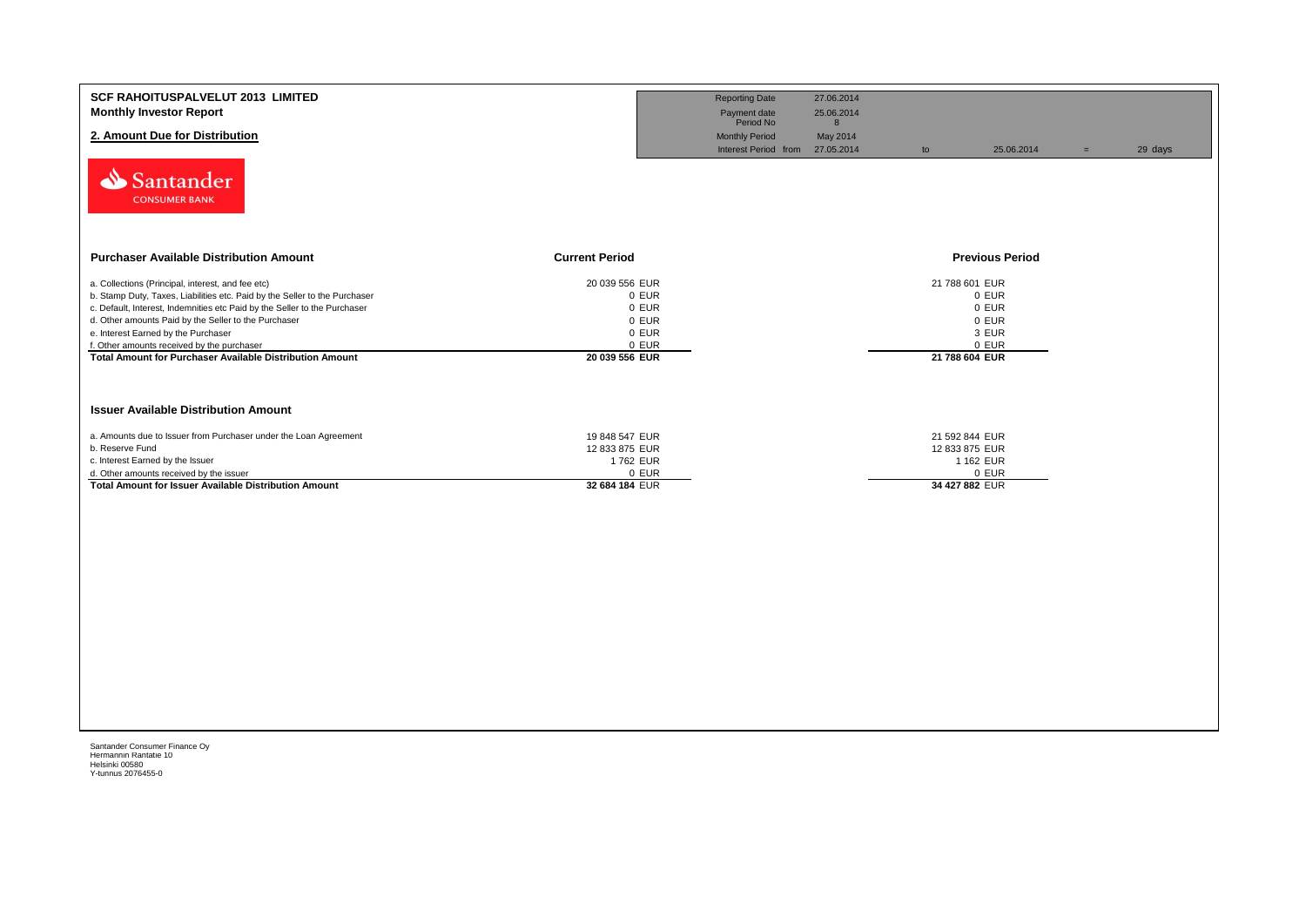| <b>SCF RAHOITUSPALVELUT 2013 LIMITED</b><br><b>Monthly Investor Report</b><br>2. Amount Due for Distribution<br>Santander<br><b>CONSUMER BANK</b>                                                                                                                                                                                                                                                                            |                                                                               | <b>Reporting Date</b><br>Payment date<br>Period No<br><b>Monthly Period</b><br>Interest Period from 27.05.2014 | 27.06.2014<br>25.06.2014<br>8<br>May 2014 | to                                                              | 25.06.2014                                | $=$ | 29 days |
|------------------------------------------------------------------------------------------------------------------------------------------------------------------------------------------------------------------------------------------------------------------------------------------------------------------------------------------------------------------------------------------------------------------------------|-------------------------------------------------------------------------------|----------------------------------------------------------------------------------------------------------------|-------------------------------------------|-----------------------------------------------------------------|-------------------------------------------|-----|---------|
| <b>Purchaser Available Distribution Amount</b><br><b>Current Period</b>                                                                                                                                                                                                                                                                                                                                                      |                                                                               |                                                                                                                |                                           |                                                                 | <b>Previous Period</b>                    |     |         |
| a. Collections (Principal, interest, and fee etc)<br>b. Stamp Duty, Taxes, Liabilities etc. Paid by the Seller to the Purchaser<br>c. Default, Interest, Indemnities etc Paid by the Seller to the Purchaser<br>d. Other amounts Paid by the Seller to the Purchaser<br>e. Interest Earned by the Purchaser<br>f. Other amounts received by the purchaser<br><b>Total Amount for Purchaser Available Distribution Amount</b> | 20 039 556 EUR<br>0 EUR<br>0 EUR<br>0 EUR<br>0 EUR<br>0 EUR<br>20 039 556 EUR |                                                                                                                |                                           | 21 788 601 EUR<br>21 788 604 EUR                                | 0 EUR<br>0 EUR<br>0 EUR<br>3 EUR<br>0 EUR |     |         |
| <b>Issuer Available Distribution Amount</b>                                                                                                                                                                                                                                                                                                                                                                                  |                                                                               |                                                                                                                |                                           |                                                                 |                                           |     |         |
| a. Amounts due to Issuer from Purchaser under the Loan Agreement<br>b. Reserve Fund<br>c. Interest Earned by the Issuer<br>d. Other amounts received by the issuer<br>Total Amount for Issuer Available Distribution Amount                                                                                                                                                                                                  | 19 848 547 EUR<br>12 833 875 EUR<br>1762 EUR<br>0 EUR<br>32 684 184 EUR       |                                                                                                                |                                           | 21 592 844 EUR<br>12 833 875 EUR<br>1 162 EUR<br>34 427 882 EUR | 0 EUR                                     |     |         |
|                                                                                                                                                                                                                                                                                                                                                                                                                              |                                                                               |                                                                                                                |                                           |                                                                 |                                           |     |         |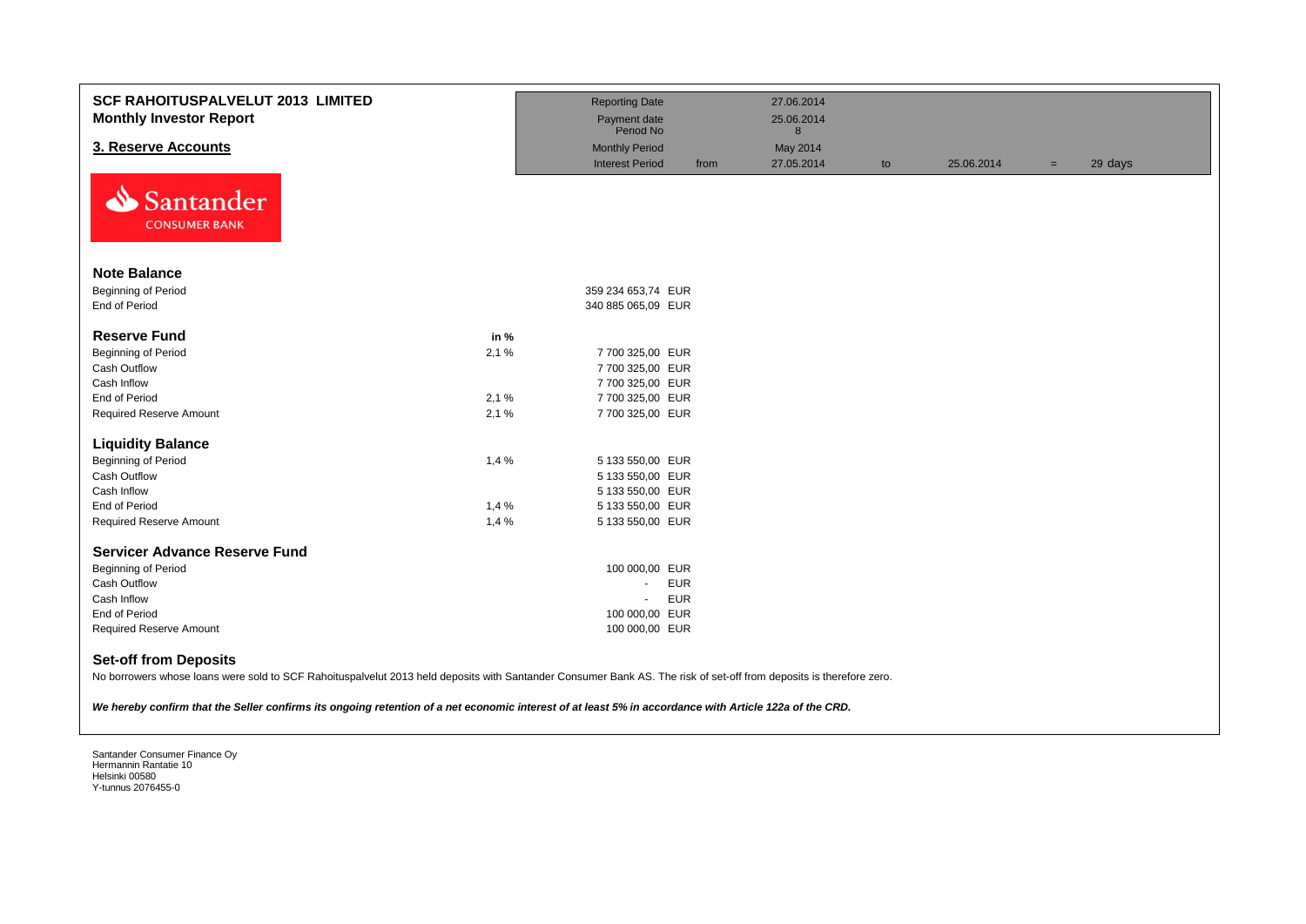| <b>SCF RAHOITUSPALVELUT 2013 LIMITED</b><br><b>Monthly Investor Report</b>                                                                                                                                                                                                                                                                                    |      | <b>Reporting Date</b><br>Payment date<br>Period No |      | 27.06.2014<br>25.06.2014<br>8 |    |            |     |         |
|---------------------------------------------------------------------------------------------------------------------------------------------------------------------------------------------------------------------------------------------------------------------------------------------------------------------------------------------------------------|------|----------------------------------------------------|------|-------------------------------|----|------------|-----|---------|
| 3. Reserve Accounts                                                                                                                                                                                                                                                                                                                                           |      | <b>Monthly Period</b>                              |      | May 2014                      |    |            |     |         |
|                                                                                                                                                                                                                                                                                                                                                               |      | <b>Interest Period</b>                             | from | 27.05.2014                    | to | 25.06.2014 | $=$ | 29 days |
| Santander<br><b>CONSUMER BANK</b>                                                                                                                                                                                                                                                                                                                             |      |                                                    |      |                               |    |            |     |         |
| <b>Note Balance</b>                                                                                                                                                                                                                                                                                                                                           |      |                                                    |      |                               |    |            |     |         |
| <b>Beginning of Period</b>                                                                                                                                                                                                                                                                                                                                    |      | 359 234 653,74 EUR                                 |      |                               |    |            |     |         |
| End of Period                                                                                                                                                                                                                                                                                                                                                 |      | 340 885 065,09 EUR                                 |      |                               |    |            |     |         |
| <b>Reserve Fund</b>                                                                                                                                                                                                                                                                                                                                           | in % |                                                    |      |                               |    |            |     |         |
| <b>Beginning of Period</b>                                                                                                                                                                                                                                                                                                                                    | 2,1% | 7 700 325,00 EUR                                   |      |                               |    |            |     |         |
| Cash Outflow                                                                                                                                                                                                                                                                                                                                                  |      | 7 700 325,00 EUR                                   |      |                               |    |            |     |         |
| Cash Inflow                                                                                                                                                                                                                                                                                                                                                   |      | 7 700 325,00 EUR                                   |      |                               |    |            |     |         |
| End of Period                                                                                                                                                                                                                                                                                                                                                 | 2,1% | 7 700 325,00 EUR                                   |      |                               |    |            |     |         |
| <b>Required Reserve Amount</b>                                                                                                                                                                                                                                                                                                                                | 2.1% | 7 700 325,00 EUR                                   |      |                               |    |            |     |         |
| <b>Liquidity Balance</b>                                                                                                                                                                                                                                                                                                                                      |      |                                                    |      |                               |    |            |     |         |
| <b>Beginning of Period</b>                                                                                                                                                                                                                                                                                                                                    | 1,4% | 5 133 550,00 EUR                                   |      |                               |    |            |     |         |
| Cash Outflow                                                                                                                                                                                                                                                                                                                                                  |      | 5 133 550,00 EUR                                   |      |                               |    |            |     |         |
| Cash Inflow                                                                                                                                                                                                                                                                                                                                                   |      | 5 133 550,00 EUR                                   |      |                               |    |            |     |         |
| <b>End of Period</b>                                                                                                                                                                                                                                                                                                                                          | 1,4% | 5 133 550,00 EUR                                   |      |                               |    |            |     |         |
| <b>Required Reserve Amount</b>                                                                                                                                                                                                                                                                                                                                | 1,4% | 5 133 550,00 EUR                                   |      |                               |    |            |     |         |
| <b>Servicer Advance Reserve Fund</b>                                                                                                                                                                                                                                                                                                                          |      |                                                    |      |                               |    |            |     |         |
| <b>Beginning of Period</b>                                                                                                                                                                                                                                                                                                                                    |      | 100 000,00 EUR                                     |      |                               |    |            |     |         |
| <b>Cash Outflow</b>                                                                                                                                                                                                                                                                                                                                           |      | <b>EUR</b><br>÷.                                   |      |                               |    |            |     |         |
| Cash Inflow                                                                                                                                                                                                                                                                                                                                                   |      | <b>EUR</b><br>$\blacksquare$                       |      |                               |    |            |     |         |
| End of Period                                                                                                                                                                                                                                                                                                                                                 |      | 100 000,00 EUR                                     |      |                               |    |            |     |         |
| <b>Required Reserve Amount</b>                                                                                                                                                                                                                                                                                                                                |      | 100 000,00 EUR                                     |      |                               |    |            |     |         |
| <b>Set-off from Deposits</b><br>No borrowers whose loans were sold to SCF Rahoituspalvelut 2013 held deposits with Santander Consumer Bank AS. The risk of set-off from deposits is therefore zero.<br>We hereby confirm that the Seller confirms its ongoing retention of a net economic interest of at least 5% in accordance with Article 122a of the CRD. |      |                                                    |      |                               |    |            |     |         |
|                                                                                                                                                                                                                                                                                                                                                               |      |                                                    |      |                               |    |            |     |         |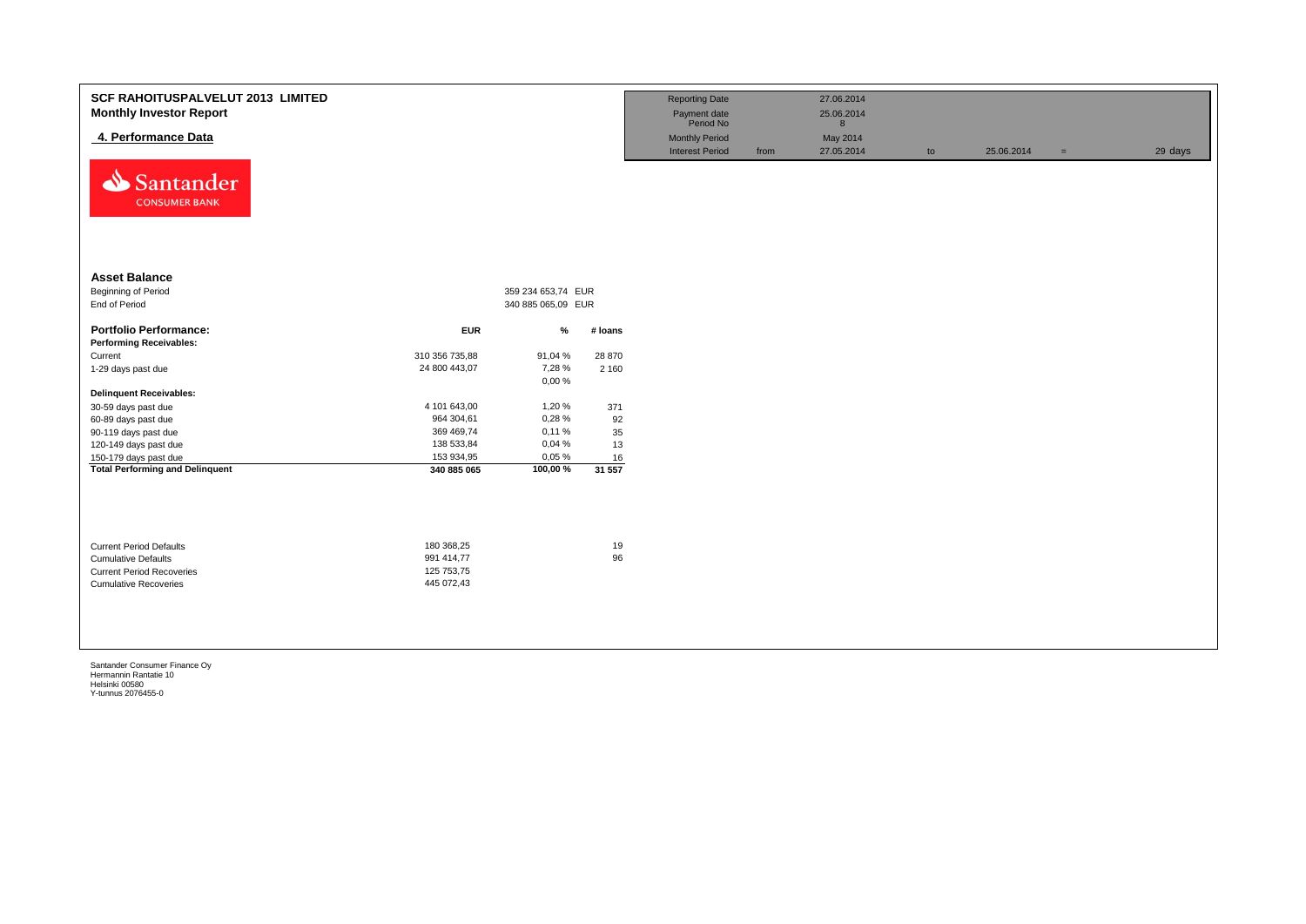| <b>SCF RAHOITUSPALVELUT 2013 LIMITED</b><br><b>Monthly Investor Report</b><br>4. Performance Data<br>⇘<br>Santander<br><b>CONSUMER BANK</b> |                          |                    |          | <b>Reporting Date</b><br>Payment date<br>Period No<br><b>Monthly Period</b><br><b>Interest Period</b> | from | 27.06.2014<br>25.06.2014<br>8<br>May 2014<br>27.05.2014 | to | 25.06.2014 | $\equiv$ | 29 days |
|---------------------------------------------------------------------------------------------------------------------------------------------|--------------------------|--------------------|----------|-------------------------------------------------------------------------------------------------------|------|---------------------------------------------------------|----|------------|----------|---------|
| <b>Asset Balance</b>                                                                                                                        |                          |                    |          |                                                                                                       |      |                                                         |    |            |          |         |
| Beginning of Period                                                                                                                         |                          | 359 234 653,74 EUR |          |                                                                                                       |      |                                                         |    |            |          |         |
| End of Period                                                                                                                               |                          | 340 885 065,09 EUR |          |                                                                                                       |      |                                                         |    |            |          |         |
|                                                                                                                                             |                          |                    |          |                                                                                                       |      |                                                         |    |            |          |         |
| <b>Portfolio Performance:</b>                                                                                                               | <b>EUR</b>               | $\%$               | # Ioans  |                                                                                                       |      |                                                         |    |            |          |         |
| <b>Performing Receivables:</b>                                                                                                              |                          |                    |          |                                                                                                       |      |                                                         |    |            |          |         |
| Current                                                                                                                                     | 310 356 735,88           | 91,04 %            | 28 870   |                                                                                                       |      |                                                         |    |            |          |         |
| 1-29 days past due                                                                                                                          | 24 800 443,07            | 7,28 %             | 2 1 6 0  |                                                                                                       |      |                                                         |    |            |          |         |
| <b>Delinquent Receivables:</b>                                                                                                              |                          | 0,00%              |          |                                                                                                       |      |                                                         |    |            |          |         |
| 30-59 days past due                                                                                                                         | 4 101 643,00             | 1,20%              | 371      |                                                                                                       |      |                                                         |    |            |          |         |
| 60-89 days past due                                                                                                                         | 964 304,61               | 0,28%              | 92       |                                                                                                       |      |                                                         |    |            |          |         |
| 90-119 days past due                                                                                                                        | 369 469,74               | 0,11%              | 35       |                                                                                                       |      |                                                         |    |            |          |         |
| 120-149 days past due                                                                                                                       | 138 533,84               | 0,04%              | 13       |                                                                                                       |      |                                                         |    |            |          |         |
| 150-179 days past due                                                                                                                       | 153 934,95               | 0,05%              | 16       |                                                                                                       |      |                                                         |    |            |          |         |
| <b>Total Performing and Delinquent</b>                                                                                                      | 340 885 065              | 100,00%            | 31 557   |                                                                                                       |      |                                                         |    |            |          |         |
|                                                                                                                                             |                          |                    |          |                                                                                                       |      |                                                         |    |            |          |         |
| <b>Current Period Defaults</b><br><b>Cumulative Defaults</b>                                                                                | 180 368,25<br>991 414,77 |                    | 19<br>96 |                                                                                                       |      |                                                         |    |            |          |         |
| <b>Current Period Recoveries</b>                                                                                                            | 125 753,75               |                    |          |                                                                                                       |      |                                                         |    |            |          |         |
| <b>Cumulative Recoveries</b>                                                                                                                | 445 072,43               |                    |          |                                                                                                       |      |                                                         |    |            |          |         |
|                                                                                                                                             |                          |                    |          |                                                                                                       |      |                                                         |    |            |          |         |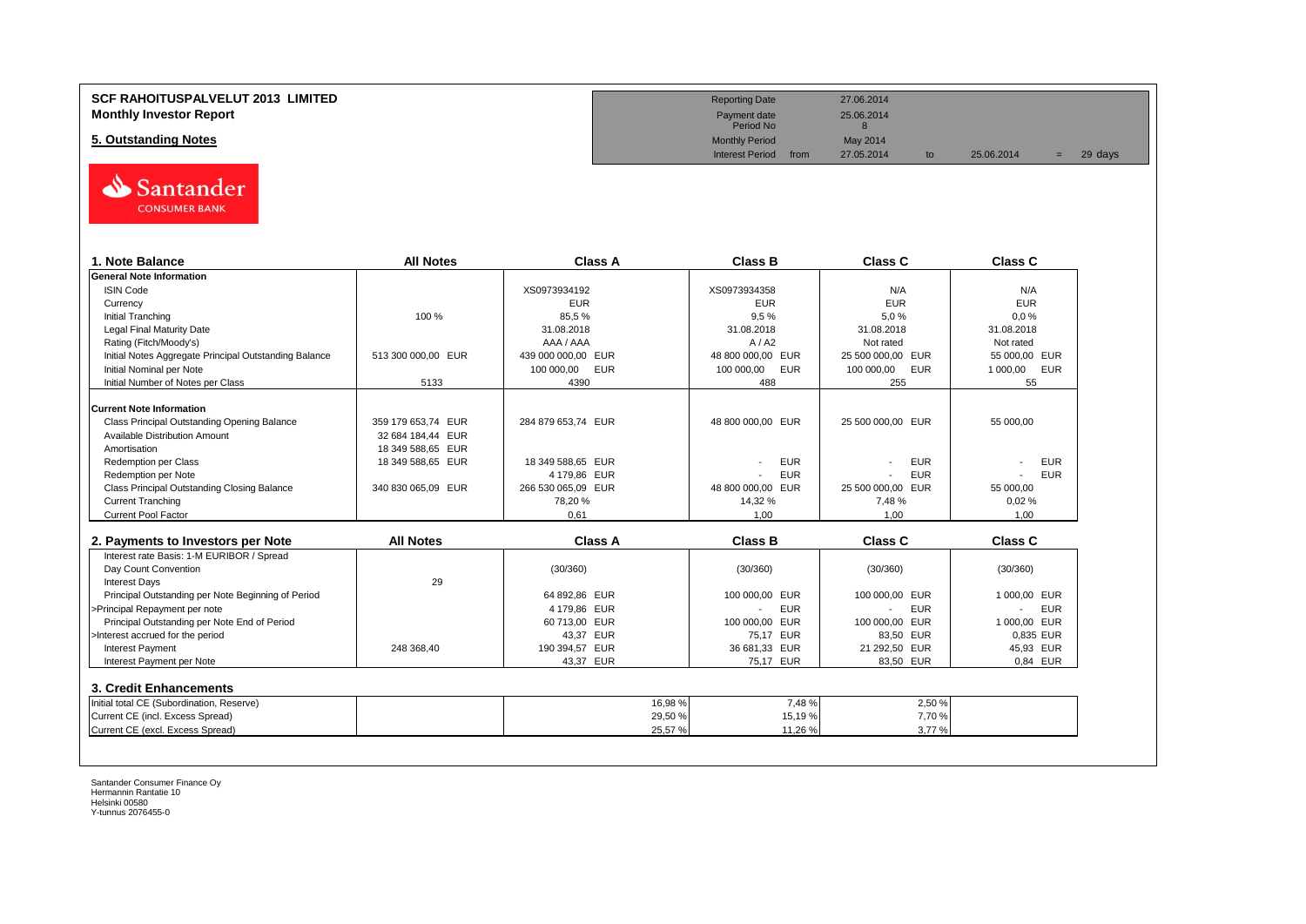#### **SCF RAHOITUSPALVELUT 2013 LIMITED Monthly Investor Report**

**5. Outstanding Notes** 



| <b>All Notes</b>   | <b>Class A</b>                                                                                          | <b>Class B</b>                                                                          | <b>Class C</b>                                                                | <b>Class C</b>                                                              |
|--------------------|---------------------------------------------------------------------------------------------------------|-----------------------------------------------------------------------------------------|-------------------------------------------------------------------------------|-----------------------------------------------------------------------------|
|                    |                                                                                                         |                                                                                         |                                                                               |                                                                             |
|                    | XS0973934192                                                                                            | XS0973934358                                                                            | N/A                                                                           | N/A                                                                         |
|                    | <b>EUR</b>                                                                                              | <b>EUR</b>                                                                              | <b>EUR</b>                                                                    | <b>EUR</b>                                                                  |
| 100 %              | 85,5%                                                                                                   | 9.5%                                                                                    | 5.0%                                                                          | 0.0%                                                                        |
|                    | 31.08.2018                                                                                              | 31.08.2018                                                                              | 31.08.2018                                                                    | 31.08.2018                                                                  |
|                    | AAA / AAA                                                                                               | A/ A2                                                                                   | Not rated                                                                     | Not rated                                                                   |
| 513 300 000.00 EUR | 439 000 000,00 EUR                                                                                      | 48 800 000,00 EUR                                                                       | 25 500 000,00 EUR                                                             | 55 000.00 EUR                                                               |
|                    | 100 000,00 EUR                                                                                          | 100 000,00<br><b>EUR</b>                                                                | 100 000,00<br>EUR                                                             | 1 000,00<br>EUR                                                             |
| 5133               | 4390                                                                                                    | 488                                                                                     | 255                                                                           | 55                                                                          |
|                    |                                                                                                         |                                                                                         |                                                                               |                                                                             |
|                    |                                                                                                         |                                                                                         |                                                                               | 55 000,00                                                                   |
|                    |                                                                                                         |                                                                                         |                                                                               |                                                                             |
|                    |                                                                                                         |                                                                                         |                                                                               |                                                                             |
|                    |                                                                                                         |                                                                                         |                                                                               | <b>EUR</b>                                                                  |
|                    |                                                                                                         |                                                                                         |                                                                               | <b>EUR</b>                                                                  |
|                    |                                                                                                         |                                                                                         |                                                                               | 55 000.00                                                                   |
|                    |                                                                                                         |                                                                                         |                                                                               | 0,02%                                                                       |
|                    | 0.61                                                                                                    | 1.00                                                                                    | 1.00                                                                          | 1.00                                                                        |
|                    |                                                                                                         |                                                                                         |                                                                               |                                                                             |
| <b>All Notes</b>   | <b>Class A</b>                                                                                          | <b>Class B</b>                                                                          | <b>Class C</b>                                                                | <b>Class C</b>                                                              |
|                    |                                                                                                         |                                                                                         |                                                                               |                                                                             |
|                    | (30/360)                                                                                                | (30/360)                                                                                | (30/360)                                                                      | (30/360)                                                                    |
| 29                 |                                                                                                         |                                                                                         |                                                                               |                                                                             |
|                    | 64 892.86 EUR                                                                                           | 100 000.00 EUR                                                                          | 100 000,00 EUR                                                                | 1 000.00 EUR                                                                |
|                    | 4 179,86 EUR                                                                                            | <b>EUR</b><br>$\overline{a}$                                                            | <b>EUR</b>                                                                    | <b>EUR</b>                                                                  |
|                    | 60 713,00 EUR                                                                                           | 100 000,00 EUR                                                                          | 100 000,00 EUR                                                                | 1 000.00 EUR                                                                |
|                    | 43,37 EUR                                                                                               | 75,17 EUR                                                                               | 83,50 EUR                                                                     | 0,835 EUR                                                                   |
| 248 368,40         | 190 394,57 EUR                                                                                          | 36 681,33 EUR                                                                           | 21 292,50 EUR                                                                 | 45,93 EUR                                                                   |
|                    | 43,37 EUR                                                                                               | 75,17 EUR                                                                               | 83,50 EUR                                                                     | 0.84 EUR                                                                    |
|                    |                                                                                                         |                                                                                         |                                                                               |                                                                             |
|                    |                                                                                                         |                                                                                         |                                                                               |                                                                             |
|                    |                                                                                                         |                                                                                         |                                                                               |                                                                             |
|                    | 16,98 %<br>29,50 %                                                                                      | 7,48%<br>15,19%                                                                         | 2,50 %<br>7,70 %                                                              |                                                                             |
|                    | 359 179 653,74 EUR<br>32 684 184.44 EUR<br>18 349 588,65 EUR<br>18 349 588,65 EUR<br>340 830 065.09 EUR | 284 879 653,74 EUR<br>18 349 588.65 EUR<br>4 179,86 EUR<br>266 530 065.09 EUR<br>78,20% | 48 800 000,00 EUR<br><b>EUR</b><br><b>EUR</b><br>48 800 000.00 EUR<br>14,32 % | 25 500 000,00 EUR<br><b>EUR</b><br><b>EUR</b><br>25 500 000.00 EUR<br>7.48% |

| <b>Reporting Date</b>     |      | 27.06.2014 |    |            |   |         |  |
|---------------------------|------|------------|----|------------|---|---------|--|
| Payment date<br>Period No |      | 25.06.2014 |    |            |   |         |  |
| <b>Monthly Period</b>     |      | May 2014   |    |            |   |         |  |
| <b>Interest Period</b>    | from | 27.05.2014 | to | 25.06.2014 | Ξ | 29 days |  |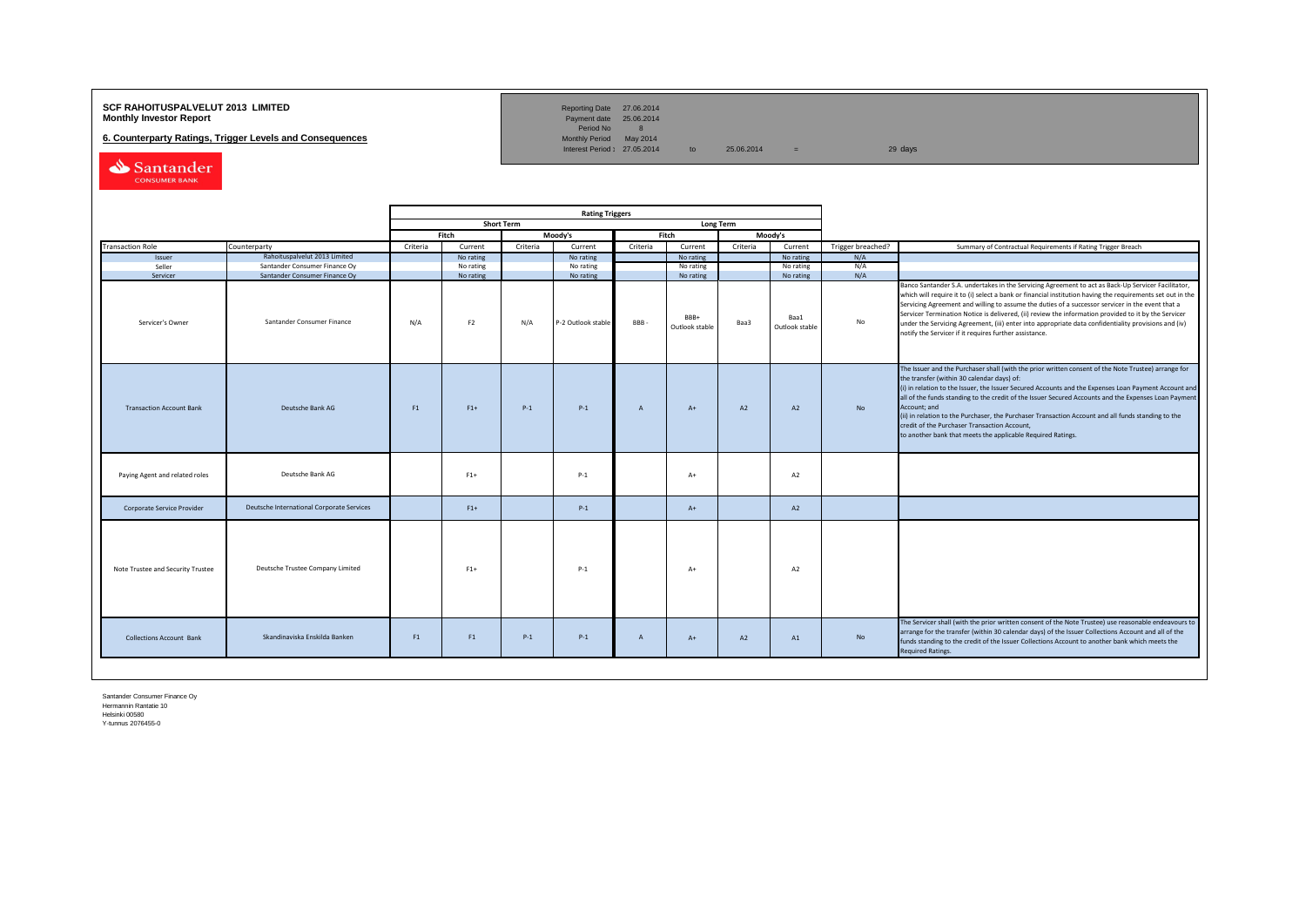## **SCF RAHOITUSPALVELUT 2013 LIMITED**<br>**Monthly Investor Report** Payment date 25.06.2014

**6. Counterparty Ratings, Trigger Levels and Consequences** 

Reporting Date 27.06.2014<br>Payment date 25.06.2014<br>Period No 8<br>Monthly Period May 2014

Interest Period:  $27.05.2014$  to  $25.06.2014$  =  $29 \text{ days}$ 

Santander CONSUMER BANK

|                                   |                                           |                |                |                   | <b>Rating Triggers</b> |                |                        |                  |                        |                   |                                                                                                                                                                                                                                                                                                                                                                                                                                                                                                                                                                                                        |
|-----------------------------------|-------------------------------------------|----------------|----------------|-------------------|------------------------|----------------|------------------------|------------------|------------------------|-------------------|--------------------------------------------------------------------------------------------------------------------------------------------------------------------------------------------------------------------------------------------------------------------------------------------------------------------------------------------------------------------------------------------------------------------------------------------------------------------------------------------------------------------------------------------------------------------------------------------------------|
|                                   |                                           |                |                | <b>Short Term</b> |                        |                |                        | <b>Long Term</b> |                        |                   |                                                                                                                                                                                                                                                                                                                                                                                                                                                                                                                                                                                                        |
|                                   |                                           |                | Fitch          |                   | Moody's                |                | Fitch                  |                  | Moody's                |                   |                                                                                                                                                                                                                                                                                                                                                                                                                                                                                                                                                                                                        |
| <b>Transaction Role</b>           | Counterparty                              | Criteria       | Current        | Criteria          | Current                | Criteria       | Current                | Criteria         | Current                | Trigger breached? | Summary of Contractual Requirements if Rating Trigger Breach                                                                                                                                                                                                                                                                                                                                                                                                                                                                                                                                           |
| Issuer                            | Rahoituspalvelut 2013 Limited             |                | No rating      |                   | No rating              |                | No rating              |                  | No rating              | N/A               |                                                                                                                                                                                                                                                                                                                                                                                                                                                                                                                                                                                                        |
| Seller                            | Santander Consumer Finance Oy             |                | No rating      |                   | No rating              |                | No rating              |                  | No rating              | N/A               |                                                                                                                                                                                                                                                                                                                                                                                                                                                                                                                                                                                                        |
| Servicer                          | Santander Consumer Finance Oy             |                | No rating      |                   | No rating              |                | No rating              |                  | No rating              | N/A               |                                                                                                                                                                                                                                                                                                                                                                                                                                                                                                                                                                                                        |
| Servicer's Owner                  | Santander Consumer Finance                | N/A            | F <sub>2</sub> | N/A               | P-2 Outlook stable     | BBB-           | BBB+<br>Outlook stable | Baa3             | Baa1<br>Outlook stable | No                | Banco Santander S.A. undertakes in the Servicing Agreement to act as Back-Up Servicer Facilitator,<br>which will require it to (i) select a bank or financial institution having the requirements set out in the<br>Servicing Agreement and willing to assume the duties of a successor servicer in the event that a<br>Servicer Termination Notice is delivered, (ii) review the information provided to it by the Servicer<br>under the Servicing Agreement, (iii) enter into appropriate data confidentiality provisions and (iv)<br>notify the Servicer if it requires further assistance.         |
| <b>Transaction Account Bank</b>   | Deutsche Bank AG                          | F1             | $F1+$          | $P-1$             | $P-1$                  | $\overline{A}$ | $A+$                   | A2               | A2                     | <b>No</b>         | The Issuer and the Purchaser shall (with the prior written consent of the Note Trustee) arrange for<br>the transfer (within 30 calendar days) of:<br>(i) in relation to the Issuer, the Issuer Secured Accounts and the Expenses Loan Payment Account and<br>all of the funds standing to the credit of the Issuer Secured Accounts and the Expenses Loan Payment<br>Account: and<br>(ii) in relation to the Purchaser, the Purchaser Transaction Account and all funds standing to the<br>credit of the Purchaser Transaction Account,<br>to another bank that meets the applicable Required Ratings. |
| Paying Agent and related roles    | Deutsche Bank AG                          |                | $F1+$          |                   | $P-1$                  |                | $A+$                   |                  | A2                     |                   |                                                                                                                                                                                                                                                                                                                                                                                                                                                                                                                                                                                                        |
| Corporate Service Provider        | Deutsche International Corporate Services |                | $F1+$          |                   | $P-1$                  |                | $A+$                   |                  | A2                     |                   |                                                                                                                                                                                                                                                                                                                                                                                                                                                                                                                                                                                                        |
| Note Trustee and Security Trustee | Deutsche Trustee Company Limited          |                | $F1+$          |                   | $P-1$                  |                | $A+$                   |                  | A2                     |                   |                                                                                                                                                                                                                                                                                                                                                                                                                                                                                                                                                                                                        |
| <b>Collections Account Bank</b>   | Skandinaviska Enskilda Banken             | F <sub>1</sub> | F1             | $P-1$             | $P-1$                  | $\overline{A}$ | $A+$                   | A2               | A1                     | No                | The Servicer shall (with the prior written consent of the Note Trustee) use reasonable endeavours to<br>arrange for the transfer (within 30 calendar days) of the Issuer Collections Account and all of the<br>funds standing to the credit of the Issuer Collections Account to another bank which meets the<br><b>Required Ratings.</b>                                                                                                                                                                                                                                                              |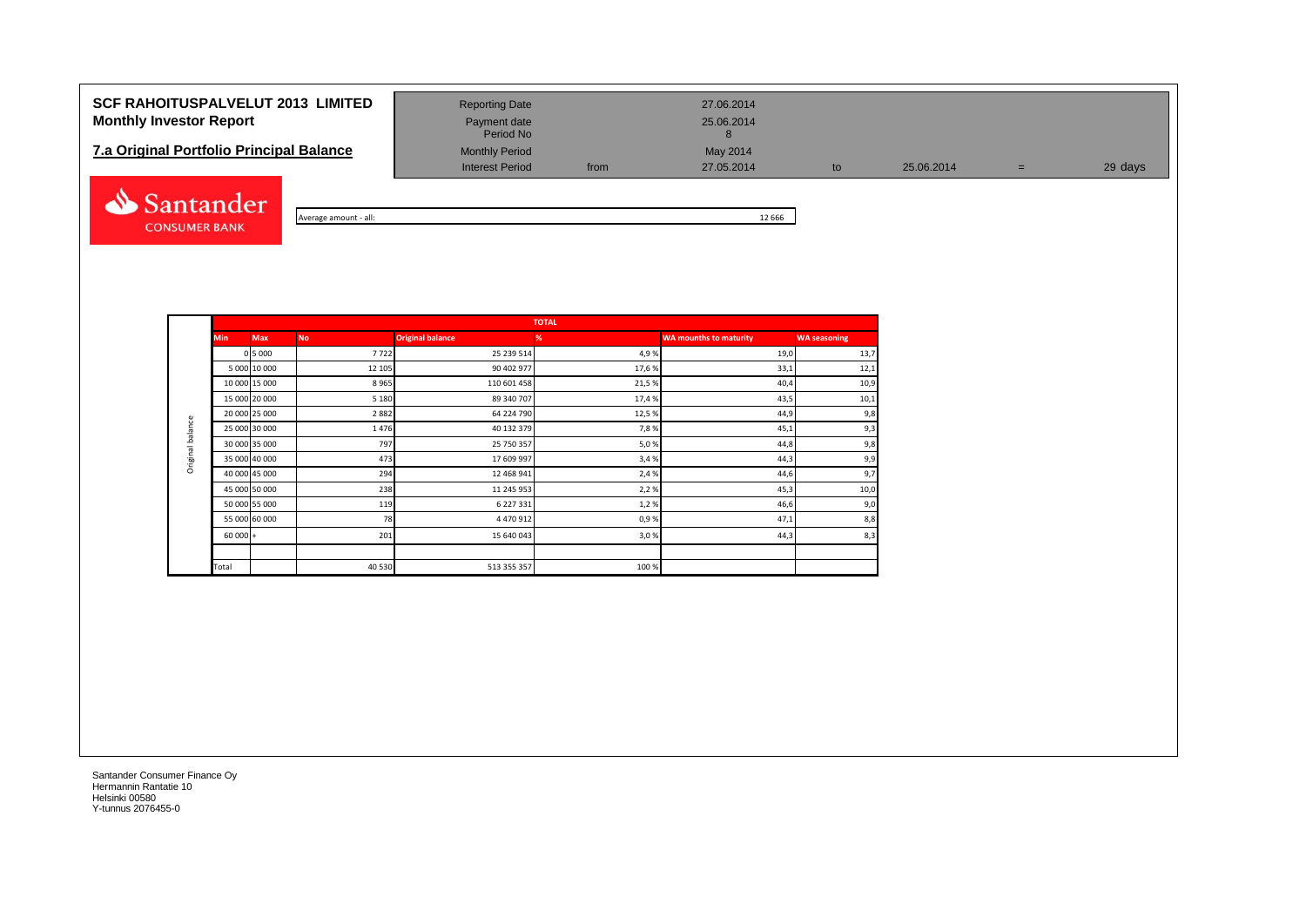## **SCF RAHOITUSPALVELUT 2013 LIMITED** Reporting Date 27.06.2014 **Monthly Investor Report Payment date** Payment date 25.06.2014

# **7.a Original Portfolio Principal Balance** Monthly Period May 2014<br>Interest Period May 2005.2014



Average amount - all: 12 666

Period No

Interest Period from 27.05.2014 to 25.06.2014 = 29 days

|            |               |           |                         | <b>TOTAL</b> |                               |                     |
|------------|---------------|-----------|-------------------------|--------------|-------------------------------|---------------------|
| <b>Min</b> | <b>Max</b>    | <b>No</b> | <b>Original balance</b> | %            | <b>WA mounths to maturity</b> | <b>WA seasoning</b> |
|            | 0 5 0 0 0     | 7722      | 25 239 514              | 4,9%         | 19,0                          | 13,7                |
|            | 5 000 10 000  | 12 105    | 90 402 977              | 17,6%        | 33,1                          | 12,1                |
|            | 10 000 15 000 | 8965      | 110 601 458             | 21,5%        | 40,4                          | 10,9                |
|            | 15 000 20 000 | 5 1 8 0   | 89 340 707              | 17,4%        | 43,5                          | 10,1                |
|            | 20 000 25 000 | 2882      | 64 224 790              | 12,5%        | 44,9                          | 9,8                 |
|            | 25 000 30 000 | 1476      | 40 132 379              | 7,8%         | 45,1                          | 9,3                 |
|            | 30 000 35 000 | 797       | 25 750 357              | 5,0%         | 44,8                          | 9,8                 |
|            | 35 000 40 000 | 473       | 17 609 997              | 3,4%         | 44,3                          | 9,9                 |
|            | 40 000 45 000 | 294       | 12 468 941              | 2,4 %        | 44,6                          | 9,7                 |
|            | 45 000 50 000 | 238       | 11 245 953              | 2,2%         | 45,3                          | 10,0                |
|            | 50 000 55 000 | 119       | 6 227 331               | 1,2%         | 46,6                          | 9,0                 |
|            | 55 000 60 000 | 78        | 4 470 912               | 0,9%         | 47,1                          | 8,8                 |
| $60000 +$  |               | 201       | 15 640 043              | 3,0%         | 44,3                          | 8,3                 |
|            |               |           |                         |              |                               |                     |
| Total      |               | 40 530    | 513 355 357             | 100%         |                               |                     |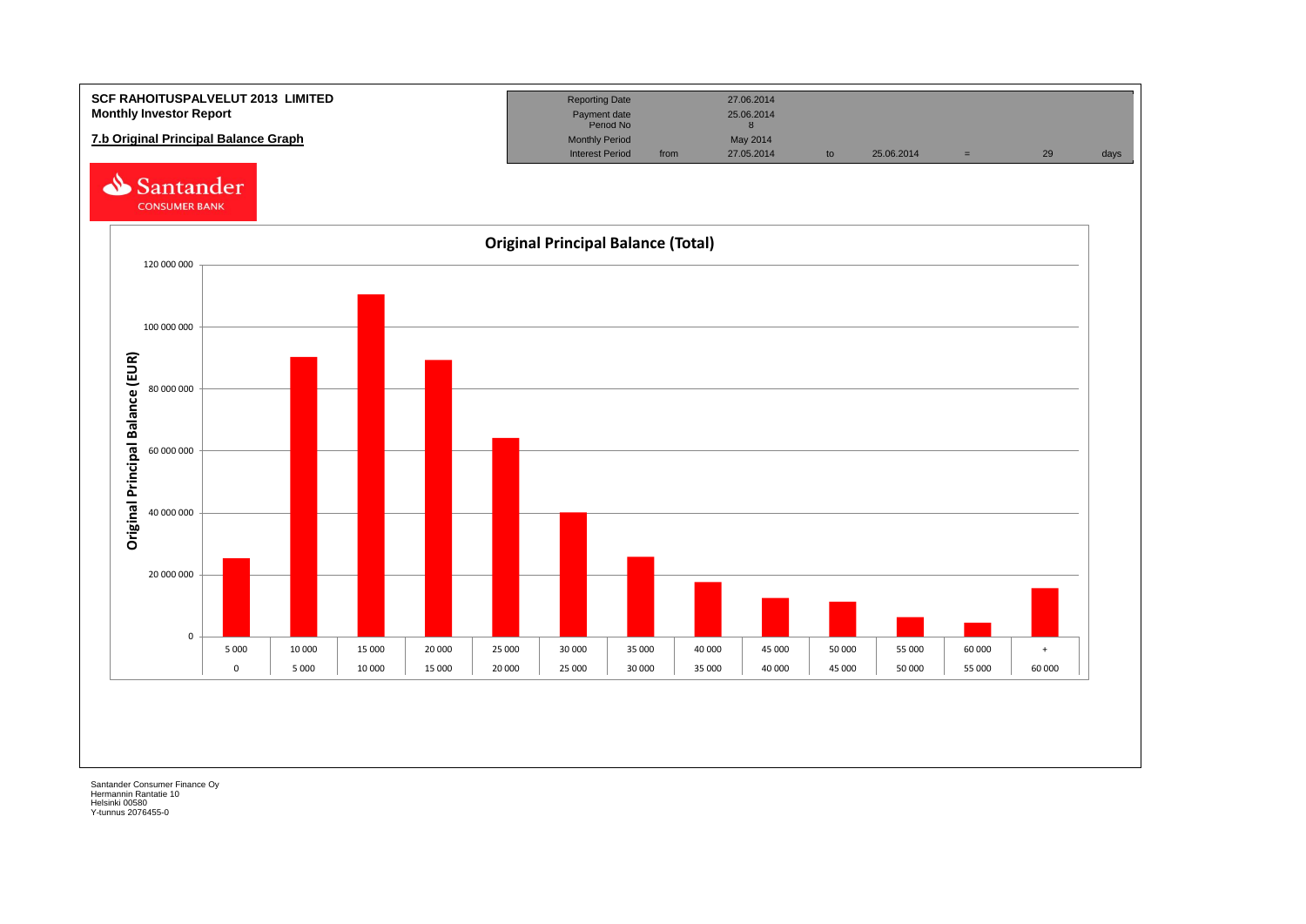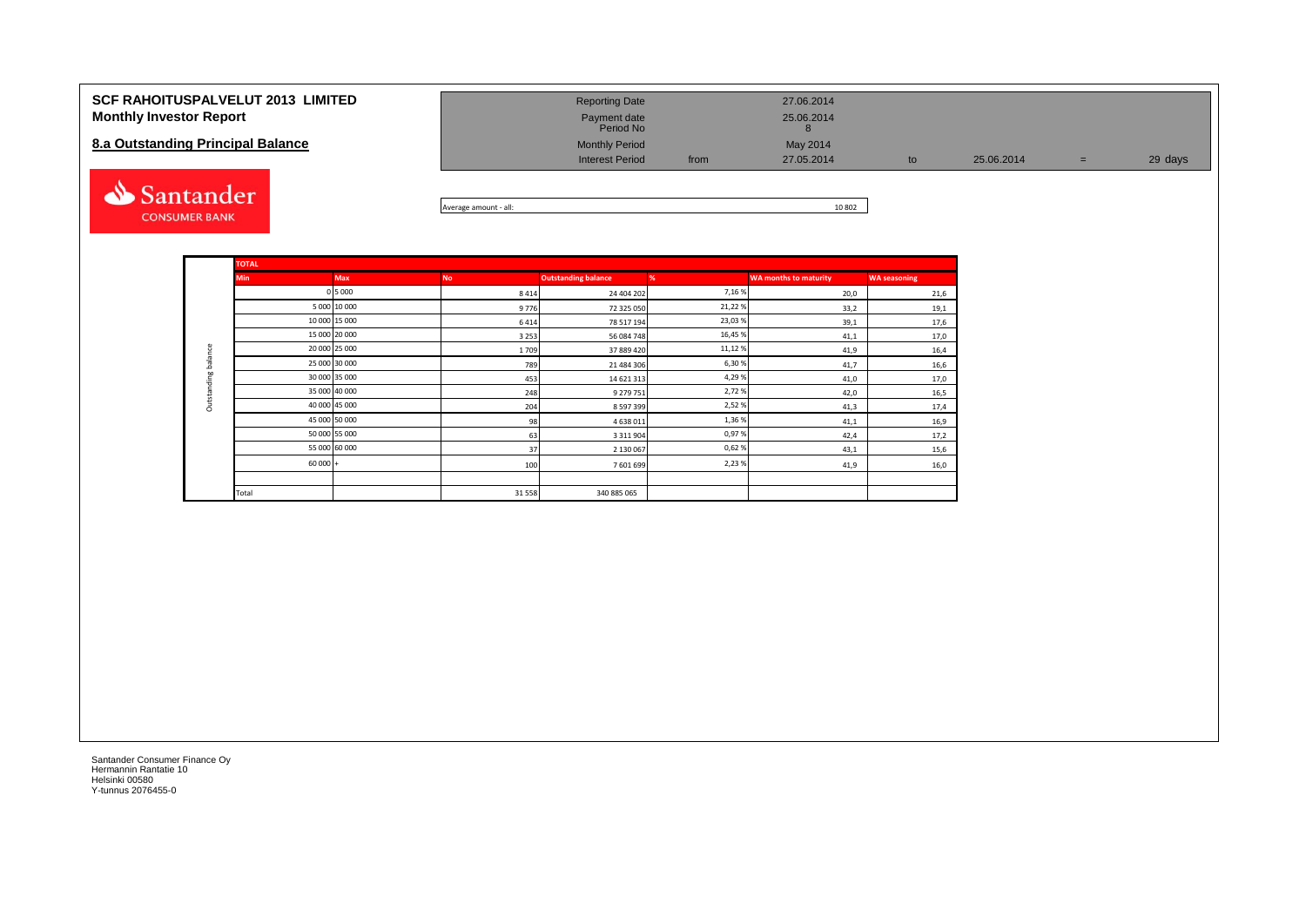| <b>SCF RAHOITUSPALVELUT 2013 LIMITED</b><br><b>Monthly Investor Report</b><br>8.a Outstanding Principal Balance | <b>Reporting Date</b><br>Payment date<br>Period No<br><b>Monthly Period</b><br><b>Interest Period</b> | from | 27.06.2014<br>25.06.2014<br>May 2014<br>27.05.2014 | to | 25.06.2014 | $=$ | 29 days |
|-----------------------------------------------------------------------------------------------------------------|-------------------------------------------------------------------------------------------------------|------|----------------------------------------------------|----|------------|-----|---------|
| Santander                                                                                                       |                                                                                                       |      | 10000                                              |    |            |     |         |



|             | <b>TOTAL</b> |               |           |                            |        |                              |                     |
|-------------|--------------|---------------|-----------|----------------------------|--------|------------------------------|---------------------|
|             | <b>Min</b>   | <b>Max</b>    | <b>No</b> | <b>Outstanding balance</b> | %      | <b>WA months to maturity</b> | <b>WA seasoning</b> |
|             |              | 0 5 0 0 0     | 8 4 1 4   | 24 404 202                 | 7,16%  | 20,0                         | 21,6                |
|             |              | 5 000 10 000  | 9776      | 72 325 050                 | 21,22% | 33,2                         | 19,1                |
|             |              | 10 000 15 000 | 6414      | 78 517 194                 | 23,03% | 39,1                         | 17,6                |
|             |              | 15 000 20 000 | 3 2 5 3   | 56 084 748                 | 16,45% | 41,1                         | 17,0                |
|             |              | 20 000 25 000 | 1709      | 37 889 420                 | 11,12% | 41,9                         | 16,4                |
| balance     |              | 25 000 30 000 | 789       | 21 484 306                 | 6,30%  | 41,7                         | 16,6                |
| Outstanding |              | 30 000 35 000 | 453       | 14 621 313                 | 4,29%  | 41,0                         | 17,0                |
|             |              | 35 000 40 000 | 248       | 9 279 751                  | 2,72%  | 42,0                         | 16,5                |
|             |              | 40 000 45 000 | 204       | 8 5 9 7 3 9 9              | 2,52%  | 41,3                         | 17,4                |
|             |              | 45 000 50 000 | 98        | 4638011                    | 1,36%  | 41,1                         | 16,9                |
|             |              | 50 000 55 000 | 63        | 3 3 1 1 9 0 4              | 0,97%  | 42,4                         | 17,2                |
|             |              | 55 000 60 000 | 37        | 2 130 067                  | 0,62%  | 43,1                         | 15,6                |
|             | $60000 +$    |               | 100       | 7601699                    | 2,23%  | 41,9                         | 16,0                |
|             |              |               |           |                            |        |                              |                     |
|             | Total        |               | 31 5 58   | 340 885 065                |        |                              |                     |

**CONSUMER BANK**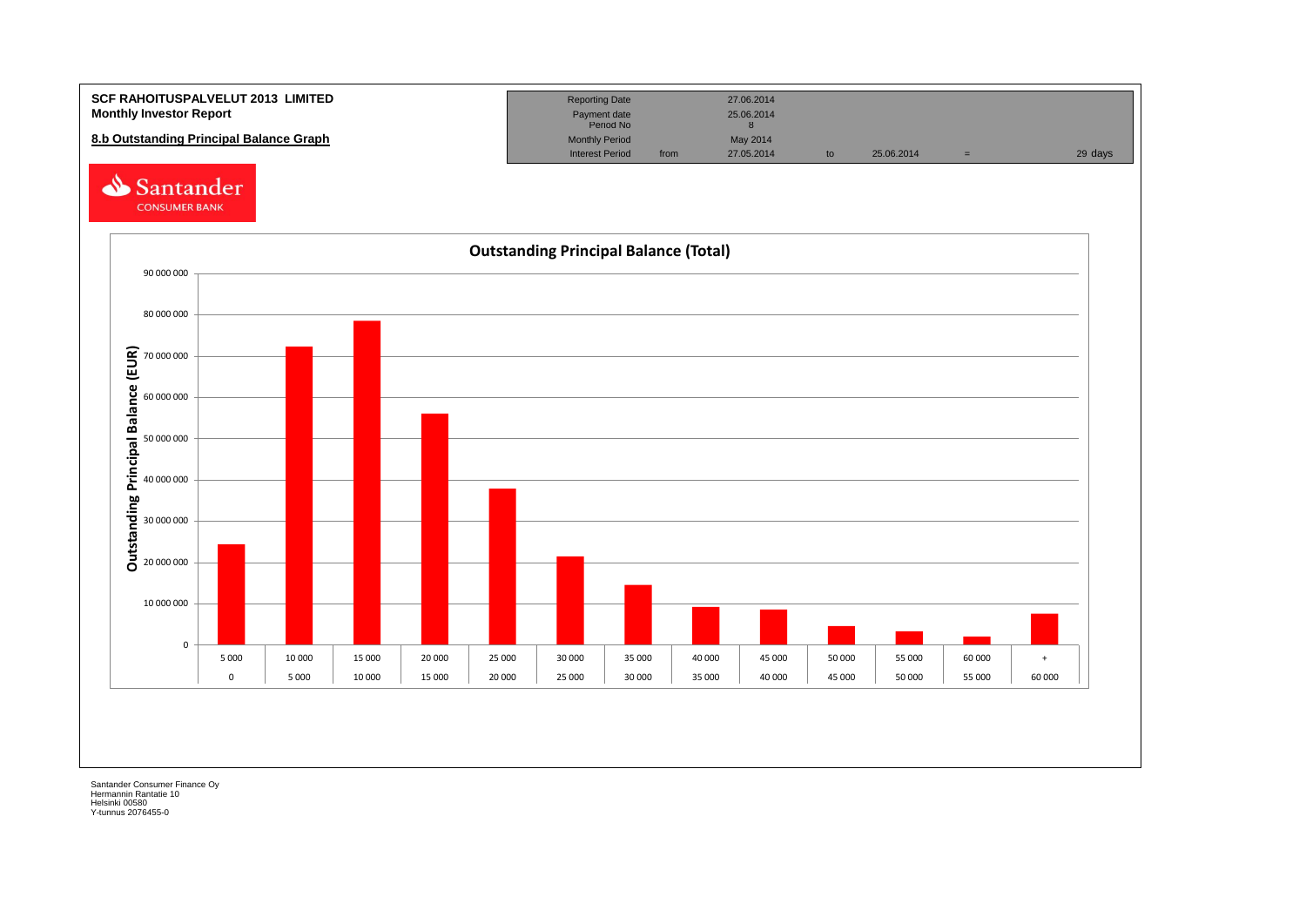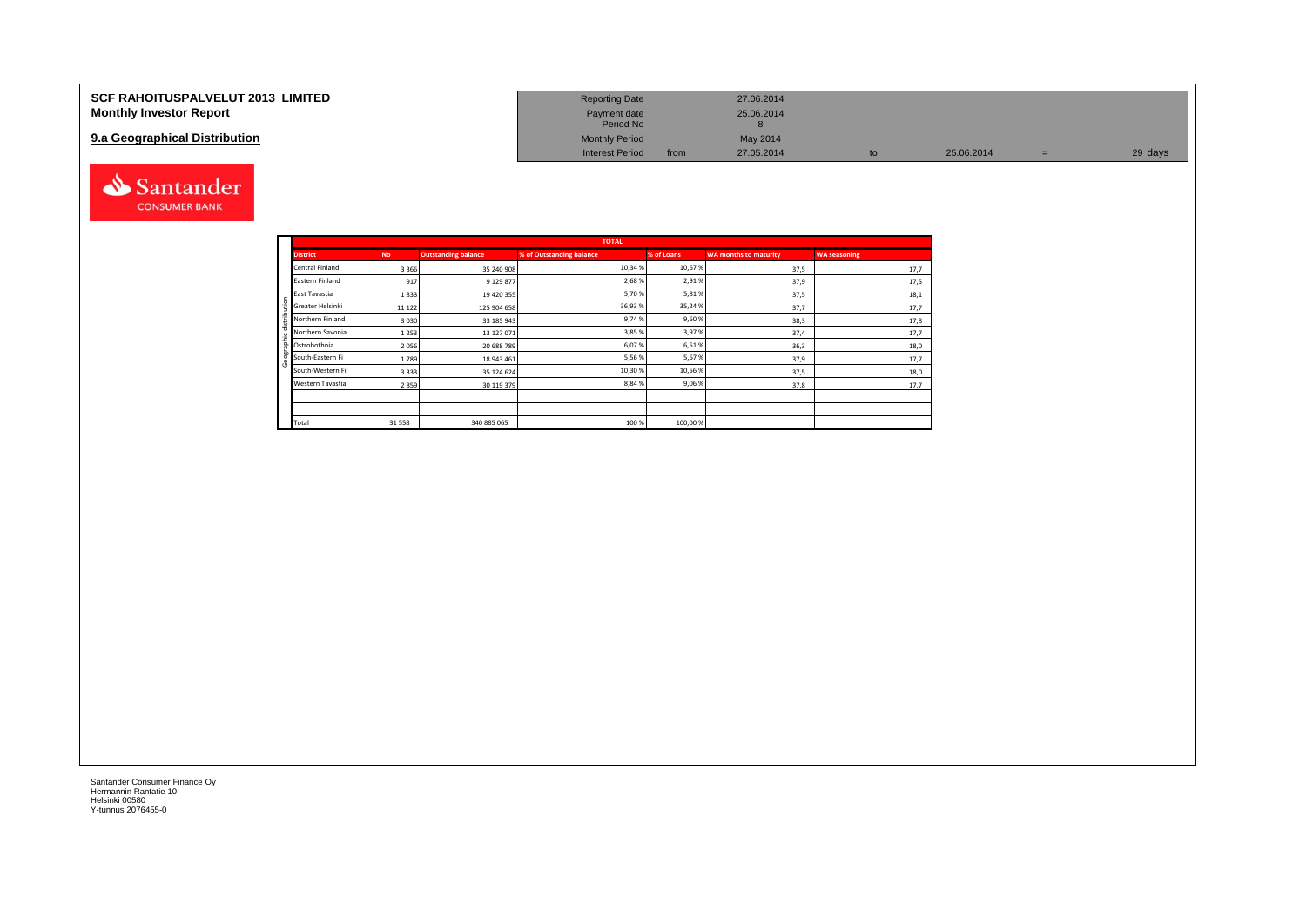| <b>SCF RAHOITUSPALVELUT 2013 LIMITED</b> | <b>Reporting Date</b>     |      | 27.06.2014 |    |            |         |
|------------------------------------------|---------------------------|------|------------|----|------------|---------|
| <b>Monthly Investor Report</b>           | Payment date<br>Period No |      | 25.06.2014 |    |            |         |
| 9.a Geographical Distribution            | <b>Monthly Period</b>     |      | May 2014   |    |            |         |
|                                          | <b>Interest Period</b>    | from | 27.05.2014 | to | 25.06.2014 | 29 days |



Geographic distribution

phic distribution

andei

|                        |           |                            | <b>TOTAL</b>             |            |                              |                     |
|------------------------|-----------|----------------------------|--------------------------|------------|------------------------------|---------------------|
| <b>District</b>        | <b>No</b> | <b>Outstanding balance</b> | % of Outstanding balance | % of Loans | <b>WA months to maturity</b> | <b>WA seasoning</b> |
| <b>Central Finland</b> | 3 3 6 6   | 35 240 908                 | 10,34 %                  | 10,67%     | 37,5                         | 17,7                |
| Eastern Finland        | 917       | 9 129 877                  | 2,68%                    | 2,91%      | 37,9                         | 17,5                |
| East Tavastia          | 1833      | 19 420 355                 | 5,70%                    | 5,81%      | 37,5                         | 18,1                |
| Greater Helsinki       | 11 1 22   | 125 904 658                | 36,93%                   | 35,24%     | 37,7                         | 17,7                |
| Northern Finland       | 3030      | 33 185 943                 | 9,74%                    | 9,60%      | 38,3                         | 17,8                |
| Northern Savonia       | 1253      | 13 127 071                 | 3,85 %                   | 3,97%      | 37,4                         | 17,7                |
| Ostrobothnia           | 2056      | 20 688 789                 | 6,07%                    | 6,51%      | 36,3                         | 18,0                |
| South-Eastern Fi       | 1789      | 18 943 461                 | 5,56%                    | 5,67%      | 37,9                         | 17,7                |
| South-Western Fi       | 3333      | 35 124 624                 | 10,30%                   | 10,56%     | 37,5                         | 18,0                |
| Western Tavastia       | 2859      | 30 119 379                 | 8,84%                    | 9,06%      | 37,8                         | 17,7                |
|                        |           |                            |                          |            |                              |                     |
|                        |           |                            |                          |            |                              |                     |
| Total                  | 31 5 58   | 340 885 065                | 100 %                    | 100,00%    |                              |                     |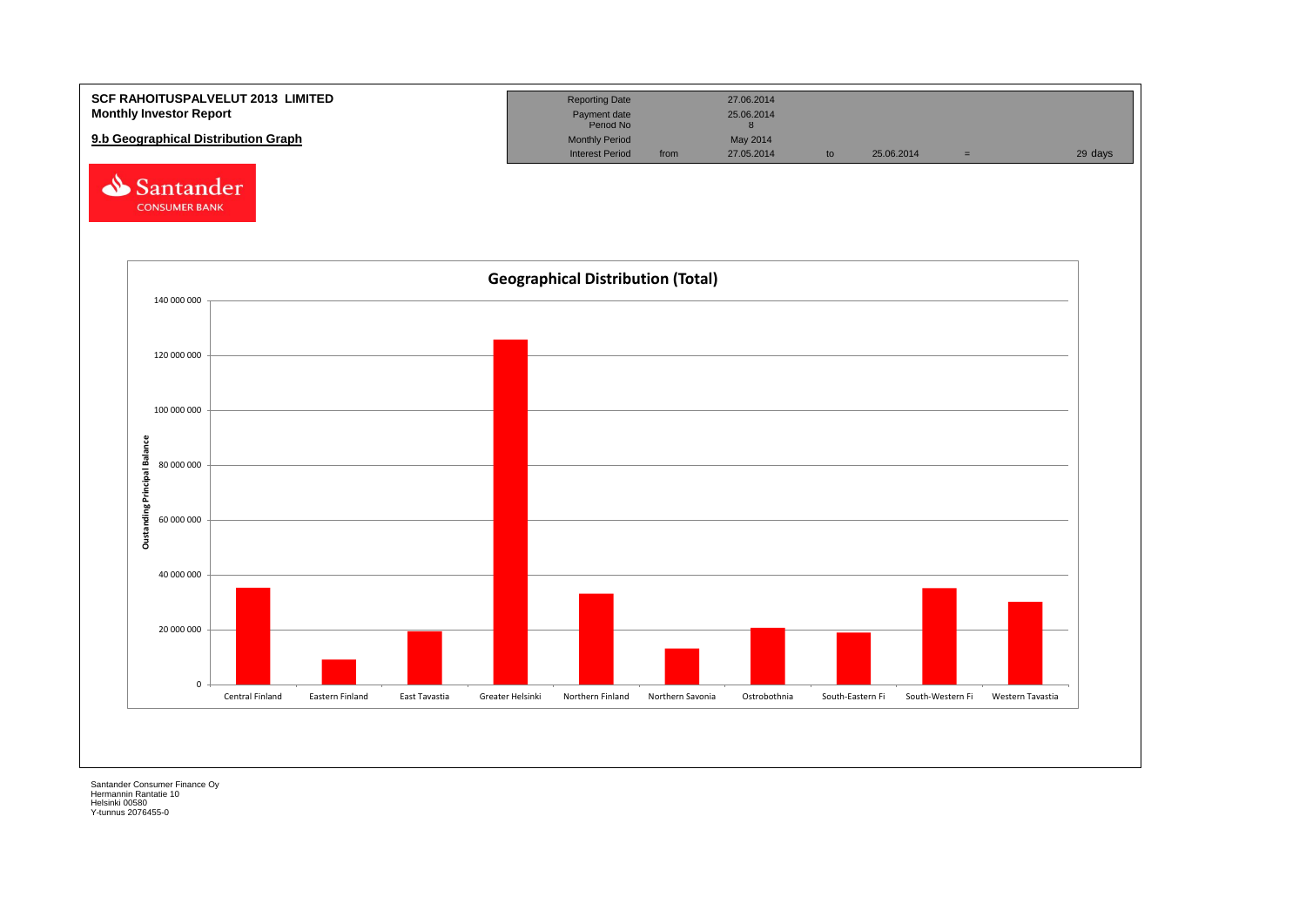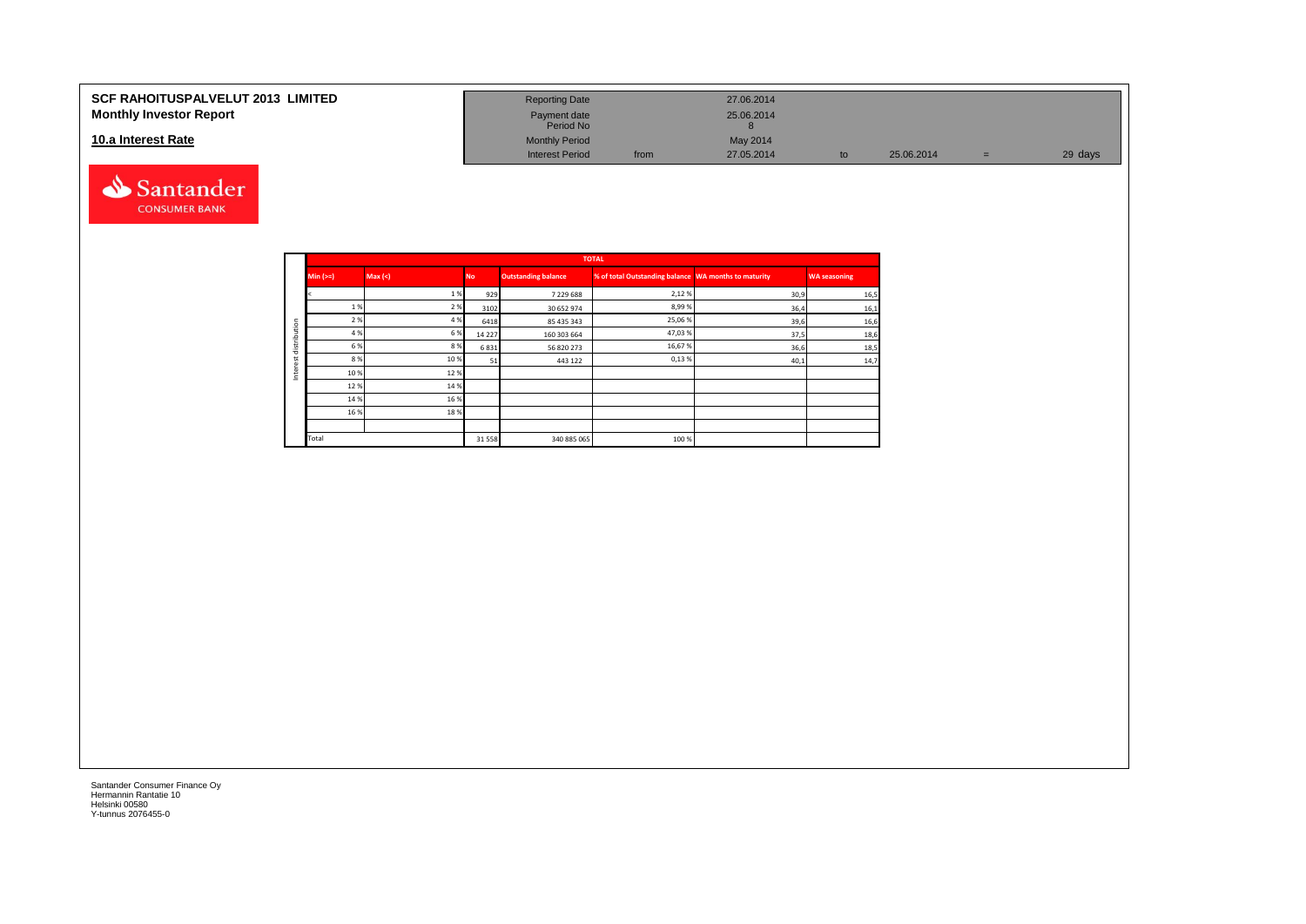#### **SCF RAHOITUSPALVELUT 2013 LIMITED Monthly Investor Report**

#### **10.a Interest Rate**



| <b>Reporting Date</b>     |      | 27.06.2014 |    |            |     |         |
|---------------------------|------|------------|----|------------|-----|---------|
| Payment date<br>Period No |      | 25.06.2014 |    |            |     |         |
| <b>Monthly Period</b>     |      | May 2014   |    |            |     |         |
| <b>Interest Period</b>    | from | 27.05.2014 | to | 25.06.2014 | $=$ | 29 days |

|         |            |         |           |                            | <b>TOTAL</b>                                         |      |                     |
|---------|------------|---------|-----------|----------------------------|------------------------------------------------------|------|---------------------|
|         | $Min (>=)$ | Max (<) | <b>No</b> | <b>Outstanding balance</b> | % of total Outstanding balance WA months to maturity |      | <b>WA seasoning</b> |
|         |            | 1%      | 929       | 7 229 688                  | 2,12%                                                | 30,9 | 16,5                |
|         | 1 %        | 2 %     | 3102      | 30 652 974                 | 8,99%                                                | 36,4 | 16,1                |
| ution   | 2 %        | 4 %     | 6418      | 85 435 343                 | 25,06%                                               | 39,6 | 16,6                |
|         | 4 %        | 6 %     | 14 2 2 7  | 160 303 664                | 47,03%                                               | 37,5 | 18,6                |
| distrib | 6 %        | 8%      | 6831      | 56 820 273                 | 16,67%                                               | 36,6 | 18,5                |
| α       | 8 %        | 10%     | 51        | 443 122                    | 0,13%                                                | 40,1 | 14,7                |
| ğ<br>Ξ  | 10%        | 12%     |           |                            |                                                      |      |                     |
|         | 12%        | 14 %    |           |                            |                                                      |      |                     |
|         | 14 %       | 16 %    |           |                            |                                                      |      |                     |
|         | 16 %       | 18%     |           |                            |                                                      |      |                     |
|         |            |         |           |                            |                                                      |      |                     |
|         | Total      |         | 31558     | 340 885 065                | 100 %                                                |      |                     |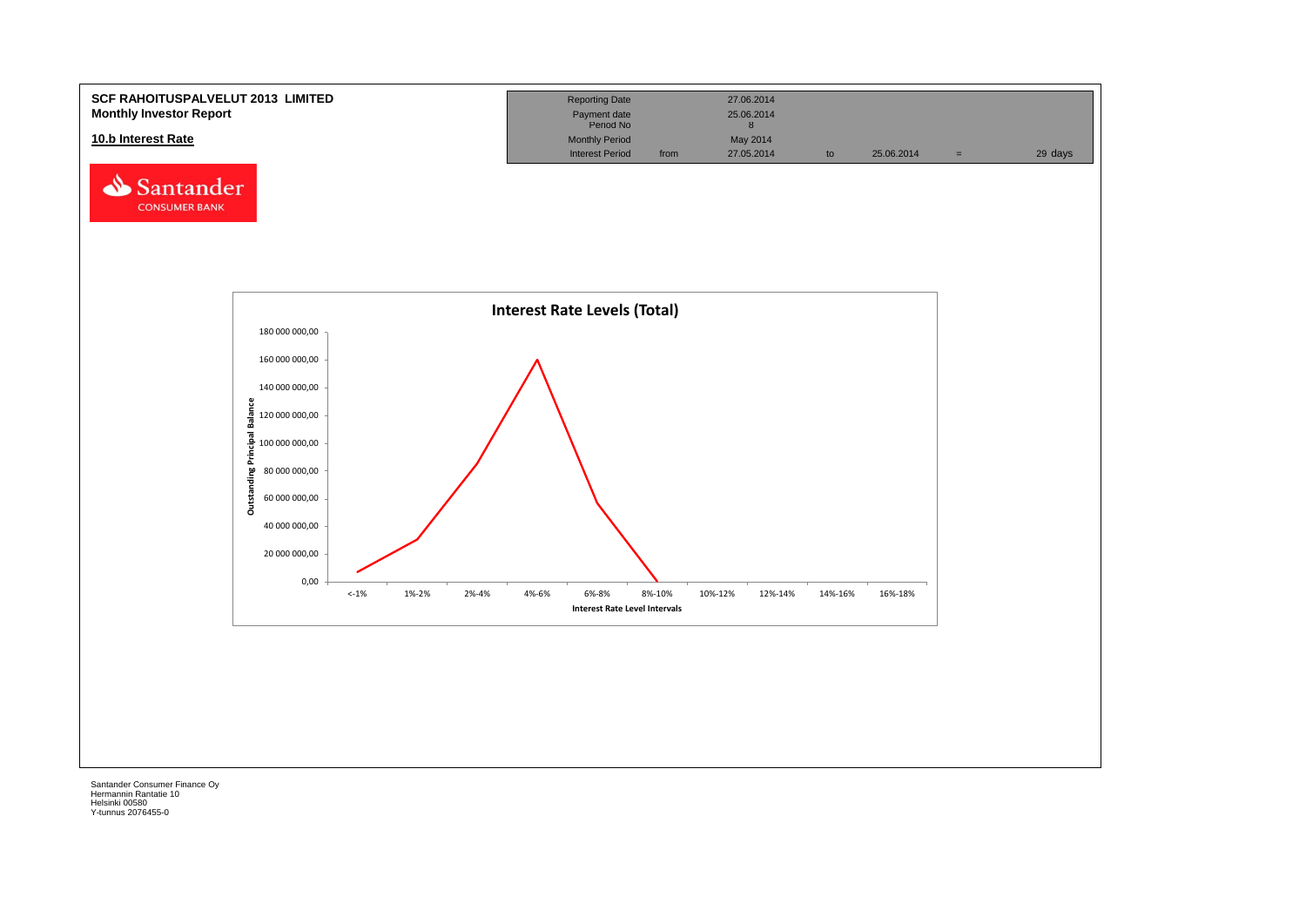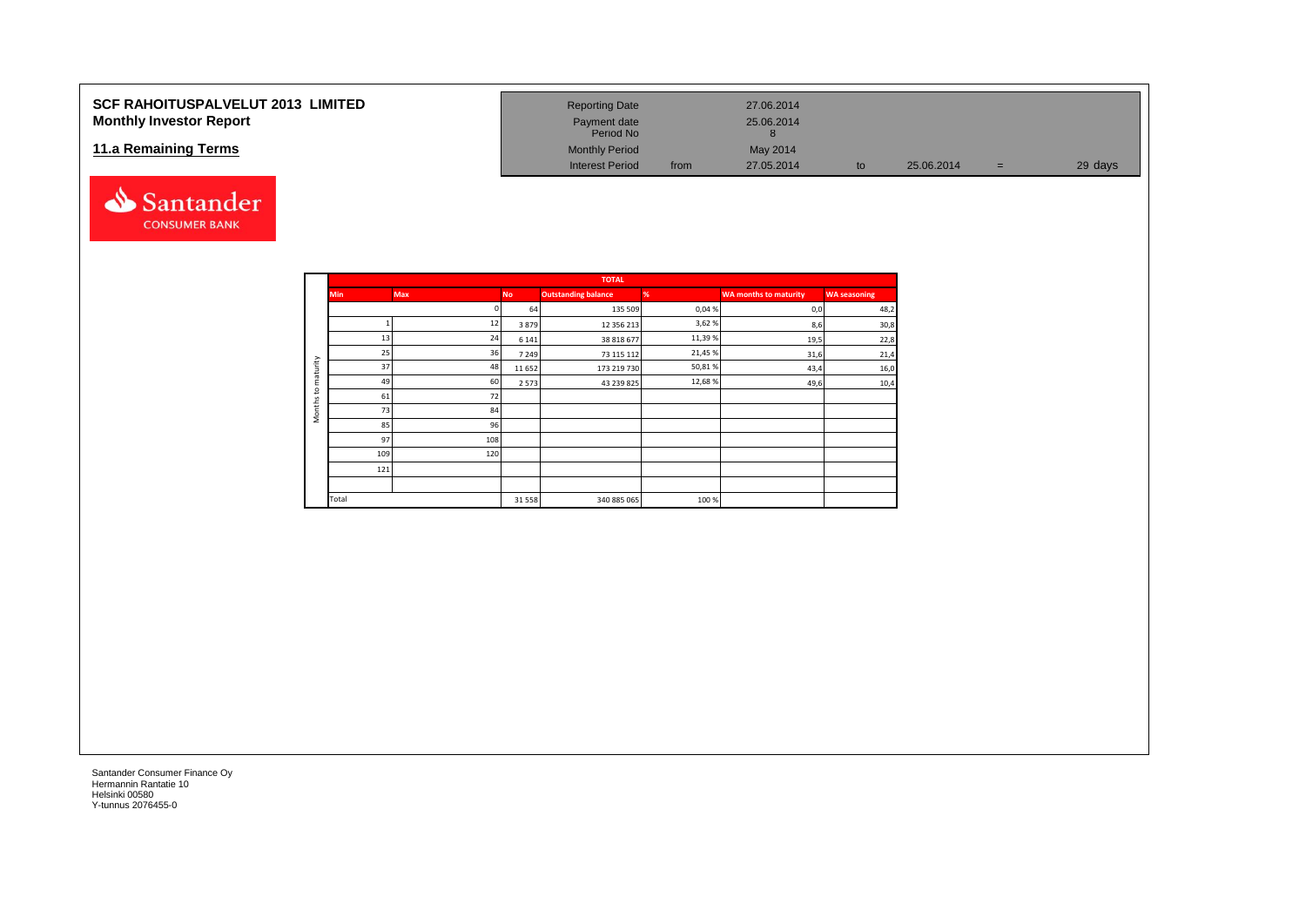### **SCF RAHOITUSPALVELUT 2013 LIMITED Monthly Investor Report**

#### **11.a Remaining Terms**



| <b>Reporting Date</b>     |      | 27.06.2014 |    |            |   |         |
|---------------------------|------|------------|----|------------|---|---------|
| Payment date<br>Period No |      | 25.06.2014 |    |            |   |         |
| <b>Monthly Period</b>     |      | May 2014   |    |            |   |         |
| <b>Interest Period</b>    | from | 27.05.2014 | to | 25.06.2014 | = | 29 days |

|                     |            |            |           | <b>TOTAL</b>               |        |                              |                     |
|---------------------|------------|------------|-----------|----------------------------|--------|------------------------------|---------------------|
|                     | <b>Min</b> | <b>Max</b> | <b>No</b> | <b>Outstanding balance</b> | %      | <b>WA months to maturity</b> | <b>WA seasoning</b> |
|                     |            |            | 64        | 135 509                    | 0,04%  | 0,0                          | 48,2                |
|                     |            | 12         | 3879      | 12 356 213                 | 3,62%  | 8,6                          | 30,8                |
|                     | 13         | 24         | 6 1 4 1   | 38 818 677                 | 11,39% | 19,5                         | 22,8                |
|                     | 25         | 36         | 7 2 4 9   | 73 115 112                 | 21,45% | 31,6                         | 21,4                |
| maturity            | 37         | 48         | 11 652    | 173 219 730                | 50,81% | 43,4                         | 16,0                |
|                     | 49         | 60         | 2 5 7 3   | 43 239 825                 | 12,68% | 49,6                         | 10,4                |
| $\mathbf{S}$        | 61         | 72         |           |                            |        |                              |                     |
| Months <sub>1</sub> | 73         | 84         |           |                            |        |                              |                     |
|                     | 85         | 96         |           |                            |        |                              |                     |
|                     | 97         | 108        |           |                            |        |                              |                     |
|                     | 109        | 120        |           |                            |        |                              |                     |
|                     | 121        |            |           |                            |        |                              |                     |
|                     |            |            |           |                            |        |                              |                     |
|                     | Total      |            | 31 5 58   | 340 885 065                | 100%   |                              |                     |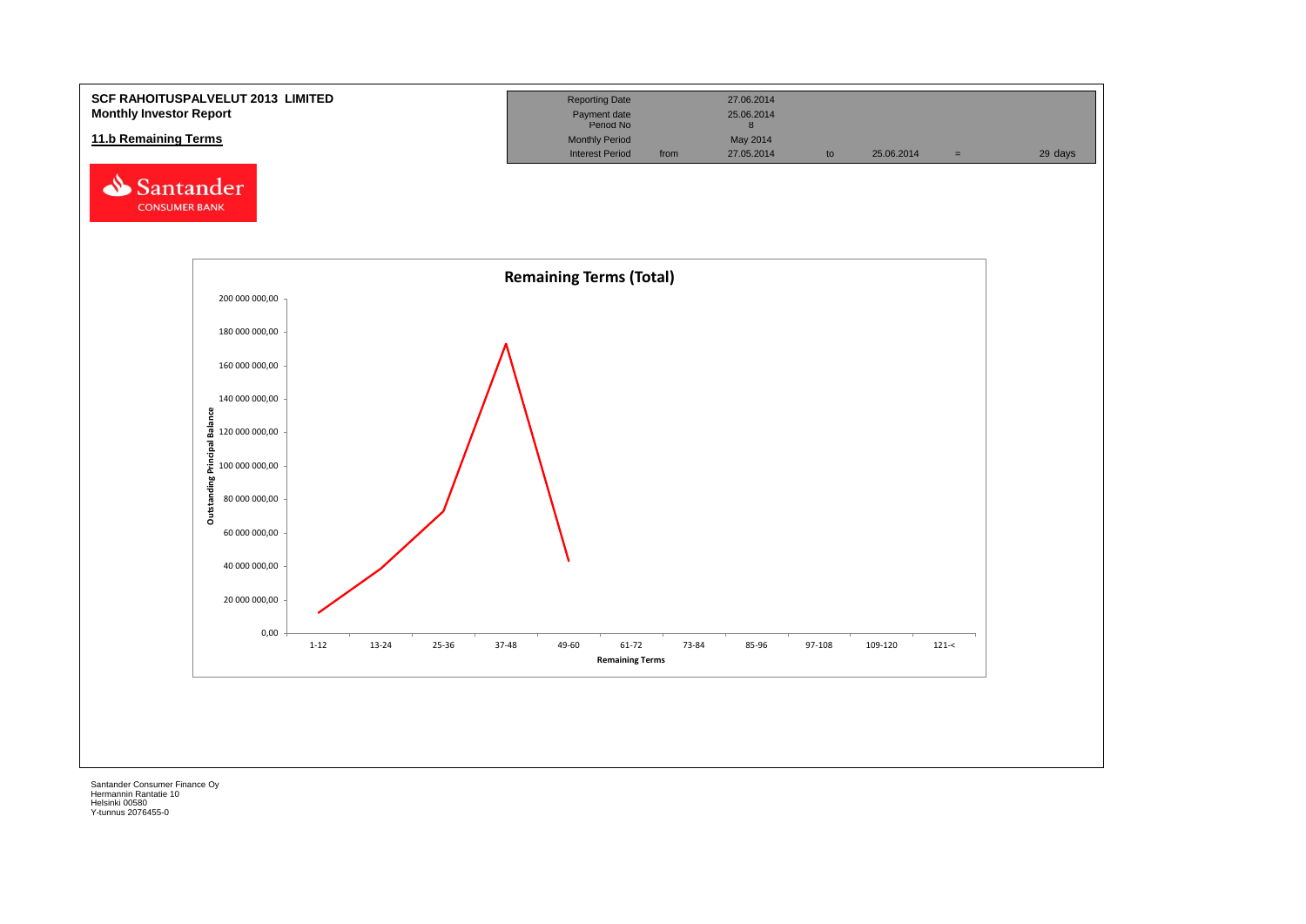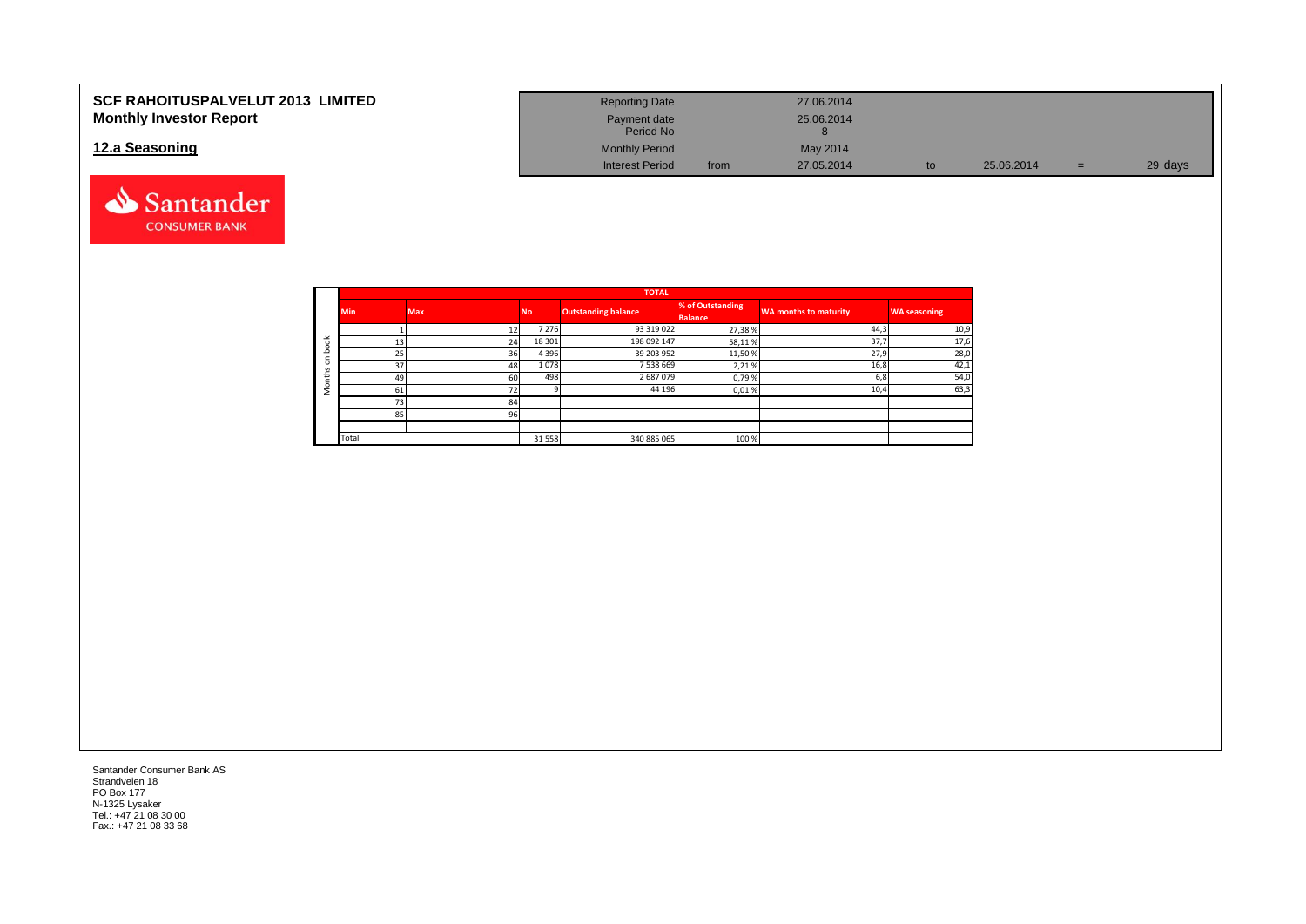| <b>SCF RAHOITUSPALVELUT 2013 LIMITED</b> | <b>Reporting Date</b>     |      | 27.06.2014 |    |            |   |         |
|------------------------------------------|---------------------------|------|------------|----|------------|---|---------|
| <b>Monthly Investor Report</b>           | Payment date<br>Period No |      | 25.06.2014 |    |            |   |         |
| 12.a Seasoning                           | <b>Monthly Period</b>     |      | May 2014   |    |            |   |         |
|                                          | <b>Interest Period</b>    | from | 27.05.2014 | to | 25.06.2014 | = | 29 days |



|                       |            |            |           | <b>TOTAL</b>               |                                    |                              |                     |
|-----------------------|------------|------------|-----------|----------------------------|------------------------------------|------------------------------|---------------------|
|                       | <b>Min</b> | <b>Max</b> | <b>No</b> | <b>Outstanding balance</b> | % of Outstanding<br><b>Balance</b> | <b>WA months to maturity</b> | <b>WA seasoning</b> |
|                       |            | 12         | 7 2 7 6   | 93 319 022                 | 27,38%                             | 44,3                         | 10,9                |
| $\breve{\phantom{a}}$ | 13         | 24         | 18 301    | 198 092 147                | 58,11%                             | 37,7                         | 17,6                |
| c                     | 25         | 36         | 4 3 9 6   | 39 203 952                 | 11,50%                             | 27,9                         | 28,0                |
| $\Omega$              | 37         | 48         | 1078      | 7 538 669                  | 2,21%                              | 16,8                         | 42,1                |
| £                     | 49         | 60         | 498       | 2687079                    | 0,79%                              | 6,8                          | 54,0                |
|                       | 61         | 72         |           | 44 196                     | 0,01%                              | 10,4                         | 63,3                |
|                       | 73         | 84         |           |                            |                                    |                              |                     |
|                       | 85         | 96         |           |                            |                                    |                              |                     |
|                       |            |            |           |                            |                                    |                              |                     |
|                       | Total      |            | 31 5 58   | 340 885 065                | 100 %                              |                              |                     |

Santander Consumer Bank AS Strandveien 18 PO Box 177 N-1325 Lysaker Tel.: +47 21 08 30 00 Fax.: +47 21 08 33 68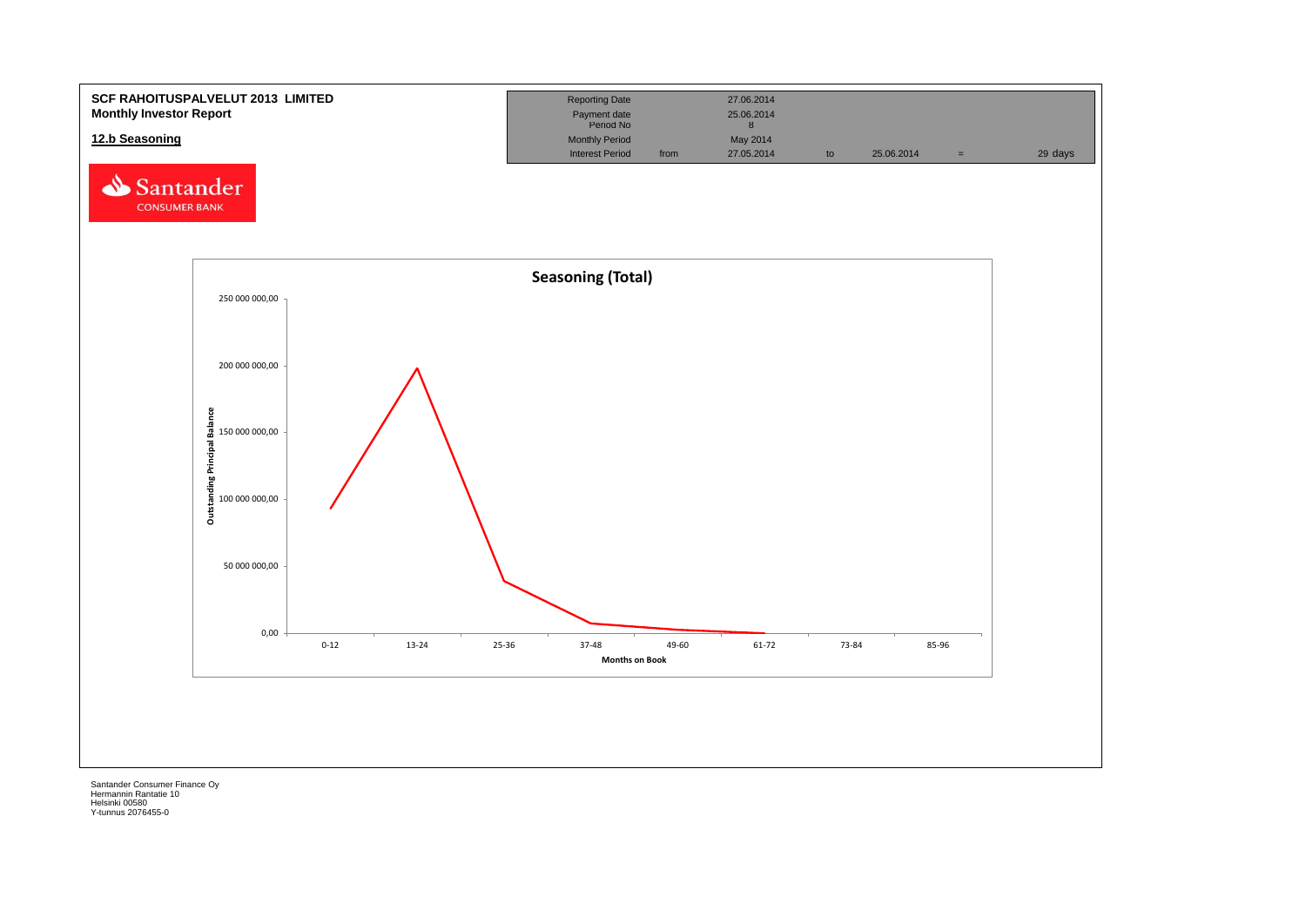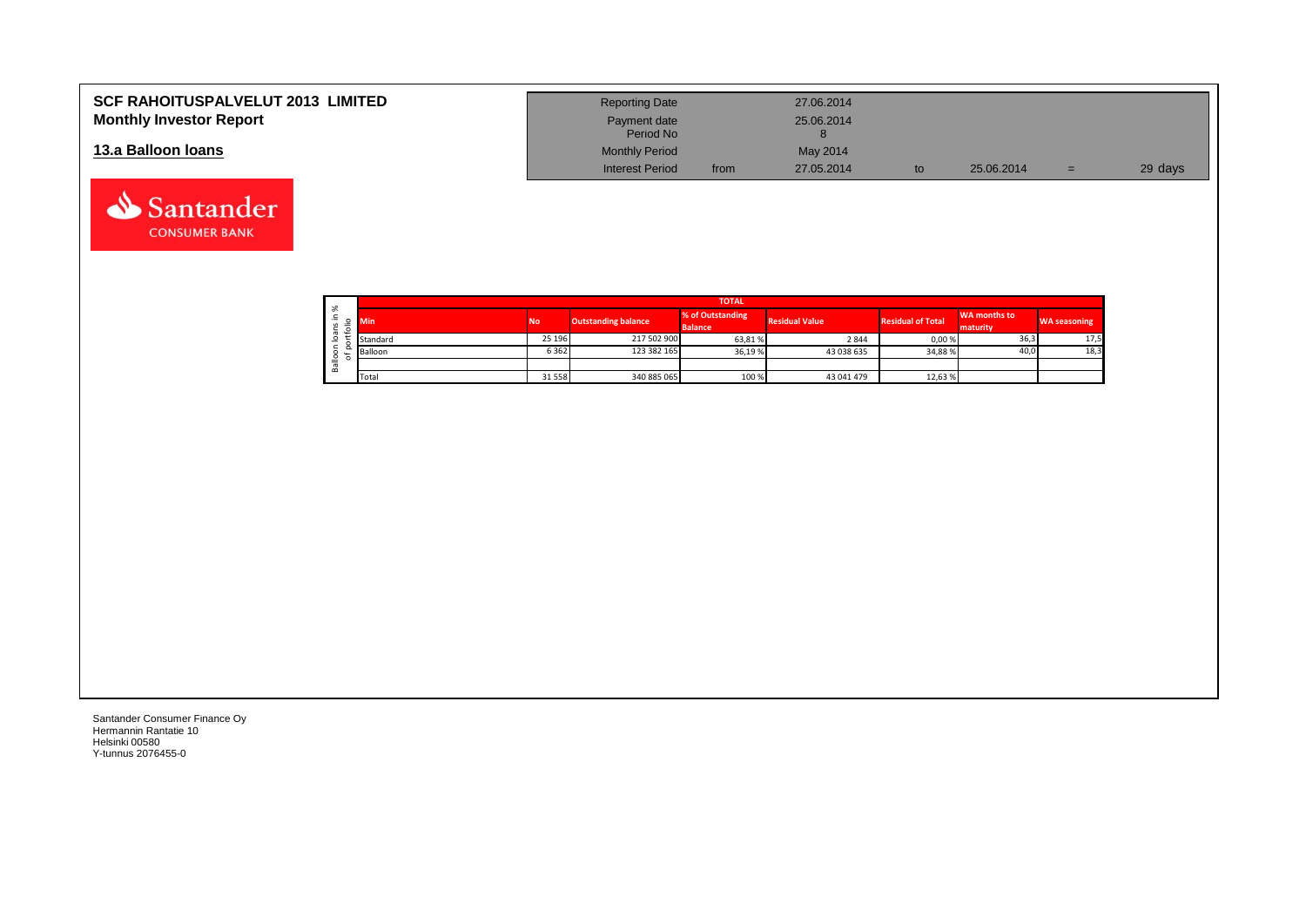| <b>SCF RAHOITUSPALVELUT 2013 LIMITED</b><br><b>Monthly Investor Report</b> | <b>Reporting Date</b><br>Payment date |      | 27.06.2014<br>25.06.2014 |            |     |         |
|----------------------------------------------------------------------------|---------------------------------------|------|--------------------------|------------|-----|---------|
|                                                                            | Period No                             |      |                          |            |     |         |
| 13.a Balloon Ioans                                                         | <b>Monthly Period</b>                 |      | May 2014                 |            |     |         |
|                                                                            | <b>Interest Period</b>                | from | 27.05.2014               | 25.06.2014 | $=$ | 29 days |

|                  |                     | <b>TOTAL</b> |           |                            |                                    |                       |                          |                          |                     |  |  |  |  |  |  |
|------------------|---------------------|--------------|-----------|----------------------------|------------------------------------|-----------------------|--------------------------|--------------------------|---------------------|--|--|--|--|--|--|
| ∸<br>$\sim$<br>⋍ | ৯ৎ                  | Min          | <b>No</b> | <b>Outstanding balance</b> | % of Outstanding<br><b>Balance</b> | <b>Residual Value</b> | <b>Residual of Total</b> | WA months to<br>maturity | <b>WA seasoning</b> |  |  |  |  |  |  |
|                  | $\sigma$<br>$\circ$ | Standard     | 25 196    | 217 502 900                | 63,81%                             | 2844                  | 0,00%                    | 36,3                     | 17,5                |  |  |  |  |  |  |
|                  | ∘                   | Balloon      | 6362      | 123 382 165                | 36,19 %                            | 43 038 635            | 34,88%                   | 40,0                     | 18,3                |  |  |  |  |  |  |
|                  | π<br>őñ             |              |           |                            |                                    |                       |                          |                          |                     |  |  |  |  |  |  |
|                  |                     | Total        | 31 5 58   | 340 885 065                | 100 %                              | 43 041 479            | 12,63%                   |                          |                     |  |  |  |  |  |  |

┑

Santander Consumer Finance Oy Hermannin Rantatie 10 Helsinki 00580 Y-tunnus 2076455-0

Santander **CONSUMER BANK**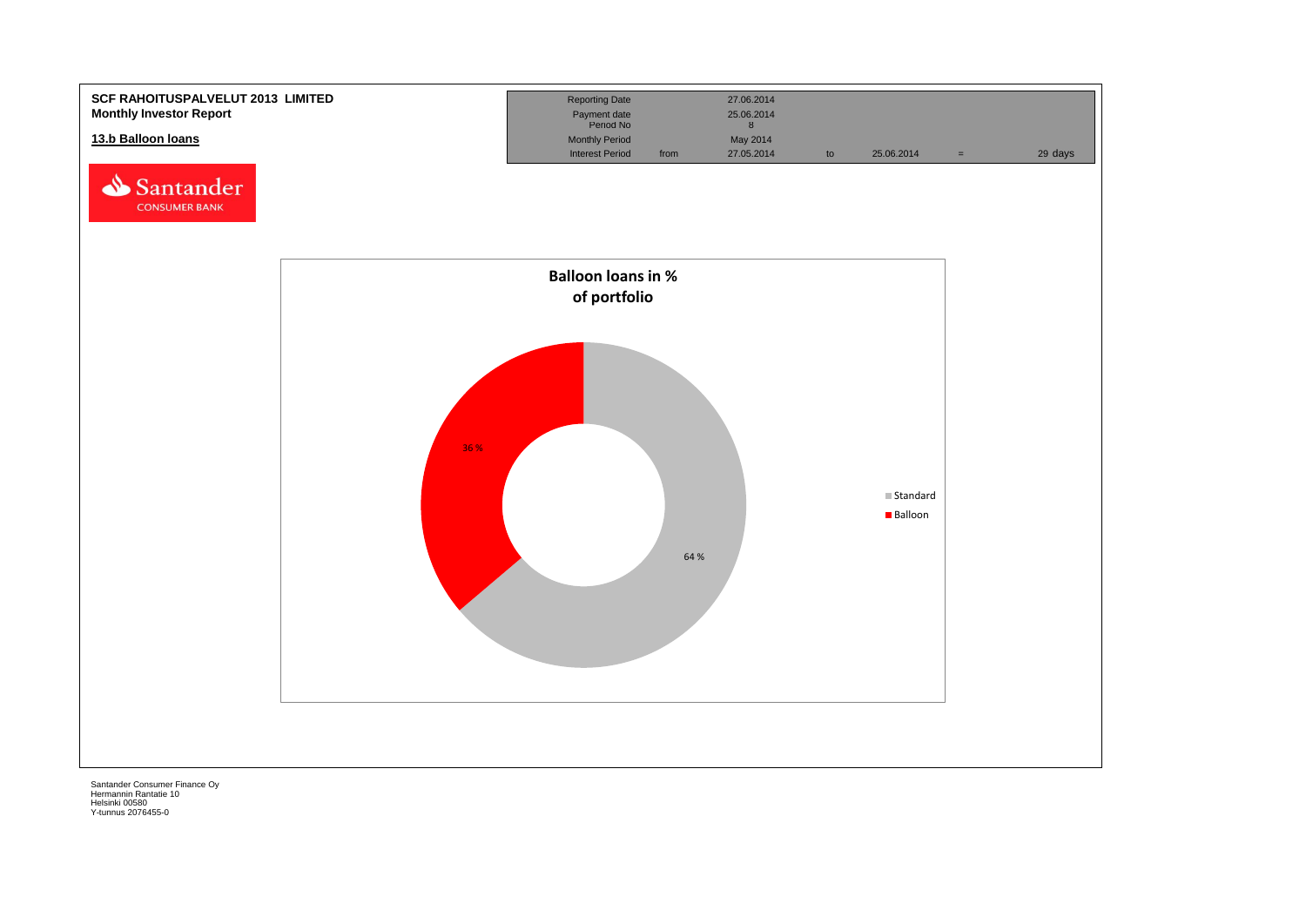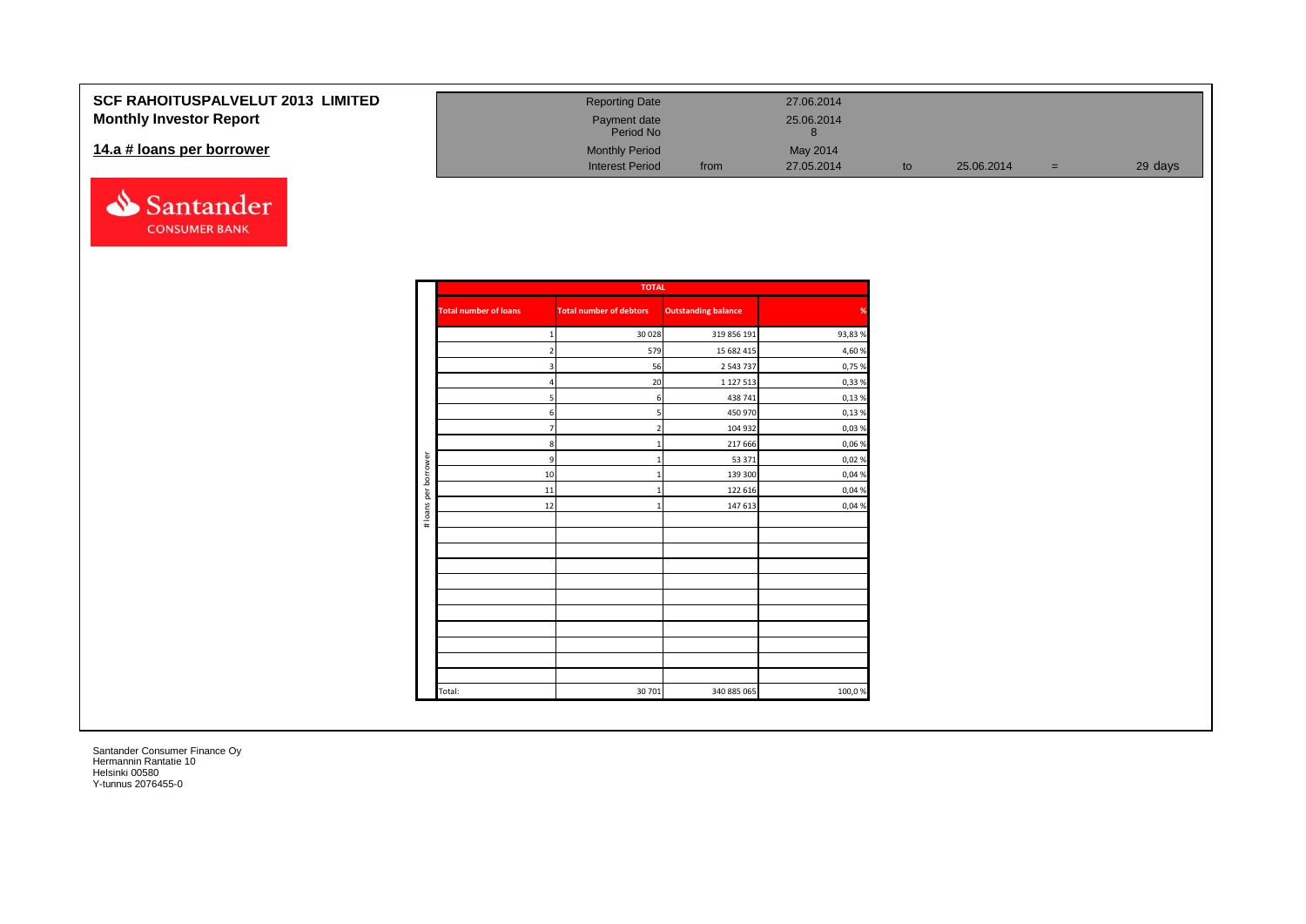#### **SCF RAHOITUSPALVELI Monthly Investor Report**

#### **14.a # loans per borrowe**



| UT 2013 LIMITED | <b>Reporting Date</b>     |      | 27.06.2014 |    |            |   |         |
|-----------------|---------------------------|------|------------|----|------------|---|---------|
|                 | Payment date<br>Period No |      | 25.06.2014 |    |            |   |         |
|                 | <b>Monthly Period</b>     |      | May 2014   |    |            |   |         |
|                 | <b>Interest Period</b>    | from | 27.05.2014 | to | 25.06.2014 | = | 29 days |

|                      |                              | <b>TOTAL</b>                   |                            |        |
|----------------------|------------------------------|--------------------------------|----------------------------|--------|
|                      | <b>Total number of loans</b> | <b>Total number of debtors</b> | <b>Outstanding balance</b> |        |
|                      | 1                            | 30 0 28                        | 319 856 191                | 93,83% |
|                      | 2                            | 579                            | 15 682 415                 | 4,60 % |
|                      | 3                            | 56                             | 2 543 737                  | 0,75 % |
|                      | 4                            | 20                             | 1 1 2 7 5 1 3              | 0,33 % |
|                      | 5                            | 6                              | 438 741                    | 0,13%  |
|                      | 6                            | 5                              | 450 970                    | 0,13%  |
|                      | $\overline{7}$               | $\overline{2}$                 | 104 932                    | 0,03%  |
|                      | 8                            |                                | 217 666                    | 0,06 % |
|                      | 9                            |                                | 53 371                     | 0,02%  |
| # loans per borrower | 10                           | 1                              | 139 300                    | 0,04 % |
|                      | $11\,$                       |                                | 122 616                    | 0,04 % |
|                      | 12                           |                                | 147 613                    | 0,04 % |
|                      |                              |                                |                            |        |
|                      |                              |                                |                            |        |
|                      |                              |                                |                            |        |
|                      |                              |                                |                            |        |
|                      |                              |                                |                            |        |
|                      |                              |                                |                            |        |
|                      |                              |                                |                            |        |
|                      |                              |                                |                            |        |
|                      |                              |                                |                            |        |
|                      |                              |                                |                            |        |
|                      |                              |                                |                            |        |
|                      | Total:                       | 30 701                         | 340 885 065                | 100,0% |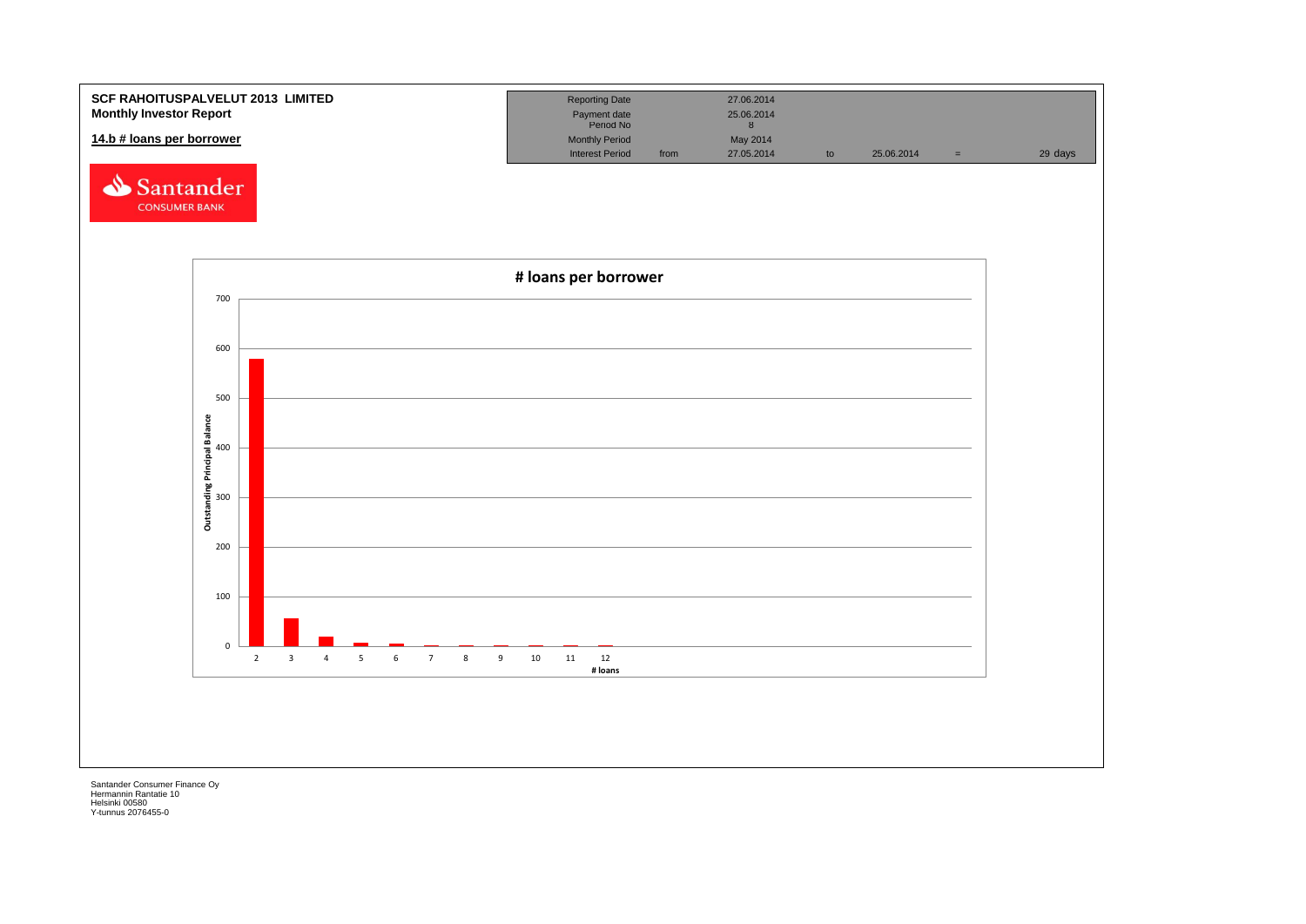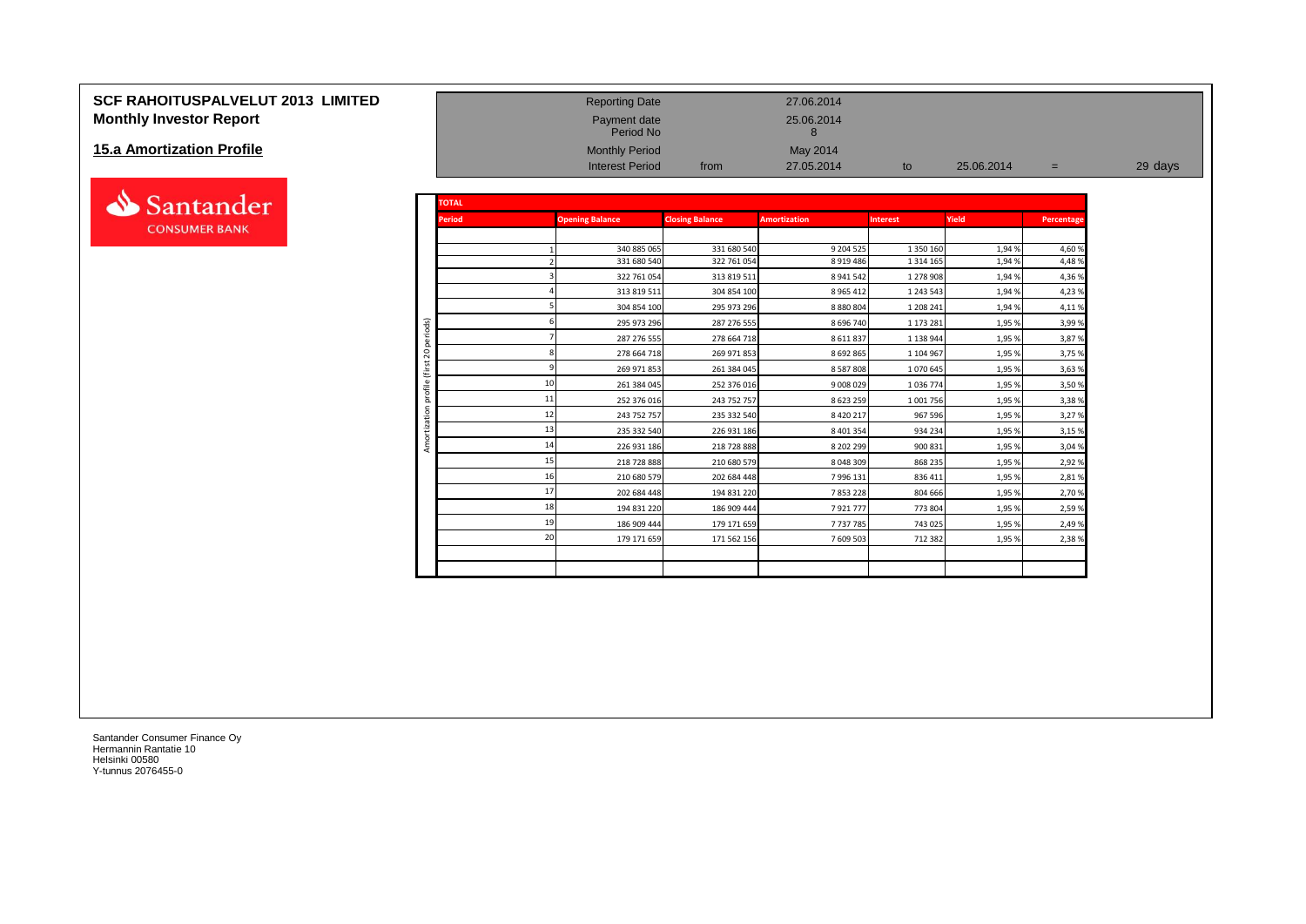# **SCF RAHOITUSPALVELUT 2013 LIMITED** Reporting Date 27.06.2014 **Monthly Investor Report Payment date** 25.06.2014

#### **15.a Amortization Profile**



| <b>15.a Amortization Profile</b> |                         |               | <b>Monthly Period</b><br><b>Interest Period</b> | from                       | May 2014<br>27.05.2014      | to                         | 25.06.2014     | $=$             | 29 days |
|----------------------------------|-------------------------|---------------|-------------------------------------------------|----------------------------|-----------------------------|----------------------------|----------------|-----------------|---------|
| Santander                        |                         | <b>TOTAL</b>  |                                                 |                            |                             |                            |                |                 |         |
| <b>CONSUMER BANK</b>             |                         | <b>Period</b> | <b>Opening Balance</b>                          | <b>Closing Balance</b>     | <b>Amortization</b>         | <b>Interest</b>            | Yield          | Percentage      |         |
|                                  |                         |               | 340 885 065<br>331 680 540                      | 331 680 540<br>322 761 054 | 9 204 5 25<br>8 9 1 9 4 8 6 | 1 350 160<br>1 3 1 4 1 6 5 | 1,94%<br>1,94% | 4,60 %<br>4,48% |         |
|                                  |                         |               | 322 761 054                                     | 313 819 511                | 8 941 542                   | 1 278 908                  | 1,94%          | 4,36 %          |         |
|                                  |                         |               | 313 819 511                                     | 304 854 100                | 8 9 6 5 4 1 2               | 1 243 543                  | 1,94%          | 4,23%           |         |
|                                  |                         |               | 304 854 100                                     | 295 973 296                | 8 8 8 0 8 0 4               | 1 208 241                  | 1,94%          | 4,11%           |         |
|                                  | ods)                    |               | 295 973 296                                     | 287 276 555                | 8 696 740                   | 1 173 281                  | 1,95%          | 3,99%           |         |
|                                  |                         |               | 287 276 555                                     | 278 664 718                | 8 6 1 8 3 7                 | 1 138 944                  | 1,95 %         | 3,87 %          |         |
|                                  | $\circ$<br>$\bar{\sim}$ |               | 278 664 718                                     | 269 971 853                | 8 692 865                   | 1 104 967                  | 1,95%          | 3,75 %          |         |
|                                  | €                       |               | 269 971 853                                     | 261 384 045                | 8 5 8 7 8 0 8               | 1070645                    | 1,95%          | 3,63 %          |         |
|                                  |                         |               | 261 384 045                                     | 252 376 016                | 9 008 029                   | 1036774                    | 1,95%          | 3,50%           |         |
|                                  | ă                       |               | 11<br>252 376 016                               | 243 752 757                | 8 623 259                   | 1 001 756                  | 1,95%          | 3,38%           |         |
|                                  |                         |               | 12<br>243 752 757                               | 235 332 540                | 8 4 2 0 2 1 7               | 967 596                    | 1,95%          | 3,27 %          |         |
|                                  |                         |               | 235 332 540                                     | 226 931 186                | 8 401 354                   | 934 234                    | 1,95%          | 3,15 %          |         |
|                                  |                         |               | 14<br>226 931 186                               | 218 728 888                | 8 202 299                   | 900 831                    | 1,95%          | 3,04 %          |         |
|                                  |                         |               | 15<br>218 728 888                               | 210 680 579                | 8 048 309                   | 868 235                    | 1,95%          | 2,92 %          |         |
|                                  |                         |               | 210 680 579                                     | 202 684 448                | 7 996 131                   | 836 411                    | 1,95 %         | 2,81%           |         |
|                                  |                         |               | 17<br>202 684 448                               | 194 831 220                | 7853228                     | 804 666                    | 1,95%          | 2,70 %          |         |
|                                  |                         |               | 18<br>194 831 220                               | 186 909 444                | 7921777                     | 773 804                    | 1,95%          | 2,59 %          |         |
|                                  |                         |               | 186 909 444                                     | 179 171 659                | 7737785                     | 743 025                    | 1,95%          | 2,49 %          |         |
|                                  |                         |               | 20<br>179 171 659                               | 171 562 156                | 7 609 503                   | 712 382                    | 1,95 %         | 2,38%           |         |
|                                  |                         |               |                                                 |                            |                             |                            |                |                 |         |

Payment date<br>Period No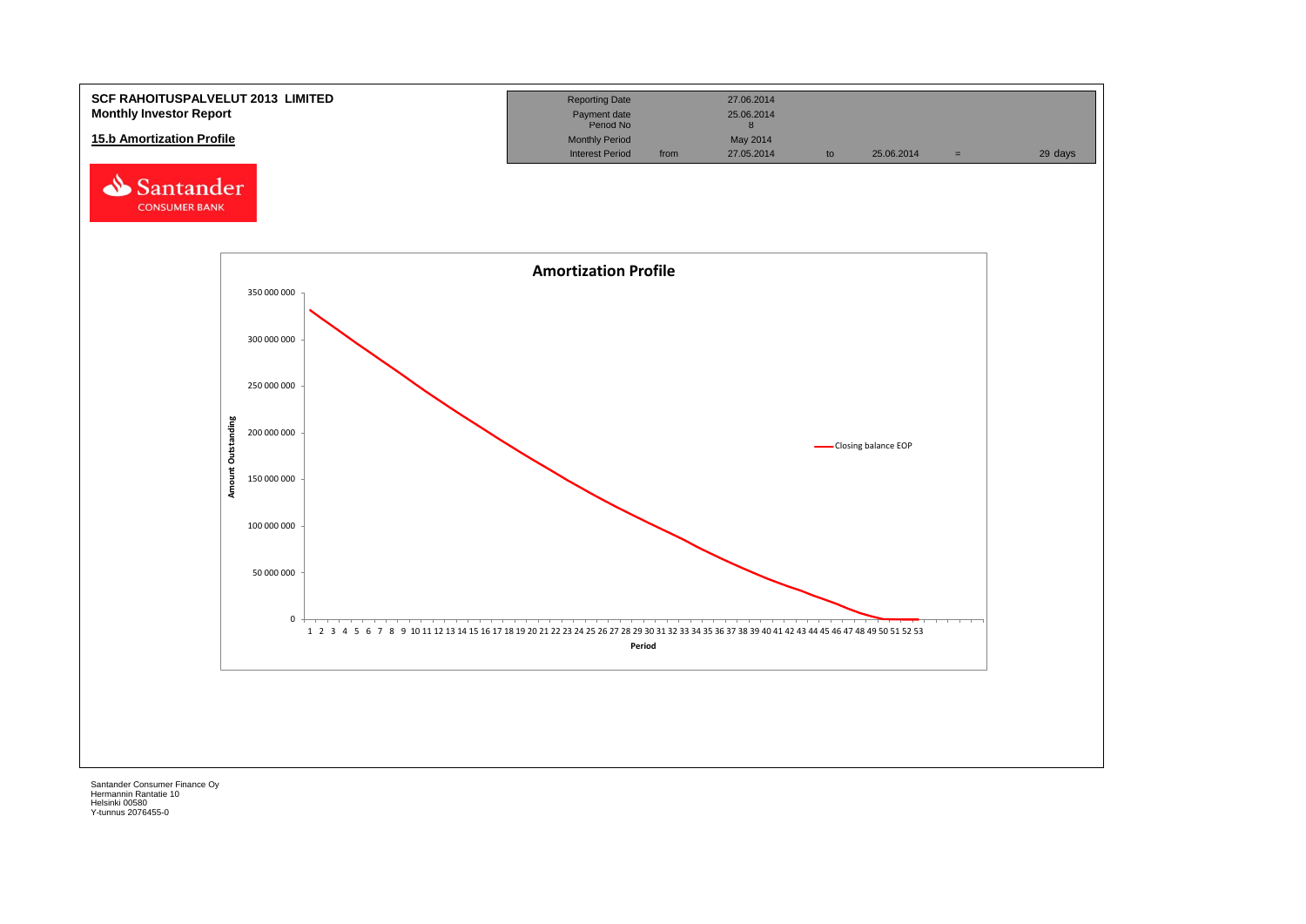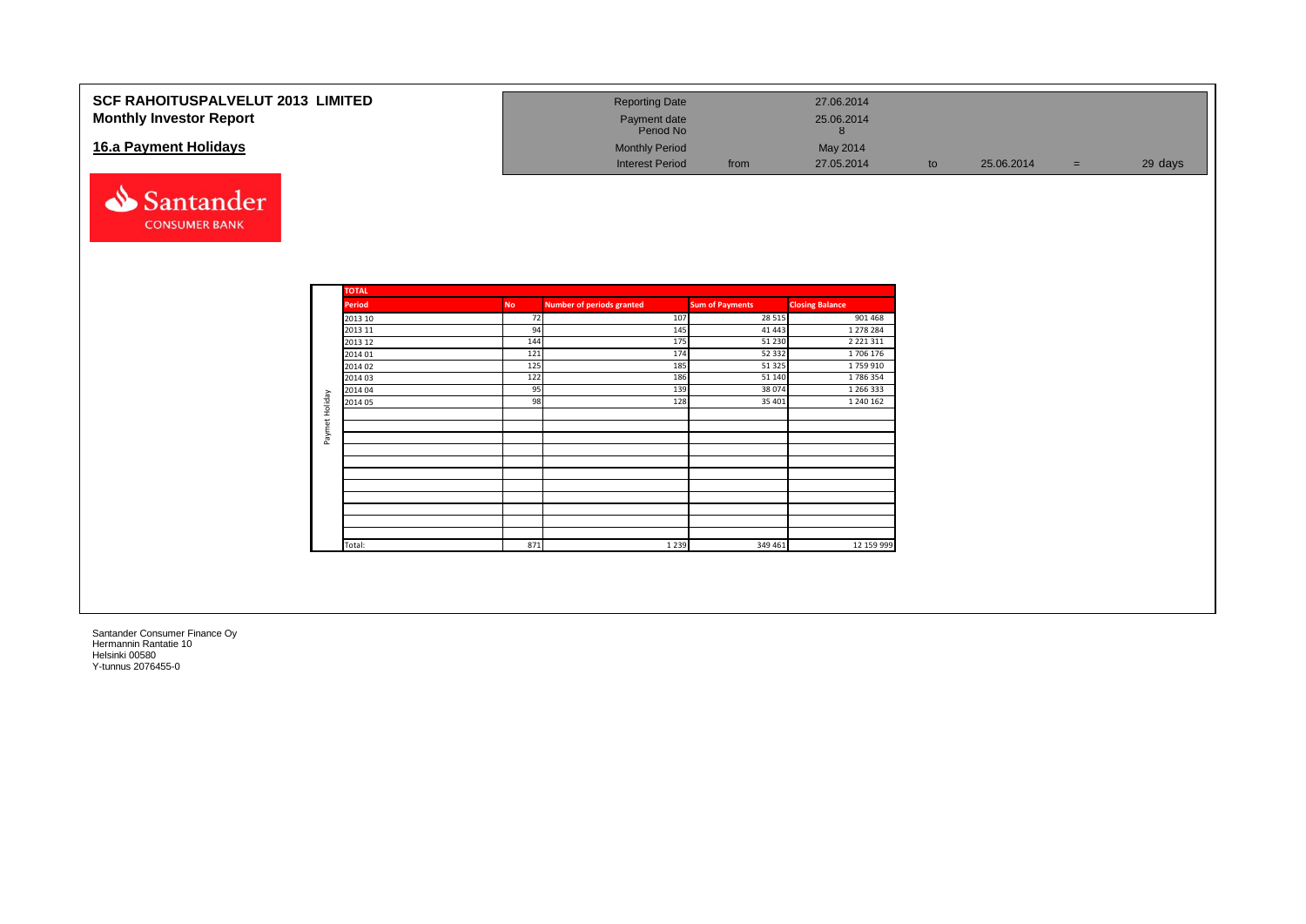| <b>SCF RAHOITUSPALVELUT 2013 LIMITED</b><br><b>Monthly Investor Report</b> | <b>Reporting Date</b><br>Payment date<br>Period No |      | 27.06.2014<br>25.06.2014 |    |            |         |
|----------------------------------------------------------------------------|----------------------------------------------------|------|--------------------------|----|------------|---------|
| 16.a Payment Holidays                                                      | <b>Monthly Period</b><br><b>Interest Period</b>    | from | May 2014<br>27.05.2014   | to | 25.06.2014 | 29 days |



|                | <b>TOTAL</b>  |           |                                  |                        |                        |
|----------------|---------------|-----------|----------------------------------|------------------------|------------------------|
|                | <b>Period</b> | <b>No</b> | <b>Number of periods granted</b> | <b>Sum of Payments</b> | <b>Closing Balance</b> |
|                | 2013 10       | 72        | 107                              | 28 5 15                | 901 468                |
|                | 2013 11       | 94        | 145                              | 41 4 43                | 1 278 284              |
|                | 2013 12       | 144       | 175                              | 51 230                 | 2 2 2 1 3 1 1          |
|                | 2014 01       | 121       | 174                              | 52 332                 | 1706 176               |
|                | 2014 02       | 125       | 185                              | 51 325                 | 1759910                |
|                | 2014 03       | 122       | 186                              | 51 140                 | 1786354                |
|                | 2014 04       | 95        | 139                              | 38 0 74                | 1 266 333              |
|                | 2014 05       | 98        | 128                              | 35 401                 | 1 240 162              |
| Paymet Holiday |               |           |                                  |                        |                        |
|                |               |           |                                  |                        |                        |
|                |               |           |                                  |                        |                        |
|                |               |           |                                  |                        |                        |
|                |               |           |                                  |                        |                        |
|                |               |           |                                  |                        |                        |
|                |               |           |                                  |                        |                        |
|                |               |           |                                  |                        |                        |
|                |               |           |                                  |                        |                        |
|                |               |           |                                  |                        |                        |
|                |               |           |                                  |                        |                        |
|                | Total:        | 871       | 1 2 3 9                          | 349 461                | 12 159 999             |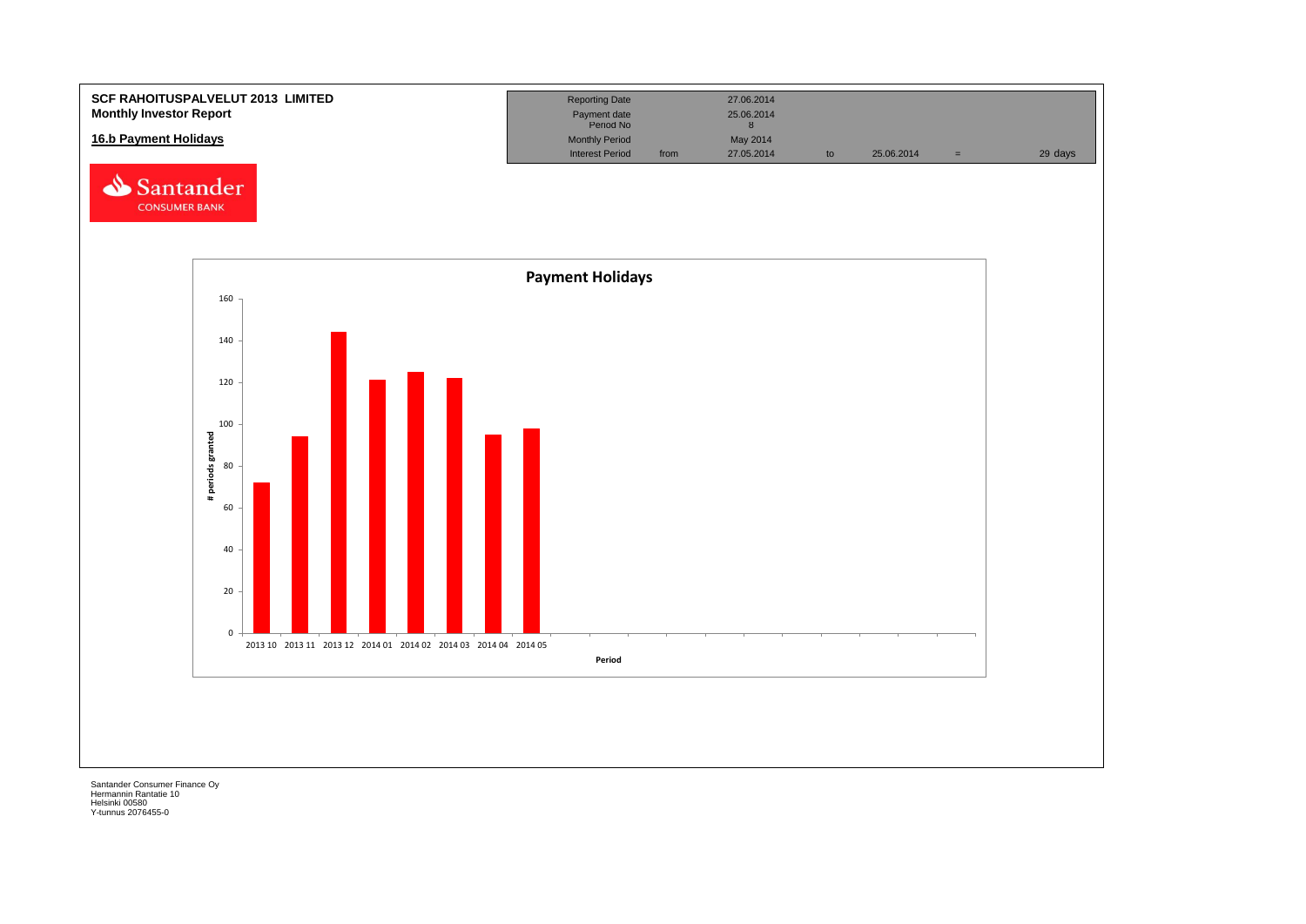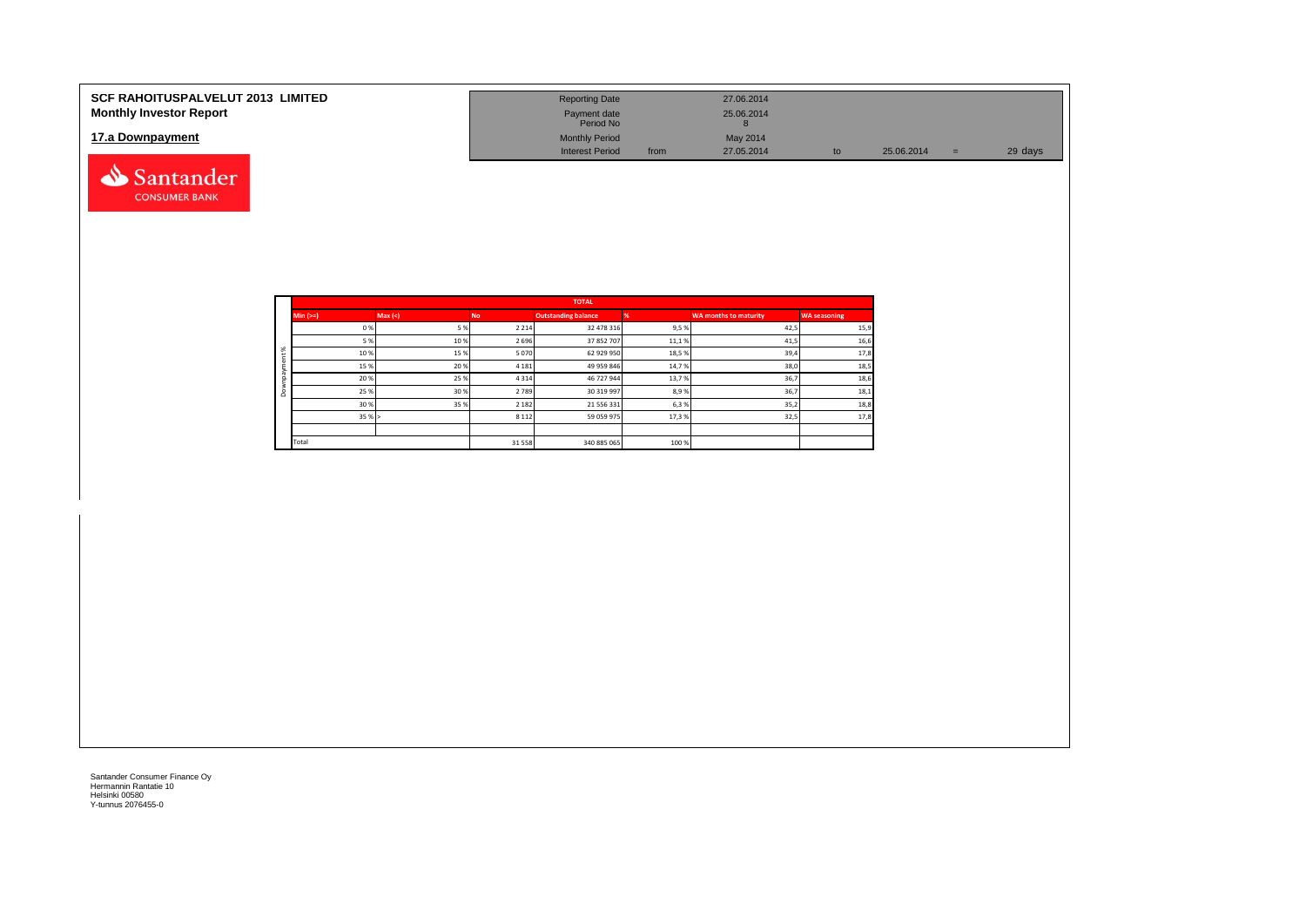| <b>SCF RAHOITUSPALVELUT 2013 LIMITED</b><br><b>Monthly Investor Report</b> | <b>Reporting Date</b><br>Payment date                        |      | 27.06.2014<br>25.06.2014 |    |            |          |         |
|----------------------------------------------------------------------------|--------------------------------------------------------------|------|--------------------------|----|------------|----------|---------|
| 17.a Downpayment                                                           | Period No<br><b>Monthly Period</b><br><b>Interest Period</b> | from | May 2014<br>27.05.2014   | tc | 25.06.2014 | $\equiv$ | 29 days |
| Santander                                                                  |                                                              |      |                          |    |            |          |         |

|          |            |        |           | <b>TOTAL</b>               |       |                              |                     |
|----------|------------|--------|-----------|----------------------------|-------|------------------------------|---------------------|
|          | $Min (==)$ | Max(<) | <b>No</b> | <b>Outstanding balance</b> |       | <b>WA months to maturity</b> | <b>WA seasoning</b> |
|          | 0%         | 5%     | 2 2 1 4   | 32 478 316                 | 9,5%  | 42,5                         | 15,9                |
|          | 5 %        | 10%    | 2 6 9 6   | 37 852 707                 | 11,1% | 41,5                         | 16,6                |
| $\aleph$ | 10%        | 15%    | 5 0 7 0   | 62 929 950                 | 18,5% | 39,4                         | 17,8                |
|          | 15%        | 20%    | 4 1 8 1   | 49 959 846                 | 14,7% | 38,0                         | 18,5                |
|          | 20%        | 25%    | 4 3 1 4   | 46 727 944                 | 13,7% | 36,7                         | 18,6                |
| ۵        | 25 %       | 30%    | 2 7 8 9   | 30 319 997                 | 8,9%  | 36,7                         | 18,1                |
|          | 30%        | 35%    | 2 1 8 2   | 21 556 331                 | 6,3%  | 35,2                         | 18,8                |
|          | 35%        |        | 8 1 1 2   | 59 059 975                 | 17,3% | 32,5                         | 17,8                |
|          |            |        |           |                            |       |                              |                     |
|          | Total      |        | 31 558    | 340 885 065                | 100 % |                              |                     |

**CONSUMER BANK**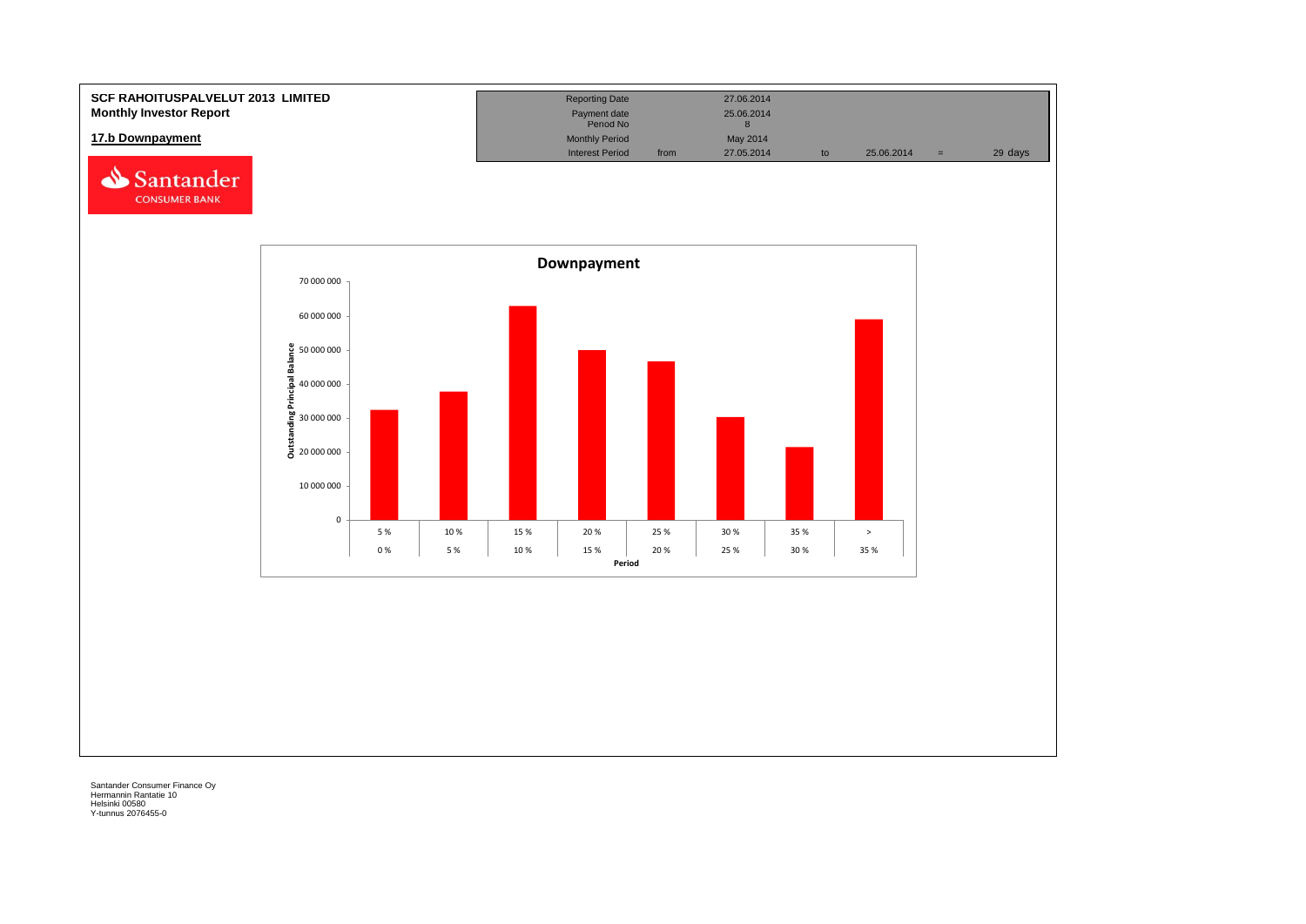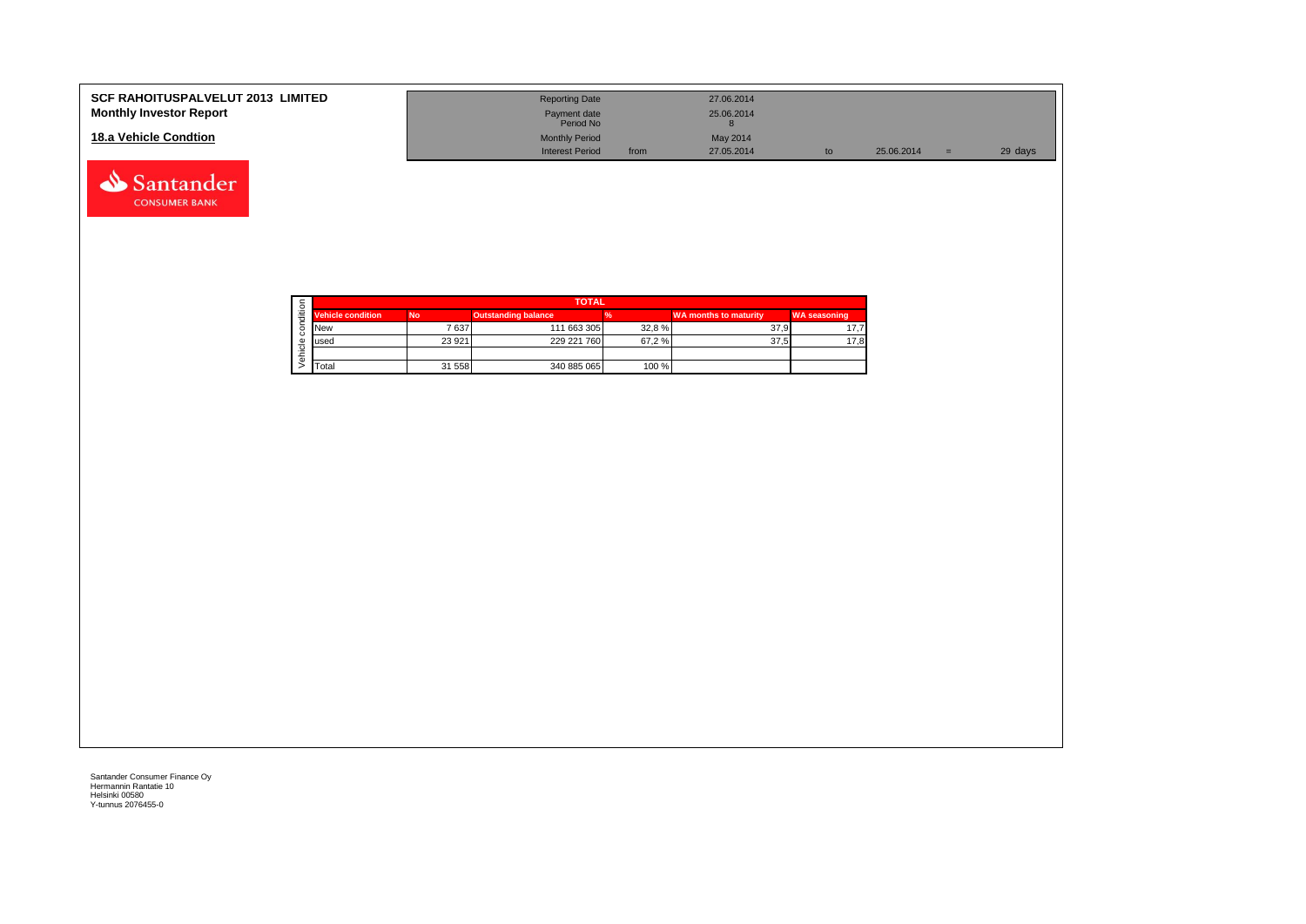| <b>SCF RAHOITUSPALVELUT 2013 LIMITED</b><br><b>Monthly Investor Report</b> | <b>Reporting Date</b><br>Payment date<br>Period No |      | 27.06.2014<br>25.06.2014 |    |            |     |         |
|----------------------------------------------------------------------------|----------------------------------------------------|------|--------------------------|----|------------|-----|---------|
| 18.a Vehicle Condtion                                                      | <b>Monthly Period</b><br><b>Interest Period</b>    | from | May 2014<br>27.05.2014   | to | 25.06.2014 | $=$ | 29 days |

|   |                          | <b>TOTAL</b> |                            |       |                              |                     |  |  |  |  |  |
|---|--------------------------|--------------|----------------------------|-------|------------------------------|---------------------|--|--|--|--|--|
| ≝ | <b>Vehicle condition</b> | <b>No</b>    | <b>Outstanding balance</b> |       | <b>WA months to maturity</b> | <b>WA seasoning</b> |  |  |  |  |  |
|   | <b>INew</b>              | 7637         | 111 663 305                | 32,8% | 37.9                         | 17.7                |  |  |  |  |  |
|   | lused                    | 23 9 21      | 229 221 760                | 67,2% | 37.5                         | 17,8                |  |  |  |  |  |
|   |                          |              |                            |       |                              |                     |  |  |  |  |  |
|   | <b>T</b> otal            | 31 558       | 340 885 065                | 100 % |                              |                     |  |  |  |  |  |

Santander **CONSUMER BANK**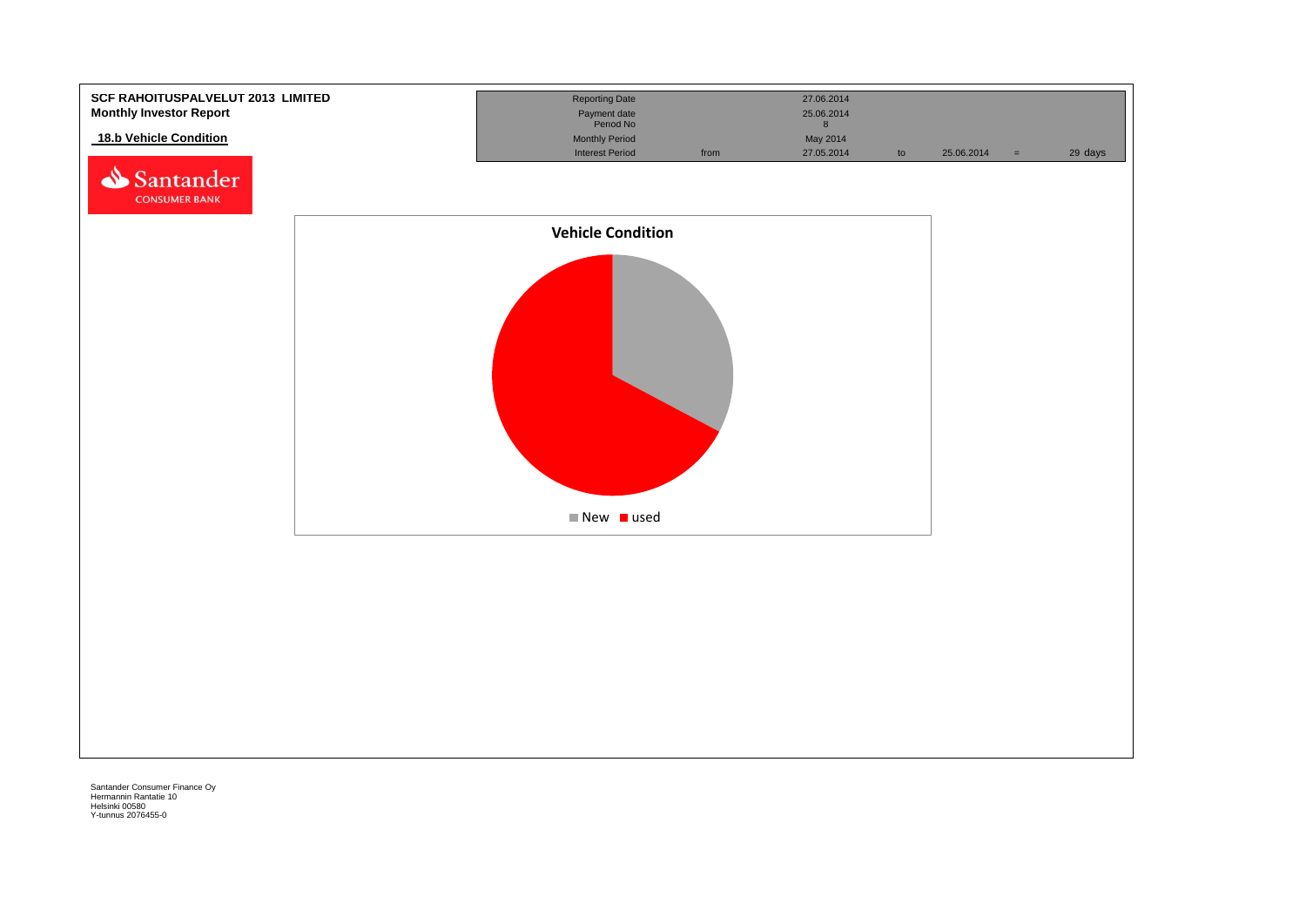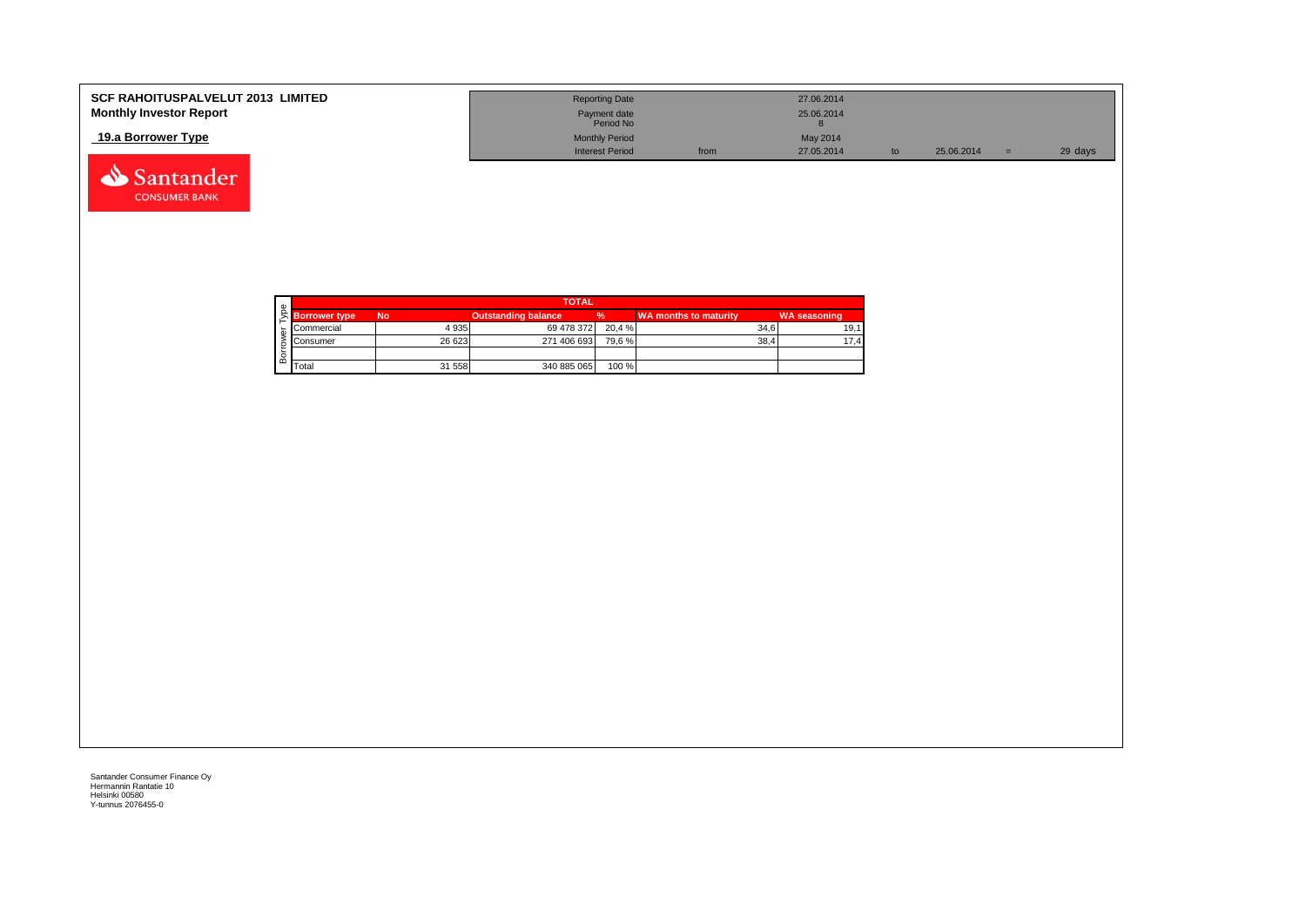| <b>SCF RAHOITUSPALVELUT 2013 LIMITED</b> | <b>Reporting Date</b>     |      | 27.06.2014 |            |         |
|------------------------------------------|---------------------------|------|------------|------------|---------|
| <b>Monthly Investor Report</b>           | Payment date<br>Period No |      | 25.06.2014 |            |         |
| 19.a Borrower Type                       | <b>Monthly Period</b>     |      | May 2014   |            |         |
|                                          | <b>Interest Period</b>    | from | 27.05.2014 | 25.06.2014 | 29 days |



Santander **CONSUMER BANK**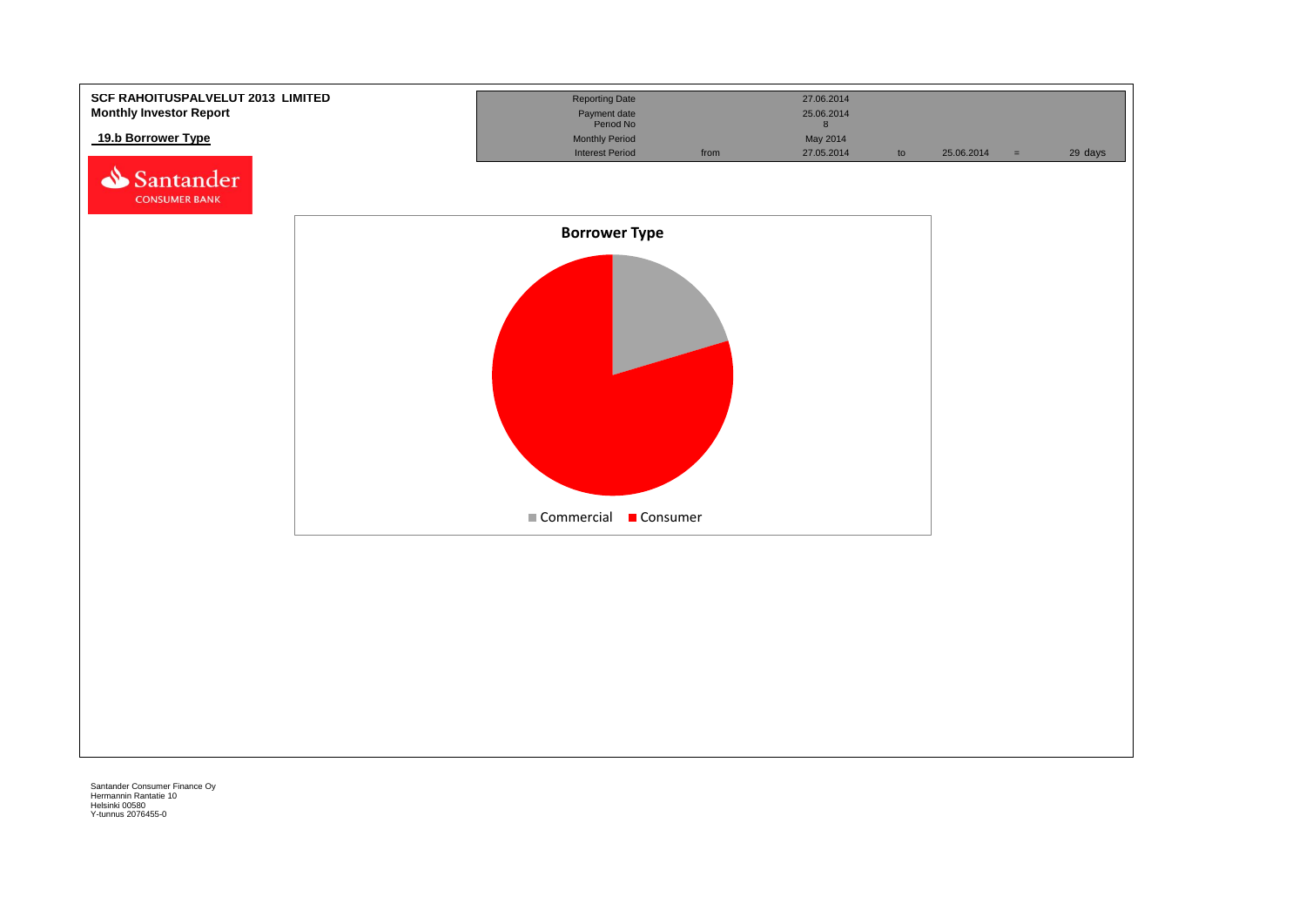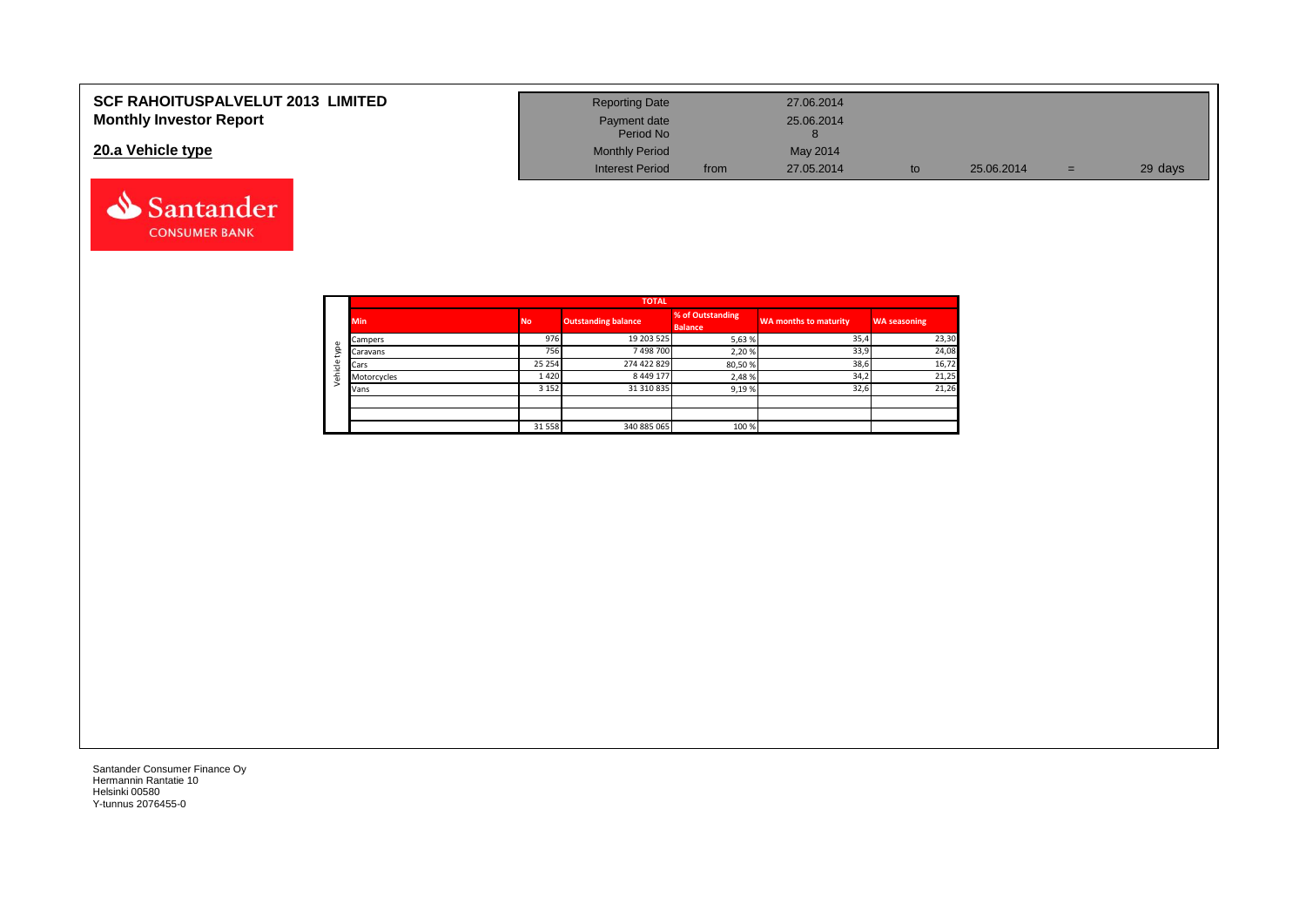| <b>SCF RAHOITUSPALVELUT 2013 LIMITED</b> | <b>Reporting Date</b>     |      | 27.06.2014 |            |     |         |
|------------------------------------------|---------------------------|------|------------|------------|-----|---------|
| <b>Monthly Investor Report</b>           | Payment date<br>Period No |      | 25.06.2014 |            |     |         |
| 20.a Vehicle type                        | <b>Monthly Period</b>     |      | May 2014   |            |     |         |
|                                          | <b>Interest Period</b>    | from | 27.05.2014 | 25.06.2014 | $=$ | 29 days |



Santander **CONSUMER BANK**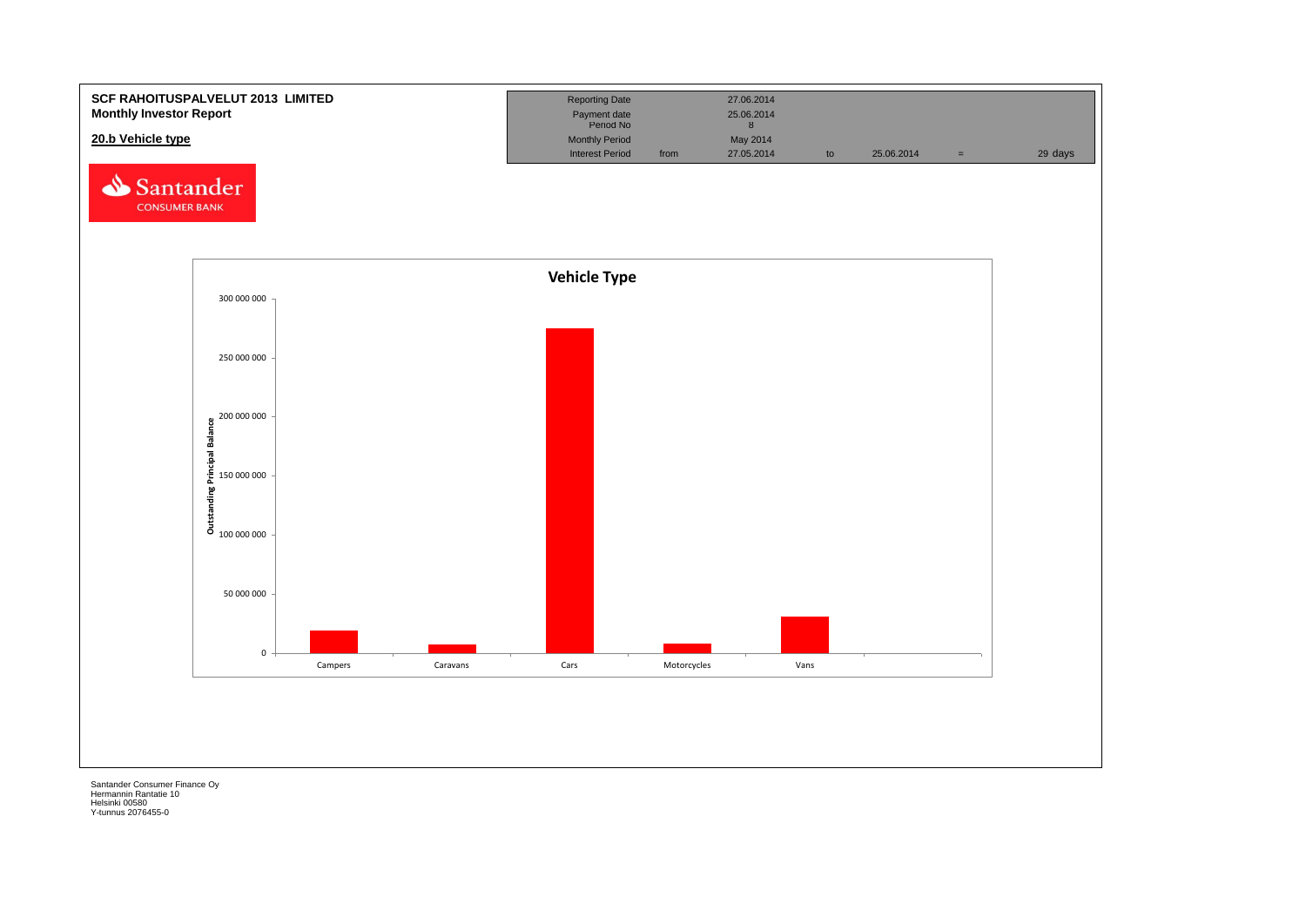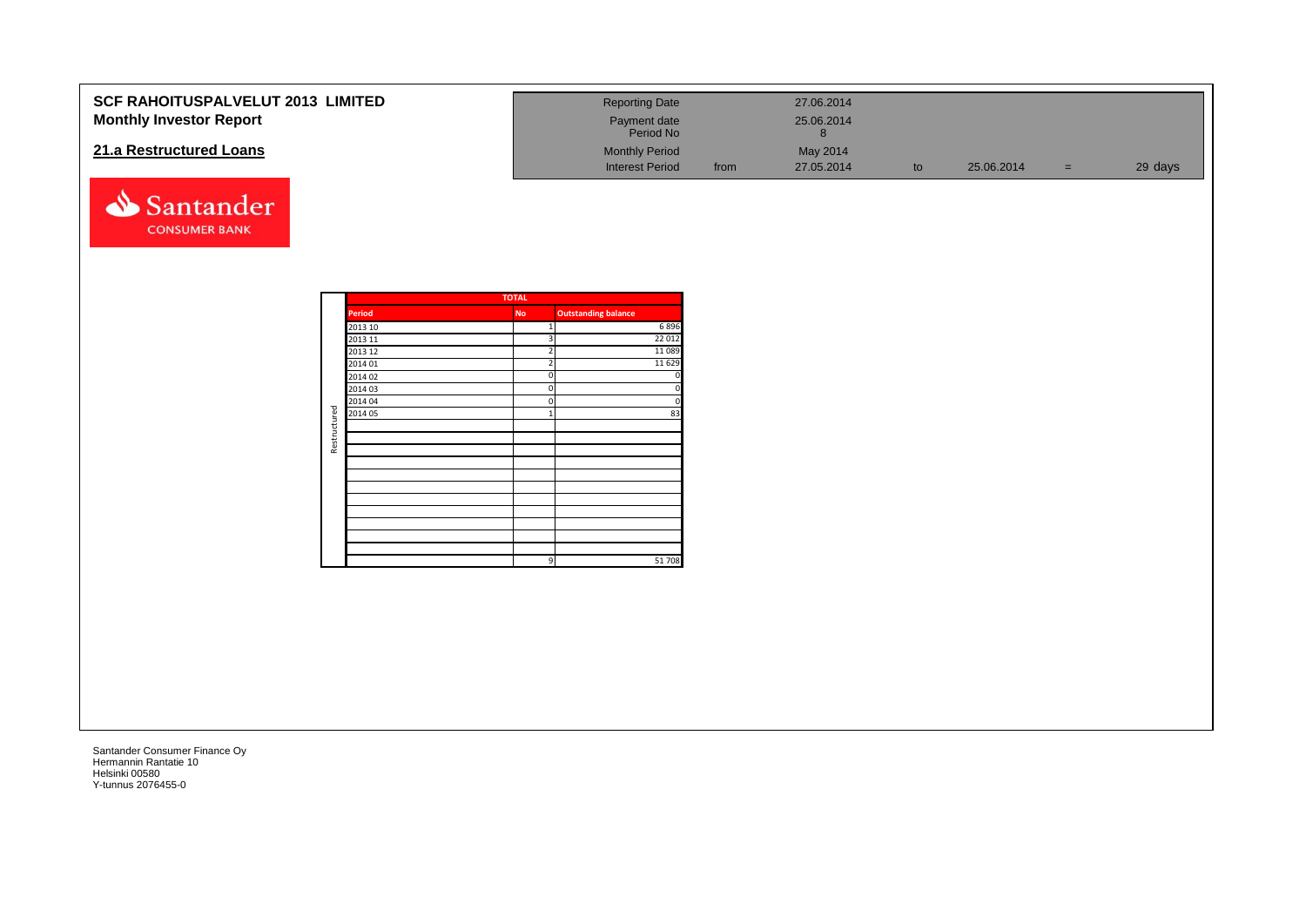| SCF RAHOITUSPALVELUT 2013 LIMITED<br><b>Monthly Investor Report</b> |              |                    |                     | <b>Reporting Date</b><br>Payment date<br>Period No |      | 27.06.2014<br>25.06.2014<br>$8\phantom{1}$ |    |            |     |         |
|---------------------------------------------------------------------|--------------|--------------------|---------------------|----------------------------------------------------|------|--------------------------------------------|----|------------|-----|---------|
| 21.a Restructured Loans                                             |              |                    |                     | <b>Monthly Period</b><br><b>Interest Period</b>    | from | May 2014<br>27.05.2014                     | to | 25.06.2014 | $=$ | 29 days |
| Santander<br><b>CONSUMER BANK</b>                                   |              |                    |                     |                                                    |      |                                            |    |            |     |         |
|                                                                     |              |                    | <b>TOTAL</b>        |                                                    |      |                                            |    |            |     |         |
|                                                                     |              | <b>Period</b>      | <b>No</b>           | <b>Outstanding balance</b>                         |      |                                            |    |            |     |         |
|                                                                     |              | 2013 10            |                     | 6896                                               |      |                                            |    |            |     |         |
|                                                                     |              | 2013 11            | 3                   | 22 012                                             |      |                                            |    |            |     |         |
|                                                                     |              | 2013 12<br>2014 01 | $\overline{2}$<br>2 | 11 0 8 9<br>11 6 29                                |      |                                            |    |            |     |         |
|                                                                     |              | 2014 02            | n                   |                                                    |      |                                            |    |            |     |         |
|                                                                     |              | 2014 03            | $\Omega$            |                                                    |      |                                            |    |            |     |         |
|                                                                     |              | 2014 04            | $\Omega$            |                                                    |      |                                            |    |            |     |         |
|                                                                     | Restructured | 2014 05            | $\mathbf{1}$        | 83                                                 |      |                                            |    |            |     |         |
|                                                                     |              |                    |                     |                                                    |      |                                            |    |            |     |         |
|                                                                     |              |                    |                     |                                                    |      |                                            |    |            |     |         |
|                                                                     |              |                    |                     |                                                    |      |                                            |    |            |     |         |
|                                                                     |              |                    |                     |                                                    |      |                                            |    |            |     |         |
|                                                                     |              |                    |                     |                                                    |      |                                            |    |            |     |         |
|                                                                     |              |                    |                     |                                                    |      |                                            |    |            |     |         |
|                                                                     |              |                    |                     |                                                    |      |                                            |    |            |     |         |
|                                                                     |              |                    |                     |                                                    |      |                                            |    |            |     |         |
|                                                                     |              |                    |                     |                                                    |      |                                            |    |            |     |         |
|                                                                     |              |                    |                     |                                                    |      |                                            |    |            |     |         |
|                                                                     |              |                    | $\mathsf{q}$        | 51708                                              |      |                                            |    |            |     |         |
|                                                                     |              |                    |                     |                                                    |      |                                            |    |            |     |         |
|                                                                     |              |                    |                     |                                                    |      |                                            |    |            |     |         |
|                                                                     |              |                    |                     |                                                    |      |                                            |    |            |     |         |
|                                                                     |              |                    |                     |                                                    |      |                                            |    |            |     |         |
|                                                                     |              |                    |                     |                                                    |      |                                            |    |            |     |         |
|                                                                     |              |                    |                     |                                                    |      |                                            |    |            |     |         |
|                                                                     |              |                    |                     |                                                    |      |                                            |    |            |     |         |
|                                                                     |              |                    |                     |                                                    |      |                                            |    |            |     |         |
|                                                                     |              |                    |                     |                                                    |      |                                            |    |            |     |         |
|                                                                     |              |                    |                     |                                                    |      |                                            |    |            |     |         |
|                                                                     |              |                    |                     |                                                    |      |                                            |    |            |     |         |
|                                                                     |              |                    |                     |                                                    |      |                                            |    |            |     |         |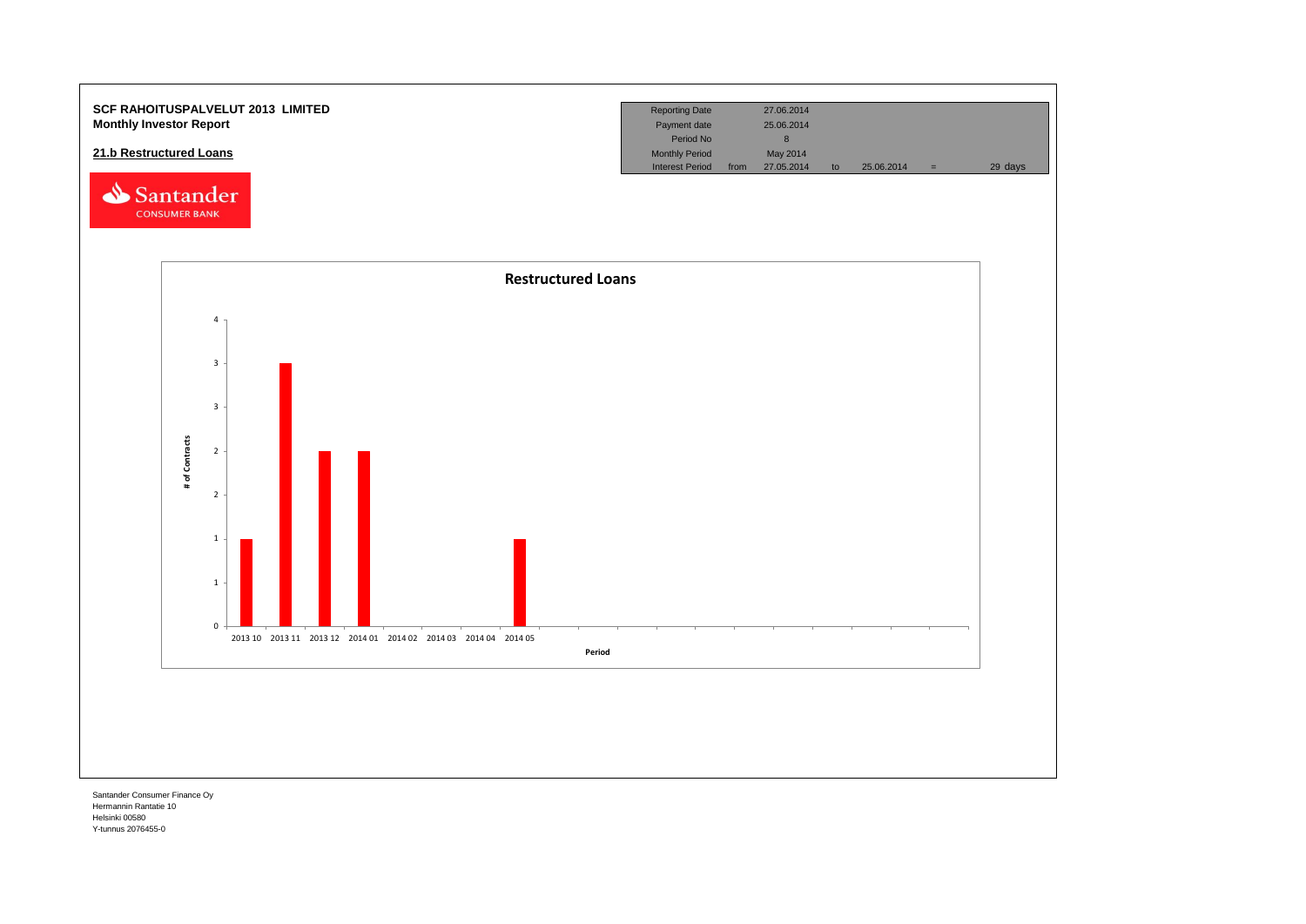

Hermannin Rantatie 10 Helsinki 00580 Y-tunnus 2076455-0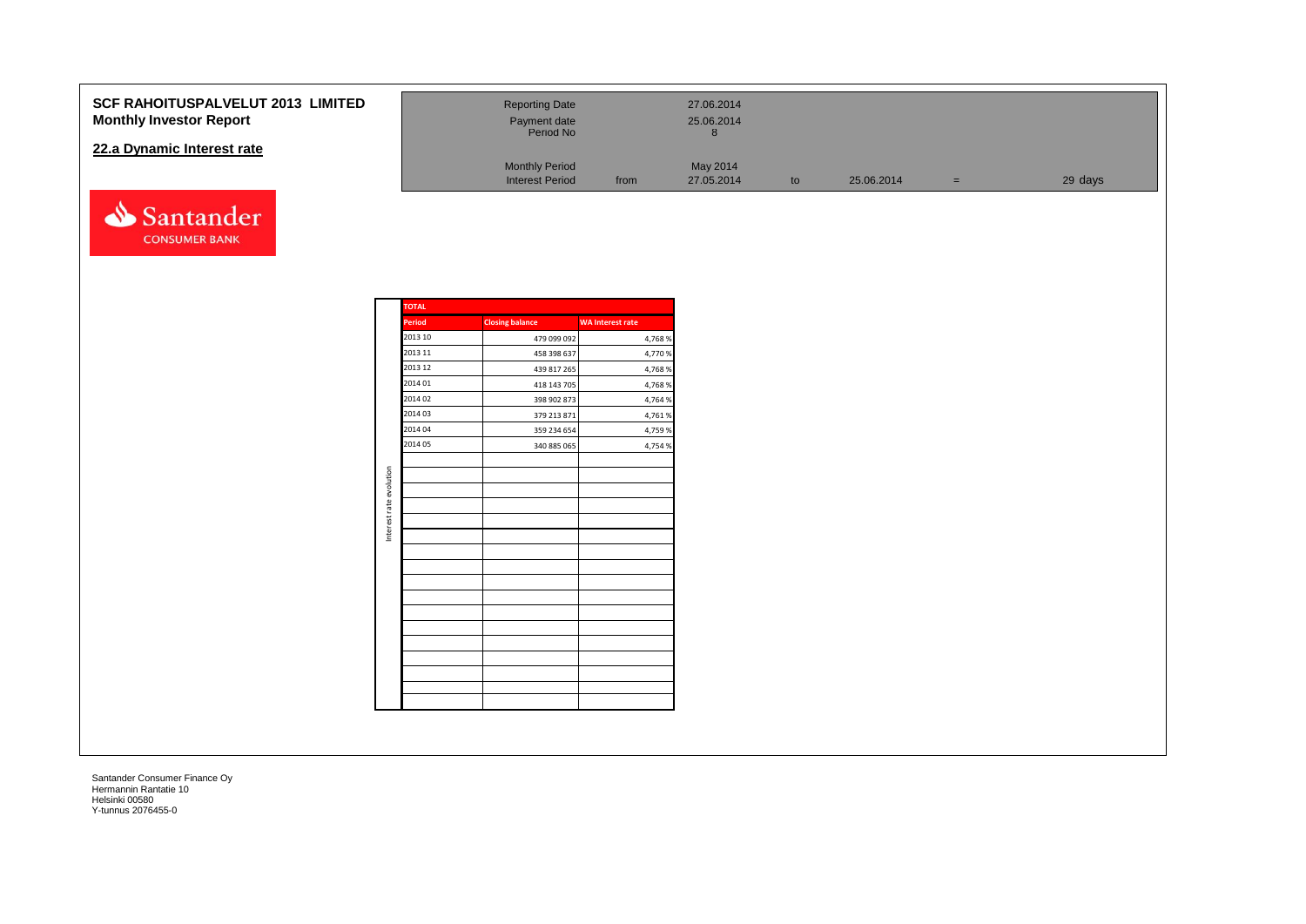#### **SCF RAHOITUSPALVELUT 2013 Monthly Investor Report**

#### **22.a Dynamic Interest rate**



| <b>LIMITED</b> | <b>Reporting Date</b><br>Payment date<br>Period No |      | 27.06.2014<br>25.06.2014 |    |            |     |         |
|----------------|----------------------------------------------------|------|--------------------------|----|------------|-----|---------|
|                | <b>Monthly Period</b><br><b>Interest Period</b>    | from | May 2014<br>27.05.2014   | to | 25.06.2014 | $=$ | 29 days |

|                         | <b>TOTAL</b>  |                        |                         |
|-------------------------|---------------|------------------------|-------------------------|
|                         | <b>Period</b> | <b>Closing balance</b> | <b>WA Interest rate</b> |
|                         | 2013 10       | 479 099 092            | 4,768%                  |
|                         | 2013 11       | 458 398 637            | 4,770 %                 |
|                         | 2013 12       | 439 817 265            | 4,768%                  |
|                         | 2014 01       | 418 143 705            | 4,768%                  |
|                         | 2014 02       | 398 902 873            | 4,764 %                 |
|                         | 2014 03       | 379 213 871            | 4,761%                  |
|                         | 2014 04       | 359 234 654            | 4,759 %                 |
|                         | 2014 05       | 340 885 065            | 4,754 %                 |
|                         |               |                        |                         |
| Interest rate evolution |               |                        |                         |
|                         |               |                        |                         |
|                         |               |                        |                         |
|                         |               |                        |                         |
|                         |               |                        |                         |
|                         |               |                        |                         |
|                         |               |                        |                         |
|                         |               |                        |                         |
|                         |               |                        |                         |
|                         |               |                        |                         |
|                         |               |                        |                         |
|                         |               |                        |                         |
|                         |               |                        |                         |
|                         |               |                        |                         |
|                         |               |                        |                         |
|                         |               |                        |                         |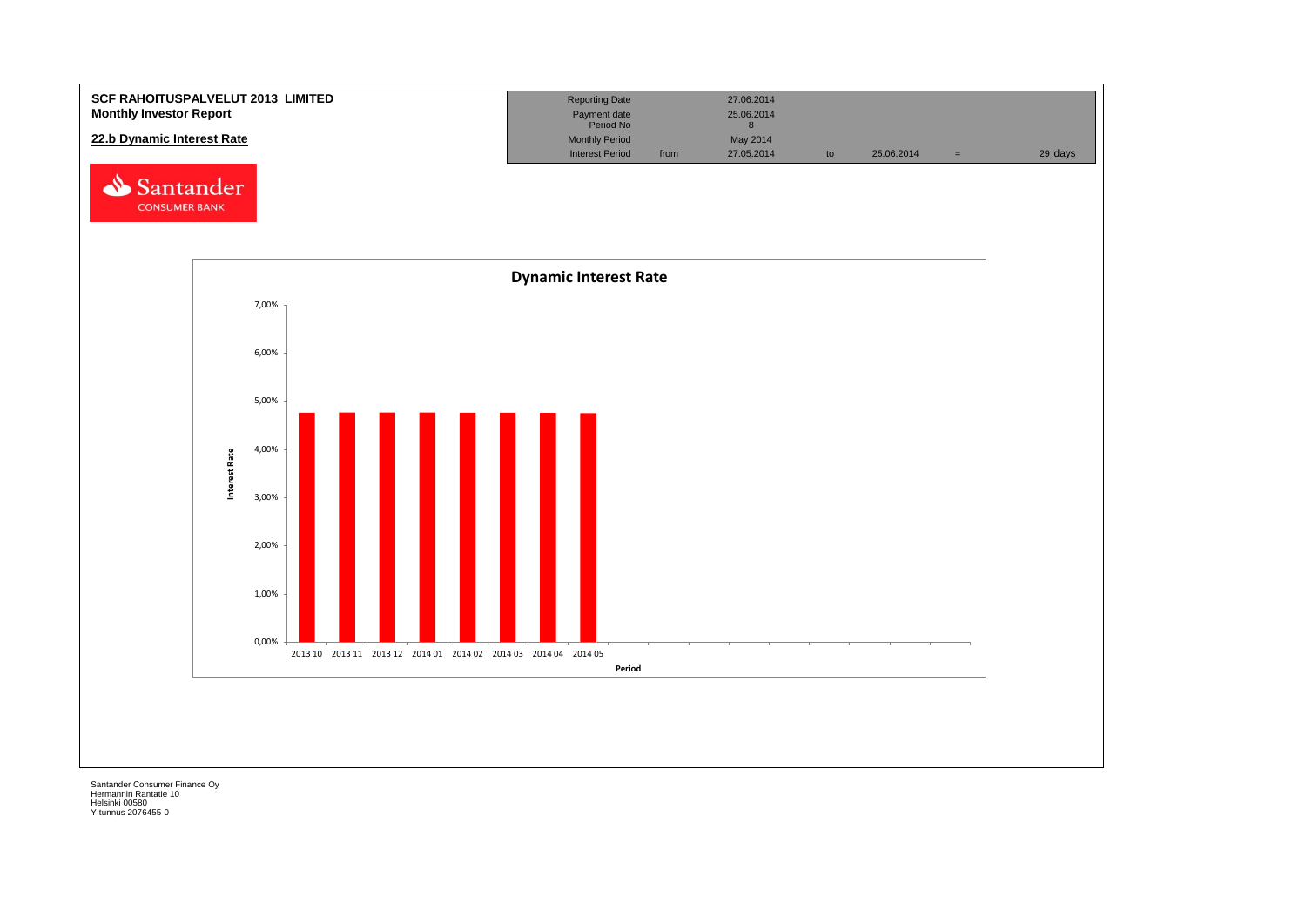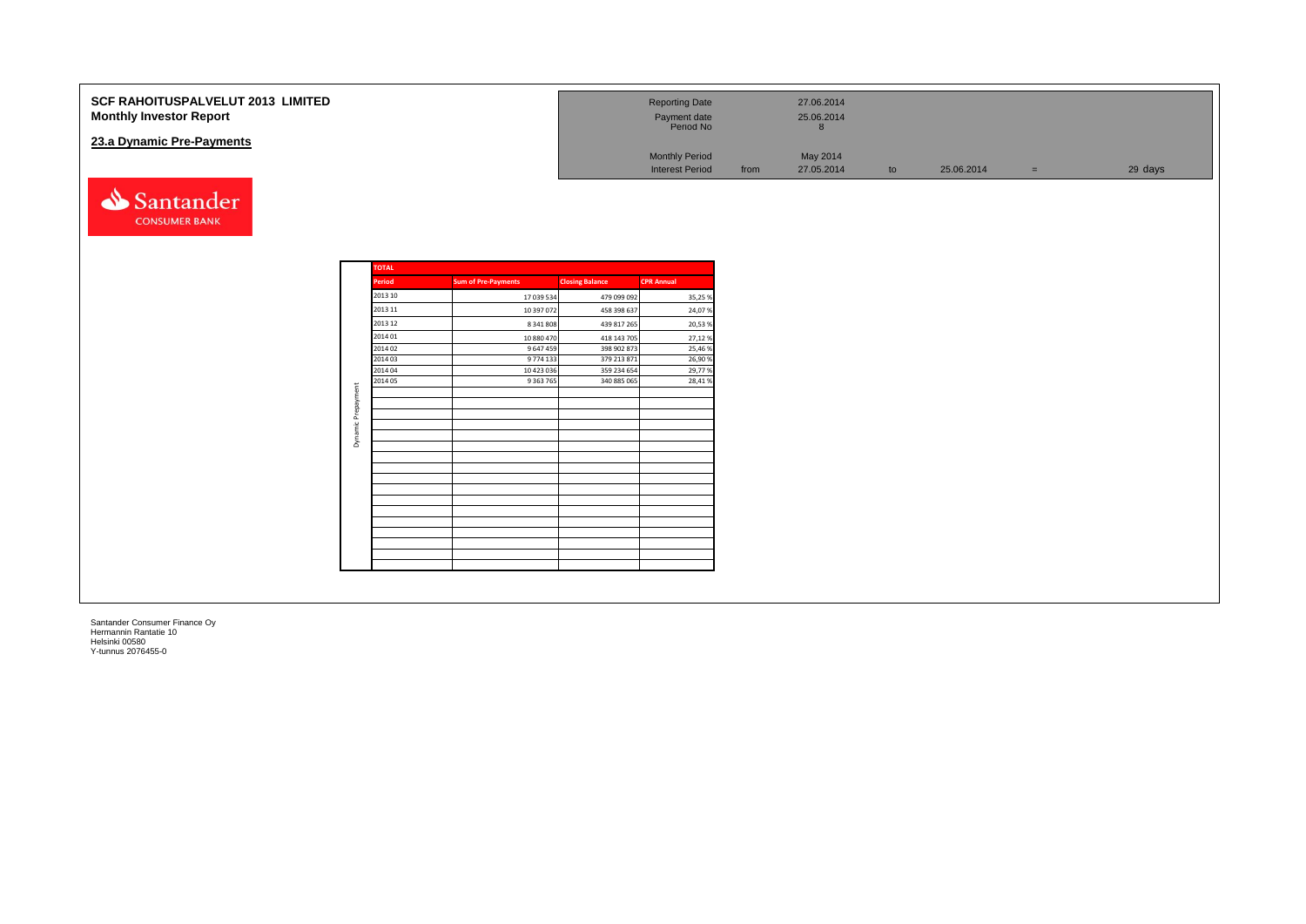| SCF RAHOITUSPALVELUT 2013 LIMITED<br><b>Monthly Investor Report</b><br>23.a Dynamic Pre-Payments |                    |         |                            |                            | <b>Reporting Date</b><br>Payment date<br>Period No<br><b>Monthly Period</b> |      | 27.06.2014<br>25.06.2014<br>8 |    |            |          |         |
|--------------------------------------------------------------------------------------------------|--------------------|---------|----------------------------|----------------------------|-----------------------------------------------------------------------------|------|-------------------------------|----|------------|----------|---------|
|                                                                                                  |                    |         |                            |                            | <b>Interest Period</b>                                                      | from | May 2014<br>27.05.2014        | to | 25.06.2014 | $=$ $\,$ | 29 days |
| Santander<br><b>CONSUMER BANK</b>                                                                |                    |         |                            |                            |                                                                             |      |                               |    |            |          |         |
|                                                                                                  | <b>TOTAL</b>       |         |                            |                            |                                                                             |      |                               |    |            |          |         |
|                                                                                                  | <b>Period</b>      |         | <b>Sum of Pre-Payments</b> | <b>Closing Balance</b>     | <b>CPR Annual</b>                                                           |      |                               |    |            |          |         |
|                                                                                                  |                    | 2013 10 | 17 039 534                 | 479 099 092                | 35,25 %                                                                     |      |                               |    |            |          |         |
|                                                                                                  | 2013 11            |         | 10 397 072                 | 458 398 637                | 24,07%                                                                      |      |                               |    |            |          |         |
|                                                                                                  | 2013 12            |         | 8 341 808                  | 439 817 265                | 20,53%                                                                      |      |                               |    |            |          |         |
|                                                                                                  | 2014 01            |         | 10 880 470                 | 418 143 705                | 27,12%                                                                      |      |                               |    |            |          |         |
|                                                                                                  | 2014 02            |         | 9 647 459                  | 398 902 873                | 25,46%                                                                      |      |                               |    |            |          |         |
|                                                                                                  | 2014 03            |         | 9 774 133                  | 379 213 871                | 26,90%                                                                      |      |                               |    |            |          |         |
|                                                                                                  | 2014 04            |         | 10 423 036                 | 359 234 654<br>340 885 065 | 29,77%<br>28,41%                                                            |      |                               |    |            |          |         |
|                                                                                                  |                    | 2014 05 | 9 3 63 7 65                |                            |                                                                             |      |                               |    |            |          |         |
|                                                                                                  |                    |         |                            |                            |                                                                             |      |                               |    |            |          |         |
|                                                                                                  | Dynamic Prepayment |         |                            |                            |                                                                             |      |                               |    |            |          |         |
|                                                                                                  |                    |         |                            |                            |                                                                             |      |                               |    |            |          |         |
|                                                                                                  |                    |         |                            |                            |                                                                             |      |                               |    |            |          |         |
|                                                                                                  |                    |         |                            |                            |                                                                             |      |                               |    |            |          |         |
|                                                                                                  |                    |         |                            |                            |                                                                             |      |                               |    |            |          |         |
|                                                                                                  |                    |         |                            |                            |                                                                             |      |                               |    |            |          |         |
|                                                                                                  |                    |         |                            |                            |                                                                             |      |                               |    |            |          |         |
|                                                                                                  |                    |         |                            |                            |                                                                             |      |                               |    |            |          |         |
|                                                                                                  |                    |         |                            |                            |                                                                             |      |                               |    |            |          |         |
|                                                                                                  |                    |         |                            |                            |                                                                             |      |                               |    |            |          |         |
|                                                                                                  |                    |         |                            |                            |                                                                             |      |                               |    |            |          |         |
|                                                                                                  |                    |         |                            |                            |                                                                             |      |                               |    |            |          |         |
|                                                                                                  |                    |         |                            |                            |                                                                             |      |                               |    |            |          |         |
|                                                                                                  |                    |         |                            |                            |                                                                             |      |                               |    |            |          |         |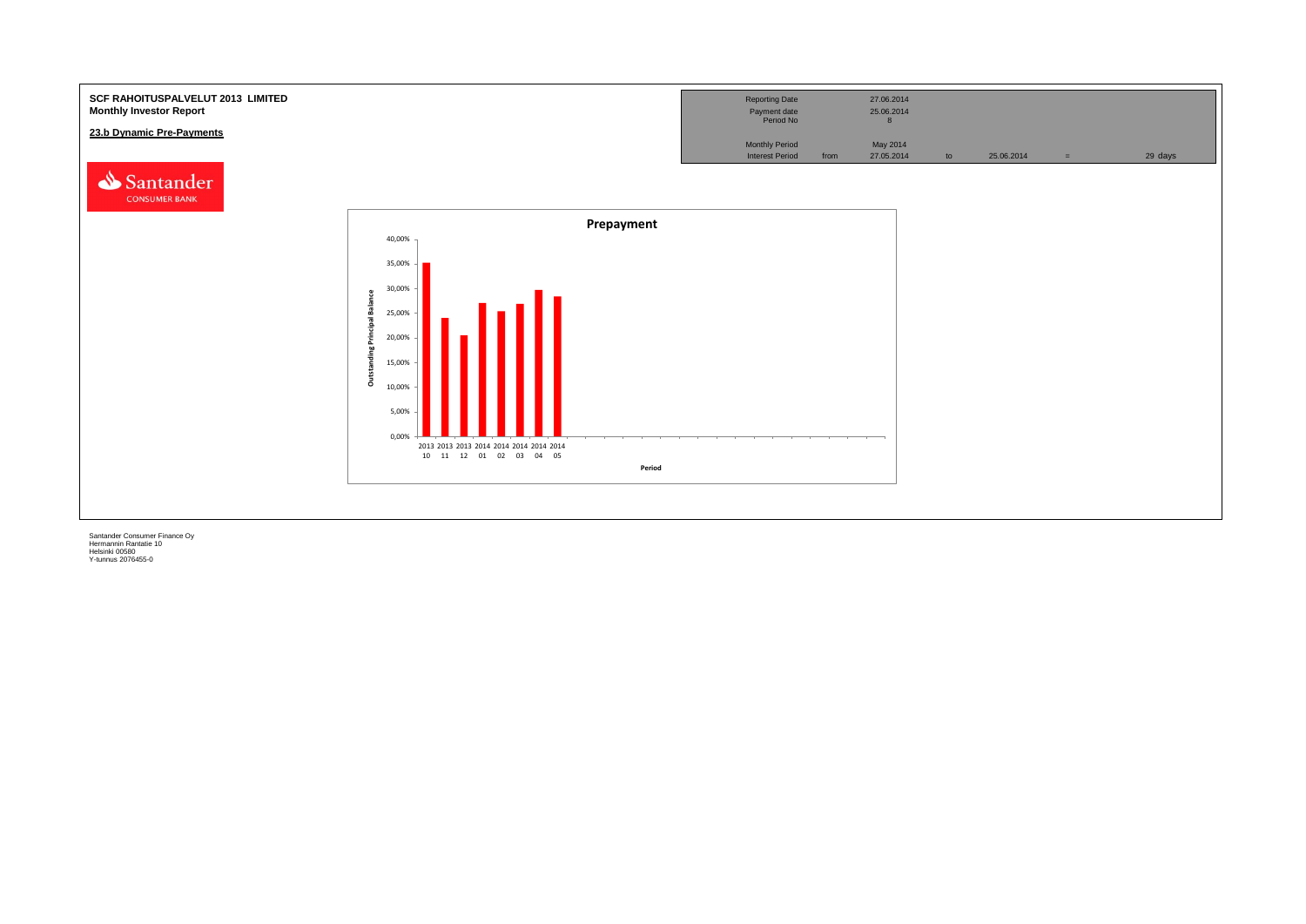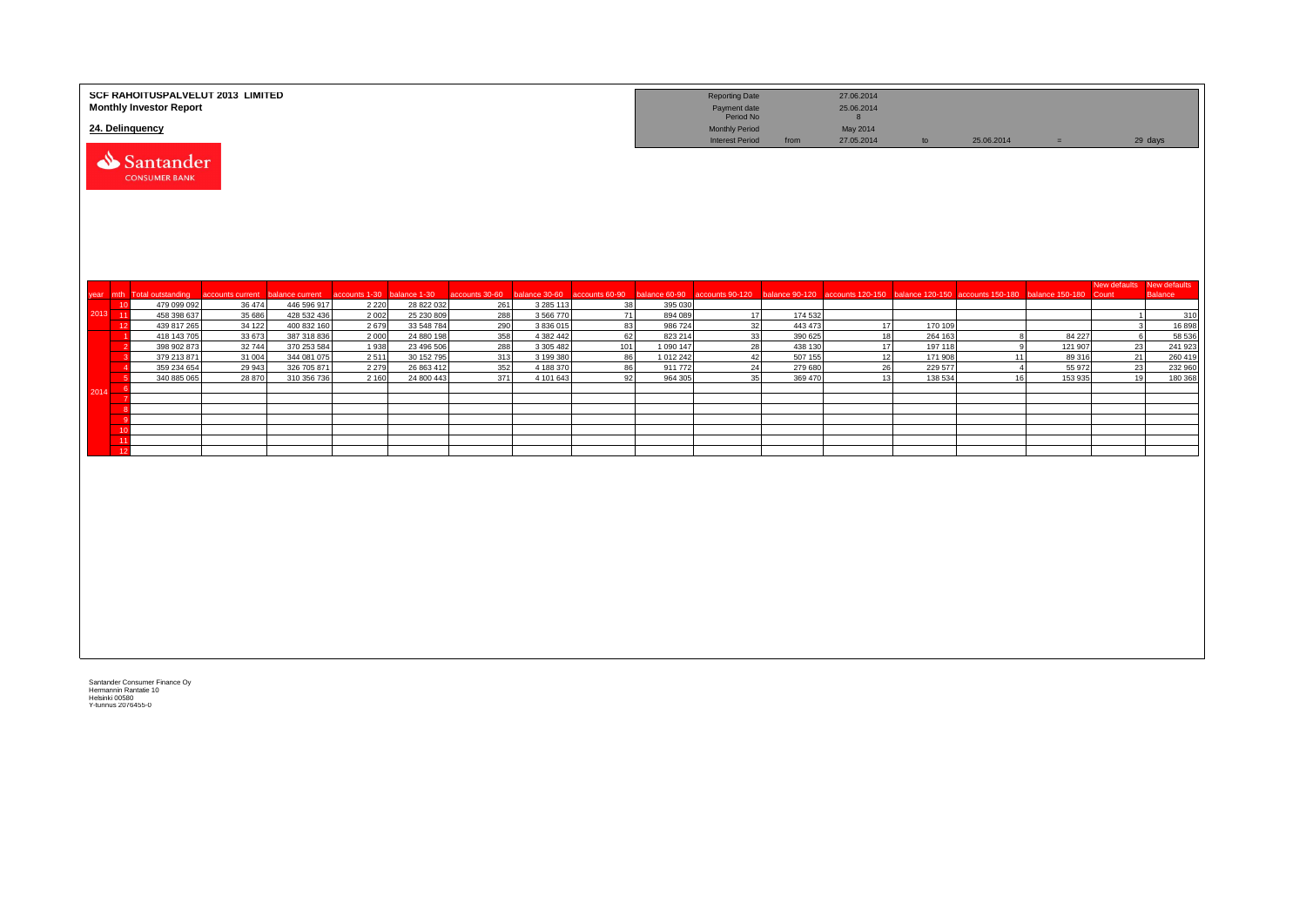|          | SCF RAHOITUSPALVELUT 2013 LIMITED<br><b>Monthly Investor Report</b><br>24. Delinquency |                  |                            |               |                          |                |                        |                |                      | <b>Reporting Date</b><br>Payment date<br>Period No |                    | 27.06.2014<br>25.06.2014<br>8 |                    |                                                   |                   |                       |                                |
|----------|----------------------------------------------------------------------------------------|------------------|----------------------------|---------------|--------------------------|----------------|------------------------|----------------|----------------------|----------------------------------------------------|--------------------|-------------------------------|--------------------|---------------------------------------------------|-------------------|-----------------------|--------------------------------|
|          | Santander<br><b>CONSUMER BANK</b>                                                      |                  |                            |               |                          |                |                        |                |                      | <b>Monthly Period</b><br><b>Interest Period</b>    | from               | May 2014<br>27.05.2014        | to                 | 25.06.2014                                        | $=$               |                       | 29 days                        |
| year mth | <b>Total outstanding</b>                                                               | accounts current | balance current            | accounts 1-30 | balance 1-30             | accounts 30-60 | alance 30-60           | accounts 60-90 | palance 60-90        | ccounts 90-120                                     | balance 90-120     |                               |                    | accounts 120-150 balance 120-150 accounts 150-180 | balance 150-180   | New defaults<br>Count | New defaults<br><b>Balance</b> |
|          | 479 099 092<br>10                                                                      | 36 474           | 446 596 917                | 2 2 2 0       | 28 822 032               | 261            | 3 2 8 5 1 1 3          | 38             | 395 030              |                                                    |                    |                               |                    |                                                   |                   |                       |                                |
| 2013 11  | 458 398 637                                                                            | 35 686           | 428 532 436                | 2002          | 25 230 809               | 288            | 3 5 6 7 7 0            | 71             | 894 089              | 17                                                 | 174 532            |                               |                    |                                                   |                   |                       | 310                            |
|          | 439 817 265<br>12                                                                      | 34 122           | 400 832 160                | 2679          | 33 548 784               | 290            | 3 836 015              | 83             | 986 724              | 32                                                 | 443 473            | 17                            | 170 109            |                                                   |                   |                       | 16898                          |
|          | 418 143 705<br>398 902 873                                                             | 33 673<br>32744  | 387 318 836<br>370 253 584 | 2000<br>1938  | 24 880 198<br>23 496 506 | 358<br>288     | 4 382 442<br>3 305 482 | 62<br>101      | 823 214<br>1 090 147 | 33<br>28                                           | 390 625<br>438 130 | 18<br>17                      | 264 163<br>197 118 | 8<br>9                                            | 84 227<br>121 907 | 6<br>23               | 58 536<br>241 923              |
|          | 379 213 871                                                                            | 31 004           | 344 081 075                | 2511          | 30 152 795               | 313            | 3 199 380              | 86             | 1 012 242            | 42                                                 | 507 155            | 12                            | 171 908            | 11                                                | 89 316            | 21                    | 260 419                        |
|          | 359 234 654                                                                            | 29 943           | 326 705 871                | 2 2 7 9       | 26 863 412               | 352            | 4 188 370              | 86             | 911 772              | 24                                                 | 279 680            | 26                            | 229 577            | $\overline{4}$                                    | 55 972            | 23                    | 232 960                        |
|          | 340 885 065                                                                            | 28 870           | 310 356 736                | 2 1 6 0       | 24 800 443               | 371            | 4 101 643              | 92             | 964 305              | 35                                                 | 369 470            | 13                            | 138 534            | 16                                                | 153 935           | 19                    | 180 368                        |
| 2014     | -6                                                                                     |                  |                            |               |                          |                |                        |                |                      |                                                    |                    |                               |                    |                                                   |                   |                       |                                |
|          |                                                                                        |                  |                            |               |                          |                |                        |                |                      |                                                    |                    |                               |                    |                                                   |                   |                       |                                |
|          | - 8<br>- c                                                                             |                  |                            |               |                          |                |                        |                |                      |                                                    |                    |                               |                    |                                                   |                   |                       |                                |
|          | 10                                                                                     |                  |                            |               |                          |                |                        |                |                      |                                                    |                    |                               |                    |                                                   |                   |                       |                                |
|          | $-11$                                                                                  |                  |                            |               |                          |                |                        |                |                      |                                                    |                    |                               |                    |                                                   |                   |                       |                                |
|          | 12                                                                                     |                  |                            |               |                          |                |                        |                |                      |                                                    |                    |                               |                    |                                                   |                   |                       |                                |
|          |                                                                                        |                  |                            |               |                          |                |                        |                |                      |                                                    |                    |                               |                    |                                                   |                   |                       |                                |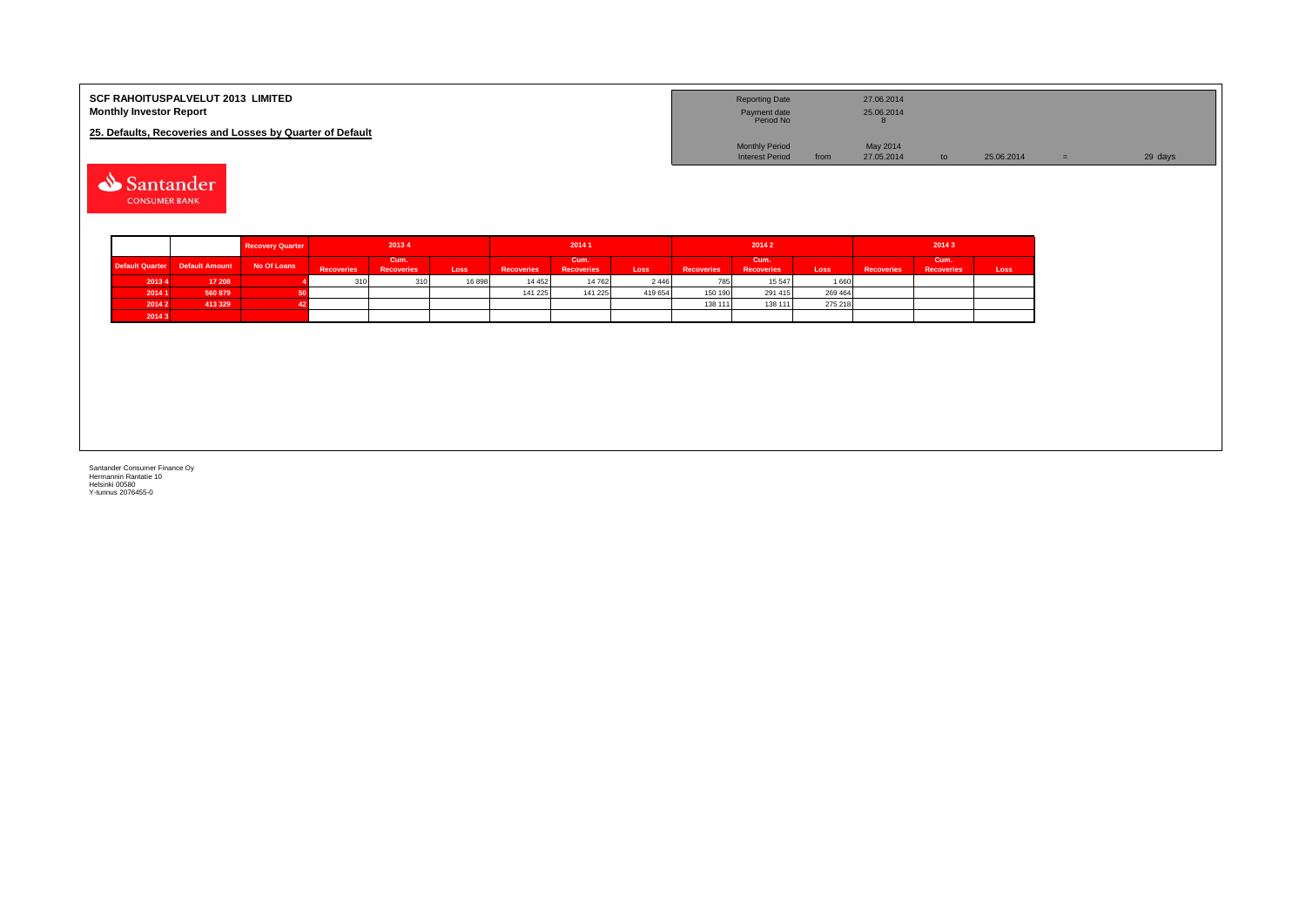| <b>SCF RAHOITUSPALVELUT 2013 LIMITED</b><br><b>Monthly Investor Report</b> | <b>Reporting Date</b><br>Payment date<br>Period No | 27.06.2014<br>25.06.2014 |            |         |
|----------------------------------------------------------------------------|----------------------------------------------------|--------------------------|------------|---------|
| 25. Defaults, Recoveries and Losses by Quarter of Default                  |                                                    |                          |            |         |
|                                                                            | <b>Monthly Period</b>                              | May 2014                 |            |         |
|                                                                            | <b>Interest Period</b>                             | 27.05.2014<br>from       | 25.06.2014 | 29 days |

Santander **CONSUMER BANK** 

|        |                                | <b>Recovery Quarter</b> | 20134             |                           |       | 20141             |                           |         |                   | 20142                     |         | 2014 3            |                           |      |  |
|--------|--------------------------------|-------------------------|-------------------|---------------------------|-------|-------------------|---------------------------|---------|-------------------|---------------------------|---------|-------------------|---------------------------|------|--|
|        | Default Quarter Default Amount | No Of Loans             | <b>Recoveries</b> | Cum.<br><b>Recoveries</b> | Loss  | <b>Recoveries</b> | Cum.<br><b>Recoveries</b> | Loss    | <b>Recoveries</b> | Cum.<br><b>Recoveries</b> | Loss    | <b>Recoveries</b> | Cum.<br><b>Recoveries</b> | Loss |  |
| 20134  | 17 208                         |                         | 310               |                           | 16898 | 14 4 5 2          | 14 762                    | 2 4 4 6 | 785               | 15 5 47                   | 1660    |                   |                           |      |  |
| 2014 1 | 560 879                        |                         |                   |                           |       | 141 225           | 141 225                   | 419 654 | 150 190           | 291 415                   | 269 464 |                   |                           |      |  |
| 2014 2 | 413 329                        |                         |                   |                           |       |                   |                           |         | 138 111           | 138 111                   | 275 218 |                   |                           |      |  |
| 20143  |                                |                         |                   |                           |       |                   |                           |         |                   |                           |         |                   |                           |      |  |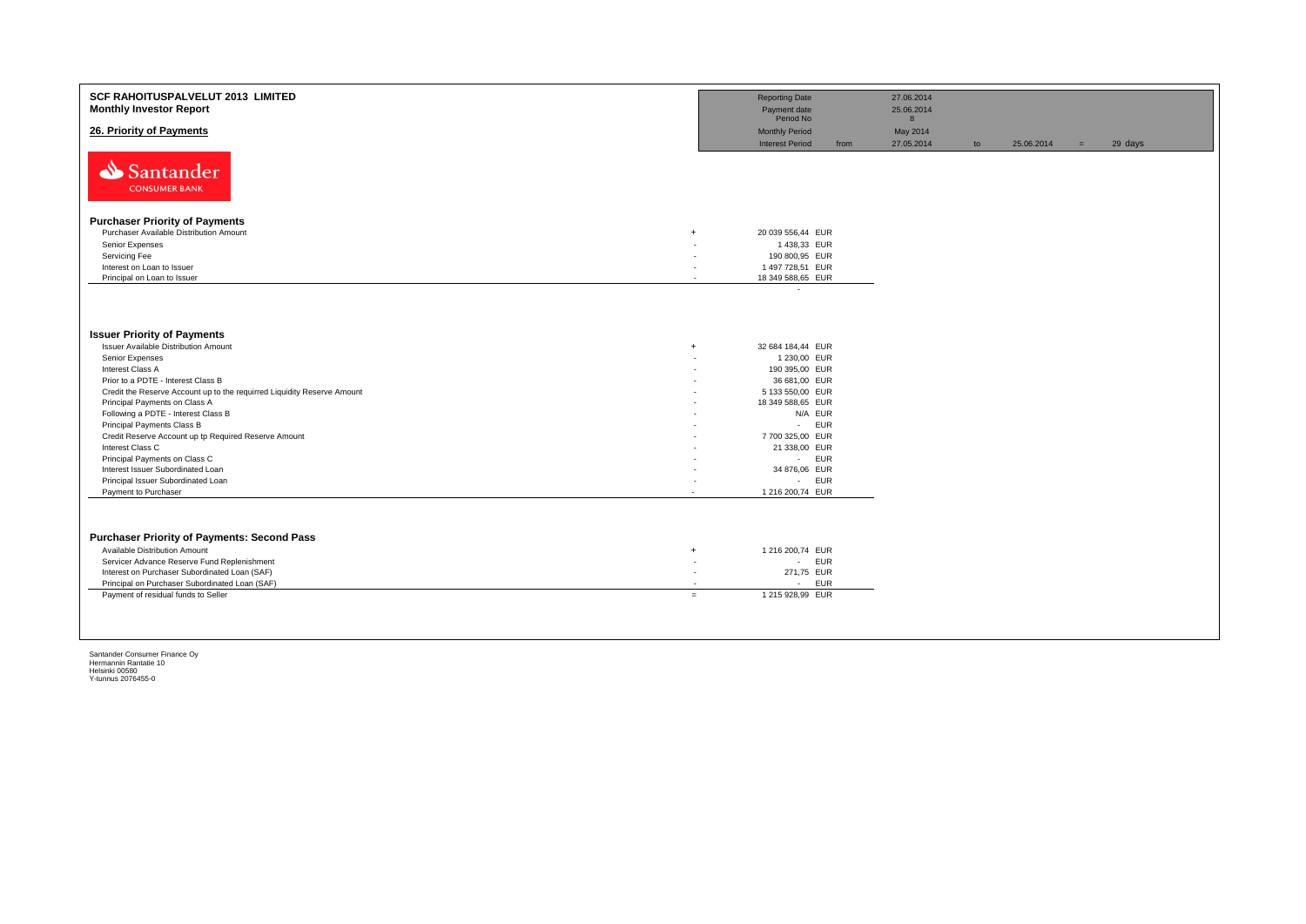| SCF RAHOITUSPALVELUT 2013 LIMITED<br><b>Monthly Investor Report</b>                |                          | <b>Reporting Date</b><br>Payment date                        |      | 27.06.2014<br>25.06.2014    |    |            |     |         |
|------------------------------------------------------------------------------------|--------------------------|--------------------------------------------------------------|------|-----------------------------|----|------------|-----|---------|
| 26. Priority of Payments                                                           |                          | Period No<br><b>Monthly Period</b><br><b>Interest Period</b> | from | 8<br>May 2014<br>27.05.2014 | to | 25.06.2014 | $=$ | 29 days |
| Santander<br><b>CONSUMER BANK</b>                                                  |                          |                                                              |      |                             |    |            |     |         |
| <b>Purchaser Priority of Payments</b>                                              |                          |                                                              |      |                             |    |            |     |         |
| Purchaser Available Distribution Amount<br>$\ddot{+}$                              |                          | 20 039 556,44 EUR                                            |      |                             |    |            |     |         |
| Senior Expenses                                                                    |                          | 1438,33 EUR                                                  |      |                             |    |            |     |         |
| Servicing Fee                                                                      |                          | 190 800,95 EUR                                               |      |                             |    |            |     |         |
| Interest on Loan to Issuer                                                         |                          | 1 497 728,51 EUR                                             |      |                             |    |            |     |         |
| Principal on Loan to Issuer                                                        | $\overline{\phantom{a}}$ | 18 349 588,65 EUR                                            |      |                             |    |            |     |         |
|                                                                                    |                          |                                                              |      |                             |    |            |     |         |
| <b>Issuer Priority of Payments</b>                                                 |                          |                                                              |      |                             |    |            |     |         |
| Issuer Available Distribution Amount<br>$\ddot{}$                                  |                          | 32 684 184,44 EUR                                            |      |                             |    |            |     |         |
| Senior Expenses                                                                    |                          | 1 230,00 EUR                                                 |      |                             |    |            |     |         |
| Interest Class A                                                                   |                          | 190 395,00 EUR                                               |      |                             |    |            |     |         |
| Prior to a PDTE - Interest Class B                                                 |                          | 36 681,00 EUR                                                |      |                             |    |            |     |         |
| Credit the Reserve Account up to the requirred Liquidity Reserve Amount            |                          | 5 133 550,00 EUR                                             |      |                             |    |            |     |         |
| Principal Payments on Class A                                                      |                          | 18 349 588,65 EUR                                            |      |                             |    |            |     |         |
| Following a PDTE - Interest Class B                                                |                          | N/A EUR                                                      |      |                             |    |            |     |         |
| Principal Payments Class B<br>Credit Reserve Account up tp Required Reserve Amount |                          | - EUR<br>7 700 325,00 EUR                                    |      |                             |    |            |     |         |
| Interest Class C                                                                   |                          | 21 338,00 EUR                                                |      |                             |    |            |     |         |
| Principal Payments on Class C                                                      |                          | - EUR                                                        |      |                             |    |            |     |         |
| Interest Issuer Subordinated Loan                                                  |                          | 34 876,06 EUR                                                |      |                             |    |            |     |         |
| Principal Issuer Subordinated Loan                                                 |                          | - EUR                                                        |      |                             |    |            |     |         |
| Payment to Purchaser                                                               |                          | 1 216 200,74 EUR                                             |      |                             |    |            |     |         |
| <b>Purchaser Priority of Payments: Second Pass</b>                                 |                          |                                                              |      |                             |    |            |     |         |
| Available Distribution Amount<br>$+$                                               |                          | 1 216 200,74 EUR                                             |      |                             |    |            |     |         |
| Servicer Advance Reserve Fund Replenishment                                        | ٠                        | - EUR                                                        |      |                             |    |            |     |         |
| Interest on Purchaser Subordinated Loan (SAF)                                      | $\overline{\phantom{a}}$ | 271,75 EUR                                                   |      |                             |    |            |     |         |
| Principal on Purchaser Subordinated Loan (SAF)                                     | $\overline{\phantom{a}}$ | - EUR                                                        |      |                             |    |            |     |         |
| Payment of residual funds to Seller                                                | $=$                      | 1 215 928,99 EUR                                             |      |                             |    |            |     |         |
|                                                                                    |                          |                                                              |      |                             |    |            |     |         |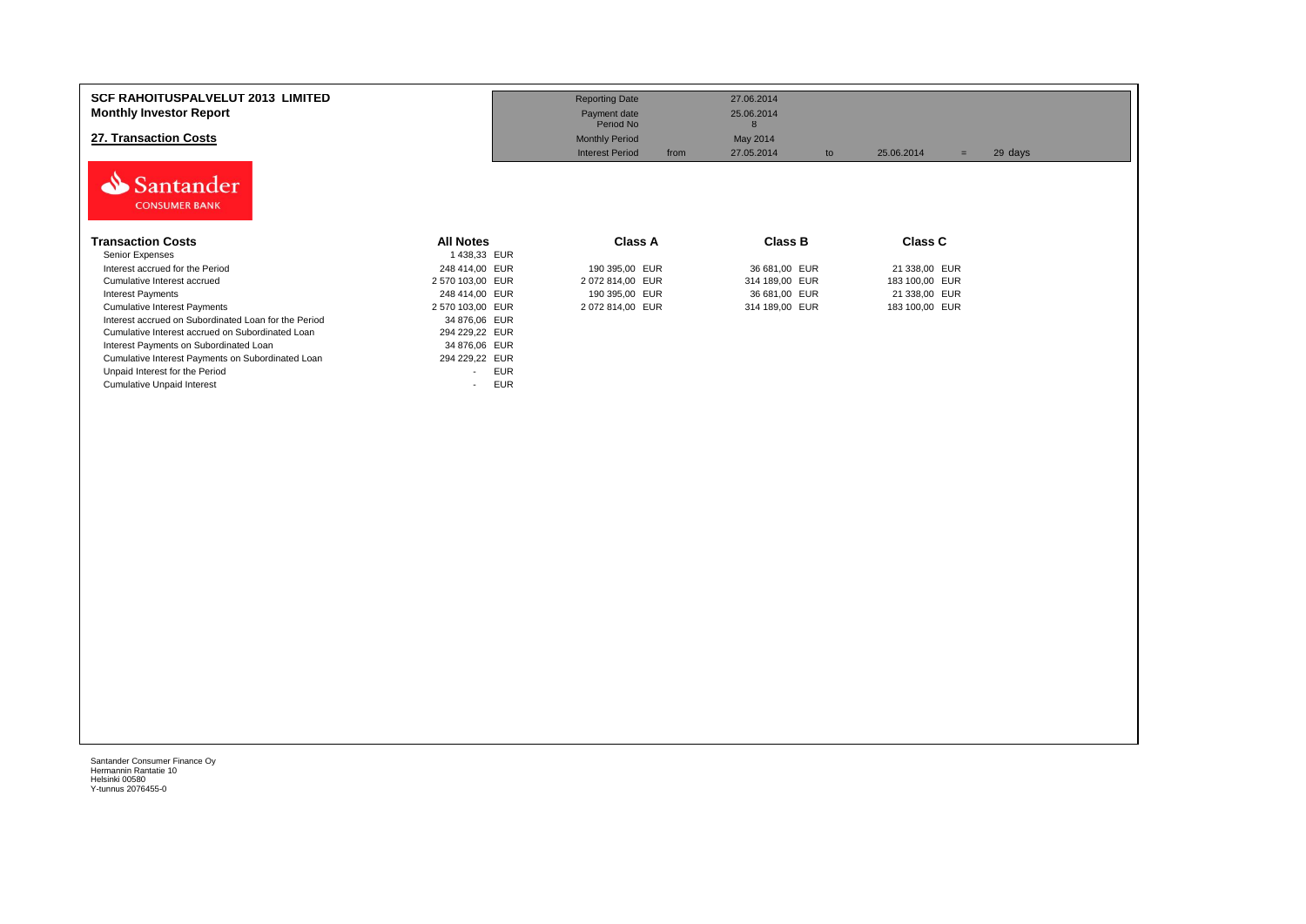| <b>SCF RAHOITUSPALVELUT 2013 LIMITED</b><br><b>Monthly Investor Report</b><br>27. Transaction Costs<br>Santander<br><b>CONSUMER BANK</b> |                                        | <b>Reporting Date</b><br>Payment date<br>Period No<br><b>Monthly Period</b><br><b>Interest Period</b><br>from | 27.06.2014<br>25.06.2014<br>8<br>May 2014<br>27.05.2014<br>to | 25.06.2014<br>$=$ | 29 days |
|------------------------------------------------------------------------------------------------------------------------------------------|----------------------------------------|---------------------------------------------------------------------------------------------------------------|---------------------------------------------------------------|-------------------|---------|
| <b>Transaction Costs</b>                                                                                                                 | <b>All Notes</b>                       | <b>Class A</b>                                                                                                | Class B                                                       | <b>Class C</b>    |         |
| Senior Expenses                                                                                                                          | 1438,33 EUR                            |                                                                                                               |                                                               |                   |         |
| Interest accrued for the Period                                                                                                          | 248 414,00 EUR                         | 190 395,00 EUR                                                                                                | 36 681,00 EUR                                                 | 21 338,00 EUR     |         |
| Cumulative Interest accrued                                                                                                              | 2 570 103,00 EUR                       | 2 072 814,00 EUR                                                                                              | 314 189,00 EUR                                                | 183 100,00 EUR    |         |
| <b>Interest Payments</b>                                                                                                                 | 248 414,00 EUR                         | 190 395,00 EUR                                                                                                | 36 681,00 EUR                                                 | 21 338,00 EUR     |         |
| <b>Cumulative Interest Payments</b>                                                                                                      | 2 570 103,00 EUR                       | 2 072 814,00 EUR                                                                                              | 314 189,00 EUR                                                | 183 100,00 EUR    |         |
| Interest accrued on Subordinated Loan for the Period                                                                                     | 34 876,06 EUR                          |                                                                                                               |                                                               |                   |         |
| Cumulative Interest accrued on Subordinated Loan                                                                                         | 294 229,22 EUR                         |                                                                                                               |                                                               |                   |         |
| Interest Payments on Subordinated Loan                                                                                                   | 34 876,06 EUR                          |                                                                                                               |                                                               |                   |         |
| Cumulative Interest Payments on Subordinated Loan                                                                                        | 294 229,22 EUR                         |                                                                                                               |                                                               |                   |         |
| Unpaid Interest for the Period                                                                                                           | <b>EUR</b><br>$\overline{\phantom{0}}$ |                                                                                                               |                                                               |                   |         |
| <b>Cumulative Unpaid Interest</b>                                                                                                        | <b>EUR</b>                             |                                                                                                               |                                                               |                   |         |